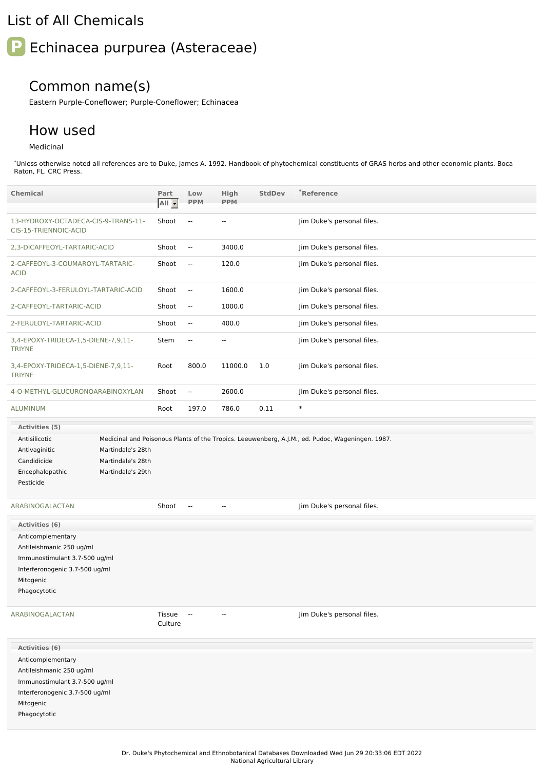## List of All Chemicals

# **P** Echinacea purpurea (Asteraceae)

### Common name(s)

Eastern Purple-Coneflower; Purple-Coneflower; Echinacea

#### How used

#### Medicinal

\*Unless otherwise noted all references are to Duke, James A. 1992. Handbook of phytochemical constituents of GRAS herbs and other economic plants. Boca Raton, FL. CRC Press.

| <b>Chemical</b>                                                                                                                                                 |                                                             | Part<br>All <b>-</b> | Low<br><b>PPM</b>        | High<br><b>PPM</b>       | <b>StdDev</b> | *Reference                                                                                       |
|-----------------------------------------------------------------------------------------------------------------------------------------------------------------|-------------------------------------------------------------|----------------------|--------------------------|--------------------------|---------------|--------------------------------------------------------------------------------------------------|
| 13-HYDROXY-OCTADECA-CIS-9-TRANS-11-<br>CIS-15-TRIENNOIC-ACID                                                                                                    |                                                             | Shoot                | $\overline{\phantom{a}}$ | $\overline{\phantom{a}}$ |               | Jim Duke's personal files.                                                                       |
| 2,3-DICAFFEOYL-TARTARIC-ACID                                                                                                                                    |                                                             | Shoot                | $\sim$                   | 3400.0                   |               | Jim Duke's personal files.                                                                       |
| 2-CAFFEOYL-3-COUMAROYL-TARTARIC-<br><b>ACID</b>                                                                                                                 |                                                             | Shoot                | $\sim$                   | 120.0                    |               | Jim Duke's personal files.                                                                       |
| 2-CAFFEOYL-3-FERULOYL-TARTARIC-ACID                                                                                                                             |                                                             | Shoot                | $\overline{\phantom{a}}$ | 1600.0                   |               | Jim Duke's personal files.                                                                       |
| 2-CAFFEOYL-TARTARIC-ACID                                                                                                                                        |                                                             | Shoot                | $\sim$                   | 1000.0                   |               | Jim Duke's personal files.                                                                       |
| 2-FERULOYL-TARTARIC-ACID                                                                                                                                        |                                                             | Shoot                | $\sim$                   | 400.0                    |               | Jim Duke's personal files.                                                                       |
| 3,4-EPOXY-TRIDECA-1,5-DIENE-7,9,11-<br><b>TRIYNE</b>                                                                                                            |                                                             | Stem                 | $\overline{\phantom{a}}$ | $\overline{\phantom{a}}$ |               | Jim Duke's personal files.                                                                       |
| 3,4-EPOXY-TRIDECA-1,5-DIENE-7,9,11-<br><b>TRIYNE</b>                                                                                                            |                                                             | Root                 | 800.0                    | 11000.0                  | 1.0           | Jim Duke's personal files.                                                                       |
| 4-O-METHYL-GLUCURONOARABINOXYLAN                                                                                                                                |                                                             | Shoot                | $\mathbb{L}^2$           | 2600.0                   |               | Jim Duke's personal files.                                                                       |
| ALUMINUM                                                                                                                                                        |                                                             | Root                 | 197.0                    | 786.0                    | 0.11          | $\ast$                                                                                           |
| Activities (5)                                                                                                                                                  |                                                             |                      |                          |                          |               |                                                                                                  |
| Antisilicotic<br>Antivaginitic<br>Candidicide<br>Encephalopathic<br>Pesticide                                                                                   | Martindale's 28th<br>Martindale's 28th<br>Martindale's 29th |                      |                          |                          |               | Medicinal and Poisonous Plants of the Tropics. Leeuwenberg, A.J.M., ed. Pudoc, Wageningen. 1987. |
| ARABINOGALACTAN                                                                                                                                                 |                                                             | Shoot                | $\sim$                   | $\overline{\phantom{a}}$ |               | Jim Duke's personal files.                                                                       |
| Activities (6)<br>Anticomplementary<br>Antileishmanic 250 ug/ml<br>Immunostimulant 3.7-500 ug/ml<br>Interferonogenic 3.7-500 ug/ml<br>Mitogenic<br>Phagocytotic |                                                             |                      |                          |                          |               |                                                                                                  |
| ARABINOGALACTAN                                                                                                                                                 |                                                             | Tissue --<br>Culture |                          | $\sim$                   |               | Jim Duke's personal files.                                                                       |
| Activities (6)<br>Anticomplementary<br>Antileishmanic 250 ug/ml<br>Immunostimulant 3.7-500 ug/ml<br>Interferonogenic 3.7-500 ug/ml<br>Mitogenic<br>Phagocytotic |                                                             |                      |                          |                          |               |                                                                                                  |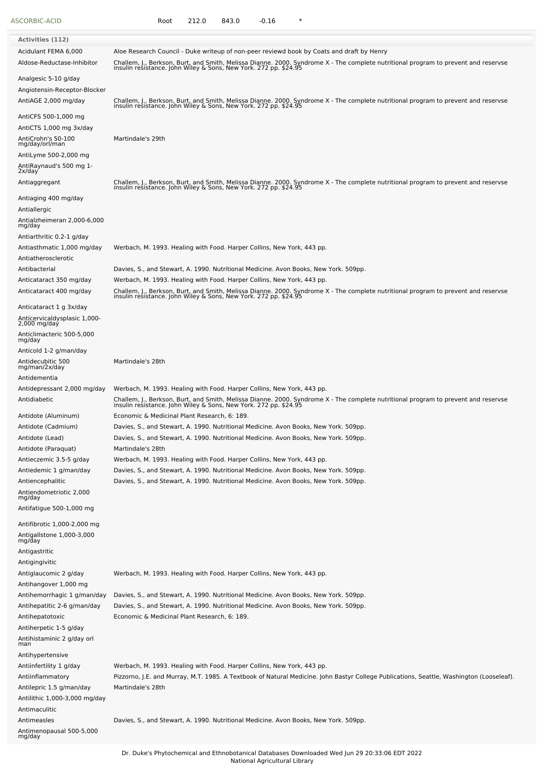| ASCORBIC-ACID                                  | $\ast$<br>212.0<br>$-0.16$<br>Root<br>843.0                                                                                                                                                            |
|------------------------------------------------|--------------------------------------------------------------------------------------------------------------------------------------------------------------------------------------------------------|
| <b>Activities (112)</b>                        |                                                                                                                                                                                                        |
| Acidulant FEMA 6,000                           | Aloe Research Council - Duke writeup of non-peer reviewd book by Coats and draft by Henry                                                                                                              |
| Aldose-Reductase-Inhibitor                     | Challem, J., Berkson, Burt, and Smith, Melissa Dianne. 2000. Syndrome X - The complete nutritional program to prevent and reservse<br>insulin resistance. John Wiley & Sons, New York. 272 pp. \$24.95 |
|                                                |                                                                                                                                                                                                        |
| Analgesic 5-10 g/day                           |                                                                                                                                                                                                        |
| Angiotensin-Receptor-Blocker                   |                                                                                                                                                                                                        |
| AntiAGE 2,000 mg/day                           | Challem, J., Berkson, Burt, and Smith, Melissa Dianne. 2000. Syndrome X - The complete nutritional program to prevent and reservse insulin resistance. John Wiley & Sons, New York. 272 pp. \$24.95    |
| AntiCFS 500-1,000 mg                           |                                                                                                                                                                                                        |
| AntiCTS 1,000 mg 3x/day                        |                                                                                                                                                                                                        |
| AntiCrohn's 50-100<br>mg/day/orl/man           | Martindale's 29th                                                                                                                                                                                      |
| AntiLyme 500-2,000 mg                          |                                                                                                                                                                                                        |
| AntiRaynaud's 500 mg 1-                        |                                                                                                                                                                                                        |
| 2x/day                                         |                                                                                                                                                                                                        |
| Antiaggregant                                  | Challem, J., Berkson, Burt, and Smith, Melissa Dianne. 2000. Syndrome X - The complete nutritional program to prevent and reservse<br>insulin resistance. John Wiley & Sons, New York. 272 pp. \$24.95 |
| Antiaging 400 mg/day                           |                                                                                                                                                                                                        |
| Antiallergic                                   |                                                                                                                                                                                                        |
| Antialzheimeran 2,000-6,000<br>mg/day          |                                                                                                                                                                                                        |
| Antiarthritic 0.2-1 g/day                      |                                                                                                                                                                                                        |
| Antiasthmatic 1,000 mg/day                     | Werbach, M. 1993. Healing with Food. Harper Collins, New York, 443 pp.                                                                                                                                 |
| Antiatherosclerotic                            |                                                                                                                                                                                                        |
| Antibacterial                                  | Davies, S., and Stewart, A. 1990. Nutritional Medicine. Avon Books, New York. 509pp.                                                                                                                   |
| Anticataract 350 mg/day                        | Werbach, M. 1993. Healing with Food. Harper Collins, New York, 443 pp.                                                                                                                                 |
| Anticataract 400 mg/day                        | Challem, J., Berkson, Burt, and Smith, Melissa Dianne. 2000. Syndrome X - The complete nutritional program to prevent and reservse<br>insulin resistance. John Wiley & Sons, New York. 272 pp. \$24.95 |
| Anticataract 1 g 3x/day                        |                                                                                                                                                                                                        |
| Anticervicaldysplasic 1,000-                   |                                                                                                                                                                                                        |
| $2,000$ mg/day<br>Anticlimacteric 500-5,000    |                                                                                                                                                                                                        |
| mg/day                                         |                                                                                                                                                                                                        |
| Anticold 1-2 g/man/day                         |                                                                                                                                                                                                        |
| Antidecubitic 500<br>mg/man/2x/day             | Martindale's 28th                                                                                                                                                                                      |
| Antidementia                                   |                                                                                                                                                                                                        |
| Antidepressant 2,000 mg/day                    | Werbach, M. 1993. Healing with Food. Harper Collins, New York, 443 pp.                                                                                                                                 |
| Antidiabetic                                   | Challem, J., Berkson, Burt, and Smith, Melissa Dianne. 2000. Syndrome X - The complete nutritional program to prevent and reservse<br>insulin resistance. John Wiley & Sons, New York. 272 pp. \$24.95 |
| Antidote (Aluminum)                            | Economic & Medicinal Plant Research, 6: 189.                                                                                                                                                           |
| Antidote (Cadmium)                             | Davies, S., and Stewart, A. 1990. Nutritional Medicine. Avon Books, New York. 509pp.                                                                                                                   |
| Antidote (Lead)                                | Davies, S., and Stewart, A. 1990. Nutritional Medicine. Avon Books, New York. 509pp.                                                                                                                   |
| Antidote (Paraquat)                            | Martindale's 28th                                                                                                                                                                                      |
| Antieczemic 3.5-5 g/day                        | Werbach, M. 1993. Healing with Food. Harper Collins, New York, 443 pp.                                                                                                                                 |
| Antiedemic 1 g/man/day                         | Davies, S., and Stewart, A. 1990. Nutritional Medicine. Avon Books, New York. 509pp.                                                                                                                   |
| Antiencephalitic                               | Davies, S., and Stewart, A. 1990. Nutritional Medicine. Avon Books, New York. 509pp.                                                                                                                   |
| Antiendometriotic 2,000<br>mg/day              |                                                                                                                                                                                                        |
| Antifatigue 500-1,000 mg                       |                                                                                                                                                                                                        |
| Antifibrotic 1,000-2,000 mg                    |                                                                                                                                                                                                        |
| Antigallstone 1,000-3,000                      |                                                                                                                                                                                                        |
| mg/đay                                         |                                                                                                                                                                                                        |
| Antigastritic                                  |                                                                                                                                                                                                        |
| Antigingivitic                                 |                                                                                                                                                                                                        |
| Antiglaucomic 2 g/day<br>Antihangover 1,000 mg | Werbach, M. 1993. Healing with Food. Harper Collins, New York, 443 pp.                                                                                                                                 |
| Antihemorrhagic 1 g/man/day                    | Davies, S., and Stewart, A. 1990. Nutritional Medicine. Avon Books, New York. 509pp.                                                                                                                   |
| Antihepatitic 2-6 g/man/day                    | Davies, S., and Stewart, A. 1990. Nutritional Medicine. Avon Books, New York. 509pp.                                                                                                                   |
| Antihepatotoxic                                | Economic & Medicinal Plant Research, 6: 189.                                                                                                                                                           |
| Antiherpetic 1-5 g/day                         |                                                                                                                                                                                                        |
| Antihistaminic 2 g/day orl<br>man              |                                                                                                                                                                                                        |
| Antihypertensive                               |                                                                                                                                                                                                        |
| Antiinfertility 1 g/day                        | Werbach, M. 1993. Healing with Food. Harper Collins, New York, 443 pp.                                                                                                                                 |
| Antiinflammatory                               | Pizzorno, J.E. and Murray, M.T. 1985. A Textbook of Natural Medicine. John Bastyr College Publications, Seattle, Washington (Looseleaf).                                                               |
| Antilepric 1.5 g/man/day                       | Martindale's 28th                                                                                                                                                                                      |
| Antilithic 1,000-3,000 mg/day                  |                                                                                                                                                                                                        |
| Antimaculitic                                  |                                                                                                                                                                                                        |
| Antimeasles                                    | Davies, S., and Stewart, A. 1990. Nutritional Medicine. Avon Books, New York. 509pp.                                                                                                                   |
| Antimenopausal 500-5,000<br>mg/day             |                                                                                                                                                                                                        |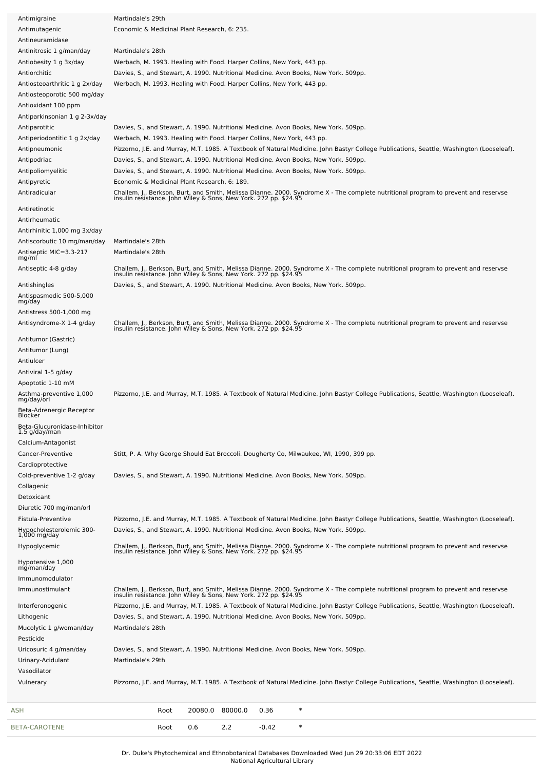| Antimigraine                                    | Martindale's 29th                                                                                                                                                                                      |
|-------------------------------------------------|--------------------------------------------------------------------------------------------------------------------------------------------------------------------------------------------------------|
| Antimutagenic                                   | Economic & Medicinal Plant Research, 6: 235.                                                                                                                                                           |
| Antineuramidase                                 |                                                                                                                                                                                                        |
| Antinitrosic 1 g/man/day                        | Martindale's 28th                                                                                                                                                                                      |
| Antiobesity 1 g 3x/day<br>Antiorchitic          | Werbach, M. 1993. Healing with Food. Harper Collins, New York, 443 pp.<br>Davies, S., and Stewart, A. 1990. Nutritional Medicine. Avon Books, New York. 509pp.                                         |
| Antiosteoarthritic 1 g 2x/day                   | Werbach, M. 1993. Healing with Food. Harper Collins, New York, 443 pp.                                                                                                                                 |
| Antiosteoporotic 500 mg/day                     |                                                                                                                                                                                                        |
| Antioxidant 100 ppm                             |                                                                                                                                                                                                        |
| Antiparkinsonian 1 g 2-3x/day                   |                                                                                                                                                                                                        |
| Antiparotitic                                   | Davies, S., and Stewart, A. 1990. Nutritional Medicine. Avon Books, New York. 509pp.                                                                                                                   |
| Antiperiodontitic 1 g 2x/day                    | Werbach, M. 1993. Healing with Food. Harper Collins, New York, 443 pp.                                                                                                                                 |
| Antipneumonic                                   | Pizzorno, J.E. and Murray, M.T. 1985. A Textbook of Natural Medicine. John Bastyr College Publications, Seattle, Washington (Looseleaf).                                                               |
| Antipodriac                                     | Davies, S., and Stewart, A. 1990. Nutritional Medicine. Avon Books, New York. 509pp.                                                                                                                   |
| Antipoliomyelitic                               | Davies, S., and Stewart, A. 1990. Nutritional Medicine. Avon Books, New York. 509pp.                                                                                                                   |
| Antipyretic<br>Antiradicular                    | Economic & Medicinal Plant Research, 6: 189.                                                                                                                                                           |
|                                                 | Challem, J., Berkson, Burt, and Smith, Melissa Dianne. 2000. Syndrome X - The complete nutritional program to prevent and reservse<br>insulin resistance. John Wiley & Sons, New York. 272 pp. \$24.95 |
| Antiretinotic                                   |                                                                                                                                                                                                        |
| Antirheumatic                                   |                                                                                                                                                                                                        |
| Antirhinitic 1,000 mg 3x/day                    |                                                                                                                                                                                                        |
| Antiscorbutic 10 mg/man/day                     | Martindale's 28th                                                                                                                                                                                      |
| Antiseptic MIC=3.3-217<br>mg/ml                 | Martindale's 28th                                                                                                                                                                                      |
| Antiseptic 4-8 g/day                            | Challem, J., Berkson, Burt, and Smith, Melissa Dianne. 2000. Syndrome X - The complete nutritional program to prevent and reservse<br>insulin resistance. John Wiley & Sons, New York. 272 pp. \$24.95 |
| Antishingles                                    | Davies, S., and Stewart, A. 1990. Nutritional Medicine. Avon Books, New York. 509pp.                                                                                                                   |
| Antispasmodic 500-5,000                         |                                                                                                                                                                                                        |
| mg/day<br>Antistress 500-1,000 mg               |                                                                                                                                                                                                        |
| Antisyndrome-X 1-4 g/day                        |                                                                                                                                                                                                        |
|                                                 | Challem, J., Berkson, Burt, and Smith, Melissa Dianne. 2000. Syndrome X - The complete nutritional program to prevent and reservse<br>insulin resistance. John Wiley & Sons, New York. 272 pp. \$24.95 |
| Antitumor (Gastric)                             |                                                                                                                                                                                                        |
| Antitumor (Lung)<br>Antiulcer                   |                                                                                                                                                                                                        |
| Antiviral 1-5 g/day                             |                                                                                                                                                                                                        |
| Apoptotic 1-10 mM                               |                                                                                                                                                                                                        |
| Asthma-preventive 1,000                         | Pizzorno, J.E. and Murray, M.T. 1985. A Textbook of Natural Medicine. John Bastyr College Publications, Seattle, Washington (Looseleaf).                                                               |
| mg/day/orl<br>Beta-Adrenergic Receptor          |                                                                                                                                                                                                        |
| Blocker                                         |                                                                                                                                                                                                        |
| Beta-Glucuronidase-Inhibitor<br>$1.5$ q/day/man |                                                                                                                                                                                                        |
| Calcium-Antagonist                              |                                                                                                                                                                                                        |
| Cancer-Preventive                               | Stitt, P. A. Why George Should Eat Broccoli. Dougherty Co, Milwaukee, WI, 1990, 399 pp.                                                                                                                |
| Cardioprotective                                |                                                                                                                                                                                                        |
| Cold-preventive 1-2 g/day                       | Davies, S., and Stewart, A. 1990. Nutritional Medicine. Avon Books, New York. 509pp.                                                                                                                   |
| Collagenic<br>Detoxicant                        |                                                                                                                                                                                                        |
| Diuretic 700 mg/man/orl                         |                                                                                                                                                                                                        |
| Fistula-Preventive                              | Pizzorno, J.E. and Murray, M.T. 1985. A Textbook of Natural Medicine. John Bastyr College Publications, Seattle, Washington (Looseleaf).                                                               |
| Hypocholesterolemic 300-                        | Davies, S., and Stewart, A. 1990. Nutritional Medicine. Avon Books, New York. 509pp.                                                                                                                   |
| $1,000$ mg/day<br>Hypoglycemic                  |                                                                                                                                                                                                        |
|                                                 | Challem, J., Berkson, Burt, and Smith, Melissa Dianne. 2000. Syndrome X - The complete nutritional program to prevent and reservse<br>insulin resistance. John Wiley & Sons, New York. 272 pp. \$24.95 |
| Hypotensive 1,000<br>mg/man/day                 |                                                                                                                                                                                                        |
| Immunomodulator                                 |                                                                                                                                                                                                        |
| Immunostimulant                                 | Challem, J., Berkson, Burt, and Smith, Melissa Dianne. 2000. Syndrome X - The complete nutritional program to prevent and reservse<br>insulin resistance. John Wiley & Sons, New York. 272 pp. \$24.95 |
| Interferonogenic                                | Pizzorno, J.E. and Murray, M.T. 1985. A Textbook of Natural Medicine. John Bastyr College Publications, Seattle, Washington (Looseleaf).                                                               |
| Lithogenic                                      | Davies, S., and Stewart, A. 1990. Nutritional Medicine. Avon Books, New York. 509pp.                                                                                                                   |
| Mucolytic 1 g/woman/day                         | Martindale's 28th                                                                                                                                                                                      |
| Pesticide                                       |                                                                                                                                                                                                        |
| Uricosuric 4 g/man/day                          | Davies, S., and Stewart, A. 1990. Nutritional Medicine. Avon Books, New York. 509pp.                                                                                                                   |
| Urinary-Acidulant                               | Martindale's 29th                                                                                                                                                                                      |
| Vasodilator                                     |                                                                                                                                                                                                        |
| Vulnerary                                       | Pizzorno, J.E. and Murray, M.T. 1985. A Textbook of Natural Medicine. John Bastyr College Publications, Seattle, Washington (Looseleaf).                                                               |
| <b>ASH</b>                                      | $\ast$<br>20080.0<br>80000.0<br>0.36<br>Root                                                                                                                                                           |
| <b>BETA-CAROTENE</b>                            | $\ast$<br>0.6<br>2.2<br>$-0.42$<br>Root                                                                                                                                                                |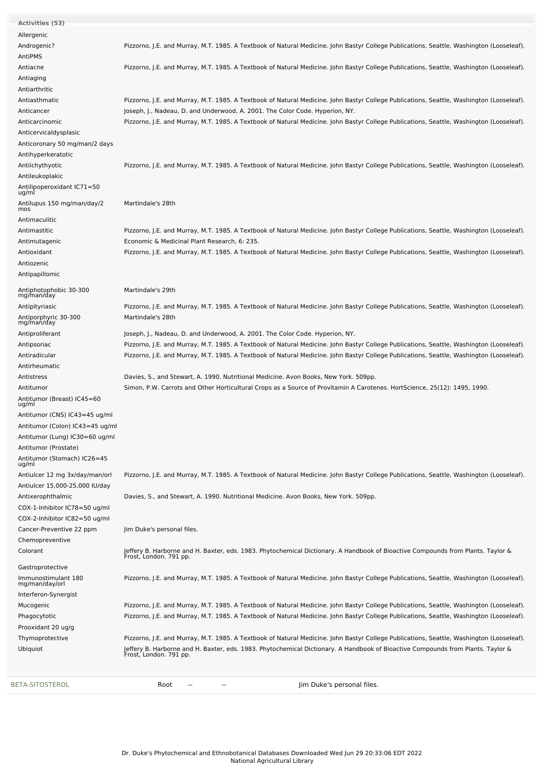| BETA-SITOSTEROL                        | Jim Duke's personal files.<br>Root                                                                                                                        |
|----------------------------------------|-----------------------------------------------------------------------------------------------------------------------------------------------------------|
| Ubiquiot                               | Jeffery B. Harborne and H. Baxter, eds. 1983. Phytochemical Dictionary. A Handbook of Bioactive Compounds from Plants. Taylor &<br>Frost, London. 791 pp. |
| Thymoprotective                        | Pizzorno, J.E. and Murray, M.T. 1985. A Textbook of Natural Medicine. John Bastyr College Publications, Seattle, Washington (Looseleaf).                  |
| Prooxidant 20 ug/g                     |                                                                                                                                                           |
| Phagocytotic                           | Pizzorno, J.E. and Murray, M.T. 1985. A Textbook of Natural Medicine. John Bastyr College Publications, Seattle, Washington (Looseleaf).                  |
| Mucogenic                              | Pizzorno, J.E. and Murray, M.T. 1985. A Textbook of Natural Medicine. John Bastyr College Publications, Seattle, Washington (Looseleaf).                  |
| mg/man/day/orl<br>Interferon-Synergist |                                                                                                                                                           |
| Immunostimulant 180                    | Pizzorno, J.E. and Murray, M.T. 1985. A Textbook of Natural Medicine. John Bastyr College Publications, Seattle, Washington (Looseleaf).                  |
| Gastroprotective                       |                                                                                                                                                           |
| Colorant                               | Jeffery B. Harborne and H. Baxter, eds. 1983. Phytochemical Dictionary. A Handbook of Bioactive Compounds from Plants. Taylor &<br>Frost, London. 791 pp. |
| Chemopreventive                        |                                                                                                                                                           |
| Cancer-Preventive 22 ppm               | Jim Duke's personal files.                                                                                                                                |
| COX-2-Inhibitor IC82=50 ug/ml          |                                                                                                                                                           |
| COX-1-Inhibitor IC78=50 ug/ml          |                                                                                                                                                           |
| Antixerophthalmic                      | Davies, S., and Stewart, A. 1990. Nutritional Medicine. Avon Books, New York. 509pp.                                                                      |
| Antiulcer 15,000-25,000 IU/day         |                                                                                                                                                           |
| Antiulcer 12 mg 3x/day/man/orl         | Pizzorno, J.E. and Murray, M.T. 1985. A Textbook of Natural Medicine. John Bastyr College Publications, Seattle, Washington (Looseleaf).                  |
| Antitumor (Stomach) IC26=45<br>ug/ml   |                                                                                                                                                           |
| Antitumor (Prostate)                   |                                                                                                                                                           |
| Antitumor (Lung) IC30=60 ug/ml         |                                                                                                                                                           |
| Antitumor (Colon) IC43=45 ug/ml        |                                                                                                                                                           |
| Antitumor (CNS) IC43=45 ug/ml          |                                                                                                                                                           |
| Antitumor (Breast) IC45=60<br>ug/ml    |                                                                                                                                                           |
| Antitumor                              | Simon, P.W. Carrots and Other Horticultural Crops as a Source of Provitamin A Carotenes. HortScience, 25(12): 1495, 1990.                                 |
| Antistress                             | Davies, S., and Stewart, A. 1990. Nutritional Medicine. Avon Books, New York. 509pp.                                                                      |
| Antirheumatic                          |                                                                                                                                                           |
| Antiradicular                          | Pizzorno, J.E. and Murray, M.T. 1985. A Textbook of Natural Medicine. John Bastyr College Publications, Seattle, Washington (Looseleaf).                  |
| Antipsoriac                            | Pizzorno, J.E. and Murray, M.T. 1985. A Textbook of Natural Medicine. John Bastyr College Publications, Seattle, Washington (Looseleaf).                  |
| mg/man/day<br>Antiproliferant          | Joseph, J., Nadeau, D. and Underwood, A. 2001. The Color Code. Hyperion, NY.                                                                              |
| Antiporphyric 30-300                   | Martindale's 28th                                                                                                                                         |
| Antipityriasic                         | Pizzorno, J.E. and Murray, M.T. 1985. A Textbook of Natural Medicine. John Bastyr College Publications, Seattle, Washington (Looseleaf).                  |
| Antiphotophobic 30-300<br>mg/man/day   | Martindale's 29th                                                                                                                                         |
| Antipapillomic                         |                                                                                                                                                           |
| Antiozenic                             |                                                                                                                                                           |
| Antioxidant                            | Pizzorno, J.E. and Murray, M.T. 1985. A Textbook of Natural Medicine. John Bastyr College Publications, Seattle, Washington (Looseleaf).                  |
| Antimutagenic                          | Economic & Medicinal Plant Research, 6: 235.                                                                                                              |
| Antimastitic                           | Pizzorno, J.E. and Murray, M.T. 1985. A Textbook of Natural Medicine. John Bastyr College Publications, Seattle, Washington (Looseleaf).                  |
| Antimaculitic                          |                                                                                                                                                           |
| Antilupus 150 mg/man/day/2<br>mos      | Martindale's 28th                                                                                                                                         |
| ug/ml                                  |                                                                                                                                                           |
| Antilipoperoxidant IC71=50             |                                                                                                                                                           |
| Antiichythyotic<br>Antileukoplakic     | Pizzorno, J.E. and Murray, M.T. 1985. A Textbook of Natural Medicine. John Bastyr College Publications, Seattle, Washington (Looseleaf).                  |
| Antihyperkeratotic                     |                                                                                                                                                           |
| Anticoronary 50 mg/man/2 days          |                                                                                                                                                           |
| Anticervicaldysplasic                  |                                                                                                                                                           |
| Anticarcinomic                         | Pizzorno, J.E. and Murray, M.T. 1985. A Textbook of Natural Medicine. John Bastyr College Publications, Seattle, Washington (Looseleaf).                  |
| Anticancer                             | Joseph, J., Nadeau, D. and Underwood, A. 2001. The Color Code. Hyperion, NY.                                                                              |
| Antiasthmatic                          | Pizzorno, J.E. and Murray, M.T. 1985. A Textbook of Natural Medicine. John Bastyr College Publications, Seattle, Washington (Looseleaf).                  |
| Antiarthritic                          |                                                                                                                                                           |
| Antiaging                              |                                                                                                                                                           |
| Antiacne                               | Pizzorno, J.E. and Murray, M.T. 1985. A Textbook of Natural Medicine. John Bastyr College Publications, Seattle, Washington (Looseleaf).                  |
| AntiPMS                                |                                                                                                                                                           |
| Androgenic?                            | Pizzorno, J.E. and Murray, M.T. 1985. A Textbook of Natural Medicine. John Bastyr College Publications, Seattle, Washington (Looseleaf).                  |
| Allergenic                             |                                                                                                                                                           |
| <b>Activities (53)</b>                 |                                                                                                                                                           |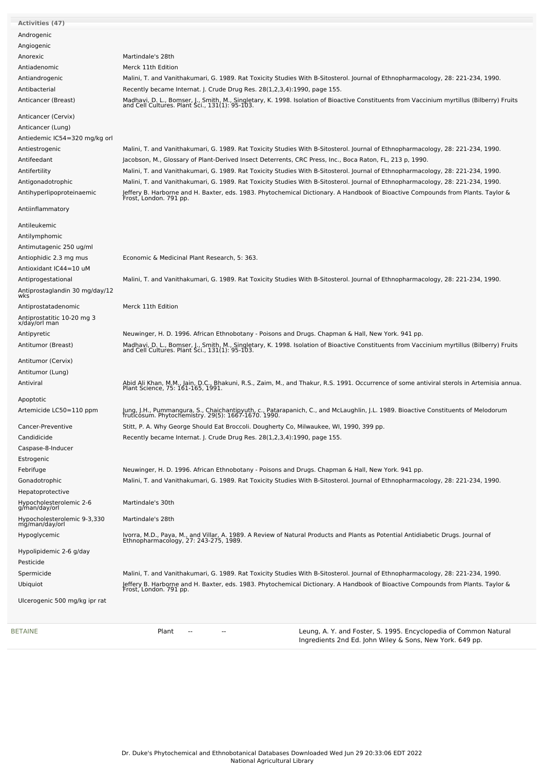| <b>Activities (47)</b>                        |                                                                                                                                                                                           |  |
|-----------------------------------------------|-------------------------------------------------------------------------------------------------------------------------------------------------------------------------------------------|--|
|                                               |                                                                                                                                                                                           |  |
| Androgenic                                    |                                                                                                                                                                                           |  |
| Angiogenic                                    |                                                                                                                                                                                           |  |
| Anorexic                                      | Martindale's 28th                                                                                                                                                                         |  |
| Antiadenomic                                  | Merck 11th Edition                                                                                                                                                                        |  |
| Antiandrogenic                                | Malini, T. and Vanithakumari, G. 1989. Rat Toxicity Studies With B-Sitosterol. Journal of Ethnopharmacology, 28: 221-234, 1990.                                                           |  |
| Antibacterial                                 | Recently became Internat. J. Crude Drug Res. 28(1,2,3,4):1990, page 155.                                                                                                                  |  |
| Anticancer (Breast)                           | Madhavi, D. L., Bomser, J., Smith, M., Singletary, K. 1998. Isolation of Bioactive Constituents from Vaccinium myrtillus (Bilberry) Fruits and Cell Cultures. Plant Sci., 131(1): 95-103. |  |
| Anticancer (Cervix)                           |                                                                                                                                                                                           |  |
| Anticancer (Lung)                             |                                                                                                                                                                                           |  |
| Antiedemic IC54=320 mg/kg orl                 |                                                                                                                                                                                           |  |
| Antiestrogenic                                | Malini, T. and Vanithakumari, G. 1989. Rat Toxicity Studies With B-Sitosterol. Journal of Ethnopharmacology, 28: 221-234, 1990.                                                           |  |
| Antifeedant                                   | Jacobson, M., Glossary of Plant-Derived Insect Deterrents, CRC Press, Inc., Boca Raton, FL, 213 p, 1990.                                                                                  |  |
| Antifertility                                 | Malini, T. and Vanithakumari, G. 1989. Rat Toxicity Studies With B-Sitosterol. Journal of Ethnopharmacology, 28: 221-234, 1990.                                                           |  |
| Antigonadotrophic                             | Malini, T. and Vanithakumari, G. 1989. Rat Toxicity Studies With B-Sitosterol. Journal of Ethnopharmacology, 28: 221-234, 1990.                                                           |  |
|                                               |                                                                                                                                                                                           |  |
| Antihyperlipoproteinaemic                     | Jeffery B. Harborne and H. Baxter, eds. 1983. Phytochemical Dictionary. A Handbook of Bioactive Compounds from Plants. Taylor &<br>Frost, London. 791 pp.                                 |  |
| Antiinflammatory                              |                                                                                                                                                                                           |  |
| Antileukemic                                  |                                                                                                                                                                                           |  |
| Antilymphomic                                 |                                                                                                                                                                                           |  |
| Antimutagenic 250 ug/ml                       |                                                                                                                                                                                           |  |
| Antiophidic 2.3 mg mus                        | Economic & Medicinal Plant Research, 5: 363.                                                                                                                                              |  |
| Antioxidant IC44=10 uM                        |                                                                                                                                                                                           |  |
| Antiprogestational                            | Malini, T. and Vanithakumari, G. 1989. Rat Toxicity Studies With B-Sitosterol. Journal of Ethnopharmacology, 28: 221-234, 1990.                                                           |  |
| Antiprostaglandin 30 mg/day/12<br>wks         |                                                                                                                                                                                           |  |
| Antiprostatadenomic                           | Merck 11th Edition                                                                                                                                                                        |  |
| Antiprostatitic 10-20 mg 3<br>x/day/orl man   |                                                                                                                                                                                           |  |
| Antipyretic                                   | Neuwinger, H. D. 1996. African Ethnobotany - Poisons and Drugs. Chapman & Hall, New York. 941 pp.                                                                                         |  |
| Antitumor (Breast)                            | Madhavi, D. L., Bomser, J., Smith, M., Singletary, K. 1998. Isolation of Bioactive Constituents from Vaccinium myrtillus (Bilberry) Fruits and Cell Cultures. Plant Sci., 131(1): 95-103. |  |
| Antitumor (Cervix)                            |                                                                                                                                                                                           |  |
| Antitumor (Lung)                              |                                                                                                                                                                                           |  |
| Antiviral                                     | Abid Ali Khan, M.M., Jain, D.C., Bhakuni, R.S., Zaim, M., and Thakur, R.S. 1991. Occurrence of some antiviral sterols in Artemisia annua.<br>Plant Science, 75: 161-165, 1991.            |  |
| Apoptotic                                     |                                                                                                                                                                                           |  |
| Artemicide LC50=110 ppm                       | Jung, J.H., Pummangura, S., Chaichantipyuth, c., Patarapanich, C., and McLaughlin, J.L. 1989. Bioactive Constituents of Melodorum<br>fruticosum. Phytochemistry. 29(5): 1667-1670. 1990.  |  |
| Cancer-Preventive                             | Stitt, P. A. Why George Should Eat Broccoli. Dougherty Co, Milwaukee, WI, 1990, 399 pp.                                                                                                   |  |
| Candidicide                                   | Recently became Internat. J. Crude Drug Res. 28(1,2,3,4):1990, page 155.                                                                                                                  |  |
| Caspase-8-Inducer                             |                                                                                                                                                                                           |  |
| Estrogenic                                    |                                                                                                                                                                                           |  |
| Febrifuge                                     | Neuwinger, H. D. 1996. African Ethnobotany - Poisons and Drugs. Chapman & Hall, New York. 941 pp.                                                                                         |  |
| Gonadotrophic                                 | Malini, T. and Vanithakumari, G. 1989. Rat Toxicity Studies With B-Sitosterol. Journal of Ethnopharmacology, 28: 221-234, 1990.                                                           |  |
| Hepatoprotective                              |                                                                                                                                                                                           |  |
| Hypocholesterolemic 2-6<br>g/man/day/orl      | Martindale's 30th                                                                                                                                                                         |  |
| Hypocholesterolemic 9-3,330<br>mg/man/day/orl | Martindale's 28th                                                                                                                                                                         |  |
| Hypoglycemic                                  | Ivorra, M.D., Paya, M., and Villar, A. 1989. A Review of Natural Products and Plants as Potential Antidiabetic Drugs. Journal of<br>Ethnopharmacology, 27: 243-275, 1989.                 |  |
| Hypolipidemic 2-6 g/day                       |                                                                                                                                                                                           |  |
| Pesticide                                     |                                                                                                                                                                                           |  |
| Spermicide                                    | Malini, T. and Vanithakumari, G. 1989. Rat Toxicity Studies With B-Sitosterol. Journal of Ethnopharmacology, 28: 221-234, 1990.                                                           |  |
| Ubiquiot                                      | Jeffery B. Harborne and H. Baxter, eds. 1983. Phytochemical Dictionary. A Handbook of Bioactive Compounds from Plants. Taylor &<br>Frost, London. 791 pp.                                 |  |
| Ulcerogenic 500 mg/kg ipr rat                 |                                                                                                                                                                                           |  |
|                                               |                                                                                                                                                                                           |  |
| BETAINE                                       | Leung, A. Y. and Foster, S. 1995. Encyclopedia of Common Natural<br>Plant<br>$\overline{\phantom{a}}$<br>Ingredients 2nd Ed. John Wiley & Sons, New York. 649 pp.                         |  |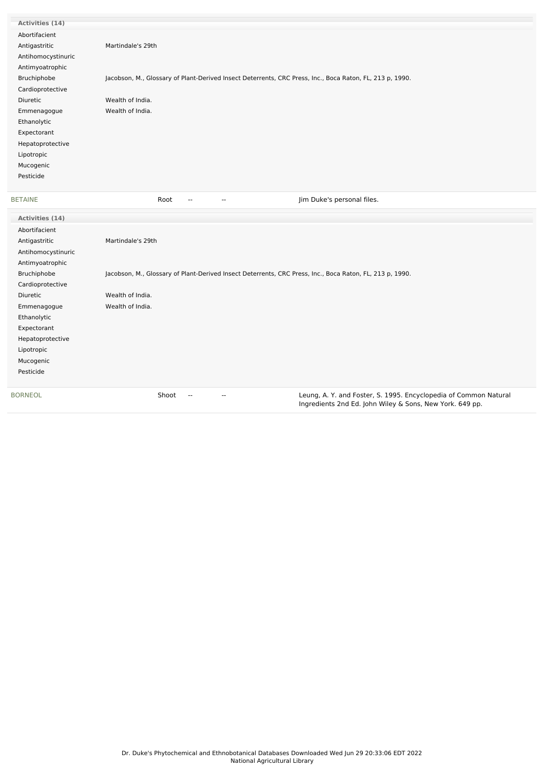| Activities (14)    |                                                                                                          |                                                                                                                              |
|--------------------|----------------------------------------------------------------------------------------------------------|------------------------------------------------------------------------------------------------------------------------------|
| Abortifacient      |                                                                                                          |                                                                                                                              |
| Antigastritic      | Martindale's 29th                                                                                        |                                                                                                                              |
| Antihomocystinuric |                                                                                                          |                                                                                                                              |
| Antimyoatrophic    |                                                                                                          |                                                                                                                              |
| Bruchiphobe        | Jacobson, M., Glossary of Plant-Derived Insect Deterrents, CRC Press, Inc., Boca Raton, FL, 213 p, 1990. |                                                                                                                              |
| Cardioprotective   |                                                                                                          |                                                                                                                              |
| Diuretic           | Wealth of India.                                                                                         |                                                                                                                              |
| Emmenagogue        | Wealth of India.                                                                                         |                                                                                                                              |
| Ethanolytic        |                                                                                                          |                                                                                                                              |
| Expectorant        |                                                                                                          |                                                                                                                              |
| Hepatoprotective   |                                                                                                          |                                                                                                                              |
| Lipotropic         |                                                                                                          |                                                                                                                              |
| Mucogenic          |                                                                                                          |                                                                                                                              |
| Pesticide          |                                                                                                          |                                                                                                                              |
|                    |                                                                                                          |                                                                                                                              |
| <b>BETAINE</b>     | Root<br>$\overline{\phantom{a}}$<br>$\overline{\phantom{a}}$                                             | Jim Duke's personal files.                                                                                                   |
| Activities (14)    |                                                                                                          |                                                                                                                              |
| Abortifacient      |                                                                                                          |                                                                                                                              |
| Antigastritic      | Martindale's 29th                                                                                        |                                                                                                                              |
| Antihomocystinuric |                                                                                                          |                                                                                                                              |
| Antimyoatrophic    |                                                                                                          |                                                                                                                              |
| Bruchiphobe        | Jacobson, M., Glossary of Plant-Derived Insect Deterrents, CRC Press, Inc., Boca Raton, FL, 213 p, 1990. |                                                                                                                              |
| Cardioprotective   |                                                                                                          |                                                                                                                              |
| Diuretic           | Wealth of India.                                                                                         |                                                                                                                              |
| Emmenagogue        | Wealth of India.                                                                                         |                                                                                                                              |
| Ethanolytic        |                                                                                                          |                                                                                                                              |
| Expectorant        |                                                                                                          |                                                                                                                              |
| Hepatoprotective   |                                                                                                          |                                                                                                                              |
| Lipotropic         |                                                                                                          |                                                                                                                              |
| Mucogenic          |                                                                                                          |                                                                                                                              |
| Pesticide          |                                                                                                          |                                                                                                                              |
|                    |                                                                                                          |                                                                                                                              |
| <b>BORNEOL</b>     | Shoot<br>$\sim$<br>$\overline{\phantom{a}}$                                                              | Leung, A. Y. and Foster, S. 1995. Encyclopedia of Common Natural<br>Ingredients 2nd Ed. John Wiley & Sons, New York. 649 pp. |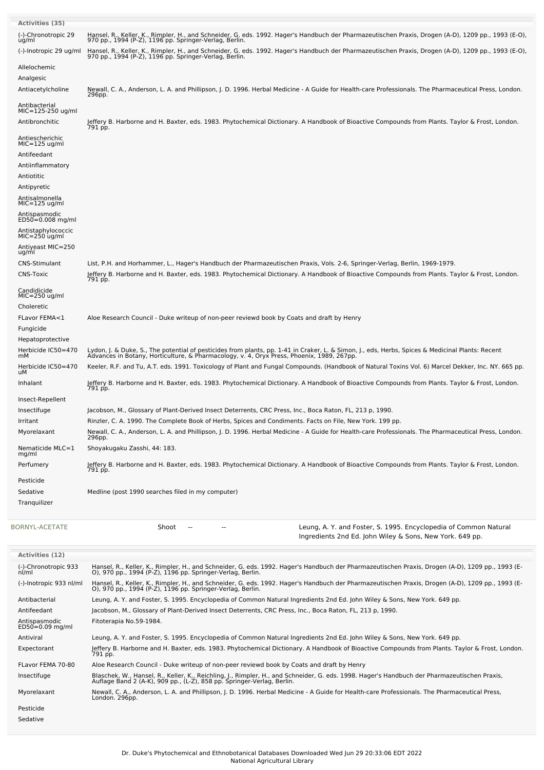| <b>Activities (35)</b>              |                                                                                                                                                                                                                                               |  |  |  |  |
|-------------------------------------|-----------------------------------------------------------------------------------------------------------------------------------------------------------------------------------------------------------------------------------------------|--|--|--|--|
| (-)-Chronotropic 29<br>ug/ml        | Hansel, R., Keller, K., Rimpler, H., and Schneider, G. eds. 1992. Hager's Handbuch der Pharmazeutischen Praxis, Drogen (A-D), 1209 pp., 1993 (E-O),<br>970 pp., 1994 (P-Z), 1196 pp. Springer-Verlag, Berlin.                                 |  |  |  |  |
| (-)-Inotropic 29 ug/ml              | Hansel, R., Keller, K., Rimpler, H., and Schneider, G. eds. 1992. Hager's Handbuch der Pharmazeutischen Praxis, Drogen (A-D), 1209 pp., 1993 (E-O),<br>970 pp., 1994 (P-Z), 1196 pp. Springer-Verlag, Berlin.                                 |  |  |  |  |
| Allelochemic<br>Analgesic           |                                                                                                                                                                                                                                               |  |  |  |  |
| Antiacetylcholine                   | Newall, C. A., Anderson, L. A. and Phillipson, J. D. 1996. Herbal Medicine - A Guide for Health-care Professionals. The Pharmaceutical Press, London.<br>296pp.                                                                               |  |  |  |  |
| Antibacterial<br>MIC=125-250 ug/ml  |                                                                                                                                                                                                                                               |  |  |  |  |
| Antibronchitic                      | Jeffery B. Harborne and H. Baxter, eds. 1983. Phytochemical Dictionary. A Handbook of Bioactive Compounds from Plants. Taylor & Frost, London.<br>791 pp.                                                                                     |  |  |  |  |
| Antiescherichic<br>MIC=125 ug/ml    |                                                                                                                                                                                                                                               |  |  |  |  |
| Antifeedant                         |                                                                                                                                                                                                                                               |  |  |  |  |
| Antiinflammatory                    |                                                                                                                                                                                                                                               |  |  |  |  |
| Antiotitic<br>Antipyretic           |                                                                                                                                                                                                                                               |  |  |  |  |
| Antisalmonella                      |                                                                                                                                                                                                                                               |  |  |  |  |
| $MIC=125$ ug/ml<br>Antispasmodic    |                                                                                                                                                                                                                                               |  |  |  |  |
| ED50=0.008 mg/ml                    |                                                                                                                                                                                                                                               |  |  |  |  |
| Antistaphylococcic<br>MIC=250 ug/ml |                                                                                                                                                                                                                                               |  |  |  |  |
| Antiyeast MIC=250<br>ug/ml          |                                                                                                                                                                                                                                               |  |  |  |  |
| <b>CNS-Stimulant</b>                | List, P.H. and Horhammer, L., Hager's Handbuch der Pharmazeutischen Praxis, Vols. 2-6, Springer-Verlag, Berlin, 1969-1979.                                                                                                                    |  |  |  |  |
| <b>CNS-Toxic</b>                    | Jeffery B. Harborne and H. Baxter, eds. 1983. Phytochemical Dictionary. A Handbook of Bioactive Compounds from Plants. Taylor & Frost, London.<br>791 pp.                                                                                     |  |  |  |  |
| Candidicide<br>$MIC=250$ ug/ml      |                                                                                                                                                                                                                                               |  |  |  |  |
| Choleretic                          |                                                                                                                                                                                                                                               |  |  |  |  |
| FLavor FEMA<1<br>Fungicide          | Aloe Research Council - Duke writeup of non-peer reviewd book by Coats and draft by Henry                                                                                                                                                     |  |  |  |  |
| Hepatoprotective                    |                                                                                                                                                                                                                                               |  |  |  |  |
| Herbicide IC50=470<br>mМ            | Lydon, J. & Duke, S., The potential of pesticides from plants, pp. 1-41 in Craker, L. & Simon, J., eds, Herbs, Spices & Medicinal Plants: Recent<br>Advances in Botany, Horticulture, & Pharmacology, v. 4, Oryx Press, Phoenix, 1989, 267pp. |  |  |  |  |
| Herbicide IC50=470<br>uМ            | Keeler, R.F. and Tu, A.T. eds. 1991. Toxicology of Plant and Fungal Compounds. (Handbook of Natural Toxins Vol. 6) Marcel Dekker, Inc. NY. 665 pp.                                                                                            |  |  |  |  |
| Inhalant                            | Jeffery B. Harborne and H. Baxter, eds. 1983. Phytochemical Dictionary. A Handbook of Bioactive Compounds from Plants. Taylor & Frost, London.<br>791 pp.                                                                                     |  |  |  |  |
| Insect-Repellent                    |                                                                                                                                                                                                                                               |  |  |  |  |
| Insectifuge<br>Irritant             | Jacobson, M., Glossary of Plant-Derived Insect Deterrents, CRC Press, Inc., Boca Raton, FL, 213 p, 1990.<br>Rinzler, C. A. 1990. The Complete Book of Herbs, Spices and Condiments. Facts on File, New York. 199 pp.                          |  |  |  |  |
| Myorelaxant                         | Newall, C. A., Anderson, L. A. and Phillipson, J. D. 1996. Herbal Medicine - A Guide for Health-care Professionals. The Pharmaceutical Press, London.                                                                                         |  |  |  |  |
| Nematicide MLC=1                    | 296pp.<br>Shoyakugaku Zasshi, 44: 183.                                                                                                                                                                                                        |  |  |  |  |
| mg/ml<br>Perfumery                  | Jeffery B. Harborne and H. Baxter, eds. 1983. Phytochemical Dictionary. A Handbook of Bioactive Compounds from Plants. Taylor & Frost, London.                                                                                                |  |  |  |  |
| Pesticide                           | 791 pp.                                                                                                                                                                                                                                       |  |  |  |  |
| Sedative                            | Medline (post 1990 searches filed in my computer)                                                                                                                                                                                             |  |  |  |  |
| Tranquilizer                        |                                                                                                                                                                                                                                               |  |  |  |  |
| BORNYL-ACETATE                      | Shoot<br>Leung, A. Y. and Foster, S. 1995. Encyclopedia of Common Natural<br>Ingredients 2nd Ed. John Wiley & Sons, New York. 649 pp.                                                                                                         |  |  |  |  |
| Activities (12)                     |                                                                                                                                                                                                                                               |  |  |  |  |
| (-)-Chronotropic 933<br>nl/ml       | Hansel, R., Keller, K., Rimpler, H., and Schneider, G. eds. 1992. Hager's Handbuch der Pharmazeutischen Praxis, Drogen (A-D), 1209 pp., 1993 (E-<br>O), 970 pp., 1994 (P-Z), 1196 pp. Springer-Verlag, Berlin.                                |  |  |  |  |
| (-)-Inotropic 933 nl/ml             | Hansel, R., Keller, K., Rimpler, H., and Schneider, G. eds. 1992. Hager's Handbuch der Pharmazeutischen Praxis, Drogen (A-D), 1209 pp., 1993 (E-<br>O), 970 pp., 1994 (P-Z), 1196 pp. Springer-Verlag, Berlin.                                |  |  |  |  |
|                                     |                                                                                                                                                                                                                                               |  |  |  |  |

| Antibacterial                      | Leung, A. Y. and Foster, S. 1995. Encyclopedia of Common Natural Ingredients 2nd Ed. John Wiley & Sons, New York. 649 pp.                                                                                              |
|------------------------------------|------------------------------------------------------------------------------------------------------------------------------------------------------------------------------------------------------------------------|
| Antifeedant                        | Jacobson, M., Glossary of Plant-Derived Insect Deterrents, CRC Press, Inc., Boca Raton, FL, 213 p, 1990.                                                                                                               |
| Antispasmodic<br>$ED50=0.09$ mg/ml | Fitoterapia No.59-1984.                                                                                                                                                                                                |
| Antiviral                          | Leung, A. Y. and Foster, S. 1995. Encyclopedia of Common Natural Ingredients 2nd Ed. John Wiley & Sons, New York. 649 pp.                                                                                              |
| Expectorant                        | Jeffery B. Harborne and H. Baxter, eds. 1983. Phytochemical Dictionary. A Handbook of Bioactive Compounds from Plants. Taylor & Frost, London.<br>791 pp.                                                              |
| FLavor FEMA 70-80                  | Aloe Research Council - Duke writeup of non-peer reviewd book by Coats and draft by Henry                                                                                                                              |
| Insectifuge                        | Blaschek, W., Hansel, R., Keller, K., Reichling, J., Rimpler, H., and Schneider, G. eds. 1998. Hager's Handbuch der Pharmazeutischen Praxis,<br>Auflage Band 2 (A-K), 909 pp., (L-Z), 858 pp. Springer-Verlag, Berlin. |
| Myorelaxant                        | Newall, C. A., Anderson, L. A. and Phillipson, J. D. 1996. Herbal Medicine - A Guide for Health-care Professionals. The Pharmaceutical Press,<br>London. 296pp.                                                        |
| Pesticide                          |                                                                                                                                                                                                                        |
| Sedative                           |                                                                                                                                                                                                                        |
|                                    |                                                                                                                                                                                                                        |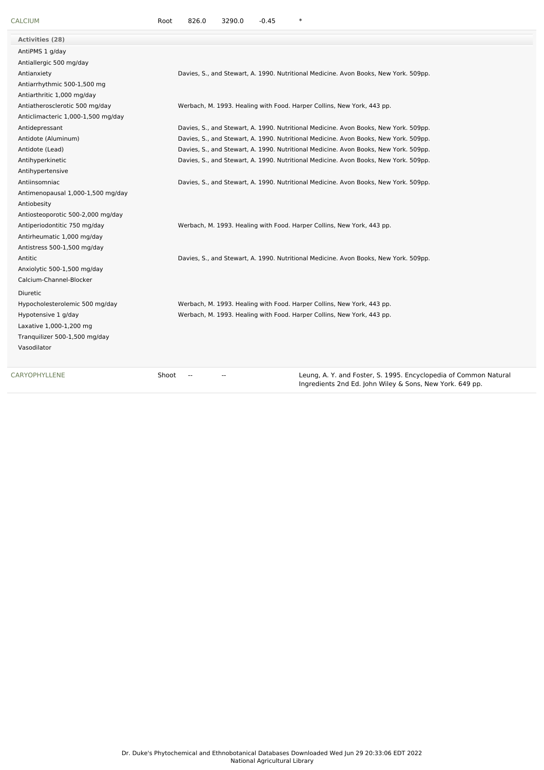| <b>CALCIUM</b>                     | 826.0<br>Root                     | 3290.0                   | $-0.45$ | $\ast$                                                                 |                                                                                      |  |
|------------------------------------|-----------------------------------|--------------------------|---------|------------------------------------------------------------------------|--------------------------------------------------------------------------------------|--|
| Activities (28)                    |                                   |                          |         |                                                                        |                                                                                      |  |
| AntiPMS 1 g/day                    |                                   |                          |         |                                                                        |                                                                                      |  |
| Antiallergic 500 mg/day            |                                   |                          |         |                                                                        |                                                                                      |  |
| Antianxiety                        |                                   |                          |         |                                                                        | Davies, S., and Stewart, A. 1990. Nutritional Medicine. Avon Books, New York. 509pp. |  |
| Antiarrhythmic 500-1,500 mg        |                                   |                          |         |                                                                        |                                                                                      |  |
| Antiarthritic 1,000 mg/day         |                                   |                          |         |                                                                        |                                                                                      |  |
| Antiatherosclerotic 500 mg/day     |                                   |                          |         | Werbach, M. 1993. Healing with Food. Harper Collins, New York, 443 pp. |                                                                                      |  |
| Anticlimacteric 1,000-1,500 mg/day |                                   |                          |         |                                                                        |                                                                                      |  |
| Antidepressant                     |                                   |                          |         |                                                                        | Davies, S., and Stewart, A. 1990. Nutritional Medicine. Avon Books, New York. 509pp. |  |
| Antidote (Aluminum)                |                                   |                          |         |                                                                        | Davies, S., and Stewart, A. 1990. Nutritional Medicine. Avon Books, New York. 509pp. |  |
| Antidote (Lead)                    |                                   |                          |         |                                                                        | Davies, S., and Stewart, A. 1990. Nutritional Medicine. Avon Books, New York. 509pp. |  |
| Antihyperkinetic                   |                                   |                          |         |                                                                        | Davies, S., and Stewart, A. 1990. Nutritional Medicine. Avon Books, New York. 509pp. |  |
| Antihypertensive                   |                                   |                          |         |                                                                        |                                                                                      |  |
| Antiinsomniac                      |                                   |                          |         |                                                                        | Davies, S., and Stewart, A. 1990. Nutritional Medicine. Avon Books, New York. 509pp. |  |
| Antimenopausal 1,000-1,500 mg/day  |                                   |                          |         |                                                                        |                                                                                      |  |
| Antiobesity                        |                                   |                          |         |                                                                        |                                                                                      |  |
| Antiosteoporotic 500-2,000 mg/day  |                                   |                          |         |                                                                        |                                                                                      |  |
| Antiperiodontitic 750 mg/day       |                                   |                          |         | Werbach, M. 1993. Healing with Food. Harper Collins, New York, 443 pp. |                                                                                      |  |
| Antirheumatic 1,000 mg/day         |                                   |                          |         |                                                                        |                                                                                      |  |
| Antistress 500-1,500 mg/day        |                                   |                          |         |                                                                        |                                                                                      |  |
| Antitic                            |                                   |                          |         |                                                                        | Davies, S., and Stewart, A. 1990. Nutritional Medicine. Avon Books, New York. 509pp. |  |
| Anxiolytic 500-1,500 mg/day        |                                   |                          |         |                                                                        |                                                                                      |  |
| Calcium-Channel-Blocker            |                                   |                          |         |                                                                        |                                                                                      |  |
| Diuretic                           |                                   |                          |         |                                                                        |                                                                                      |  |
| Hypocholesterolemic 500 mg/day     |                                   |                          |         | Werbach, M. 1993. Healing with Food. Harper Collins, New York, 443 pp. |                                                                                      |  |
| Hypotensive 1 g/day                |                                   |                          |         | Werbach, M. 1993. Healing with Food. Harper Collins, New York, 443 pp. |                                                                                      |  |
| Laxative 1,000-1,200 mg            |                                   |                          |         |                                                                        |                                                                                      |  |
| Tranquilizer 500-1,500 mg/day      |                                   |                          |         |                                                                        |                                                                                      |  |
| Vasodilator                        |                                   |                          |         |                                                                        |                                                                                      |  |
| CARYOPHYLLENE                      | Shoot<br>$\overline{\phantom{a}}$ | $\overline{\phantom{a}}$ |         |                                                                        | Leung, A. Y. and Foster, S. 1995. Encyclopedia of Common Natural                     |  |

Ingredients 2nd Ed. John Wiley & Sons, New York. 649 pp.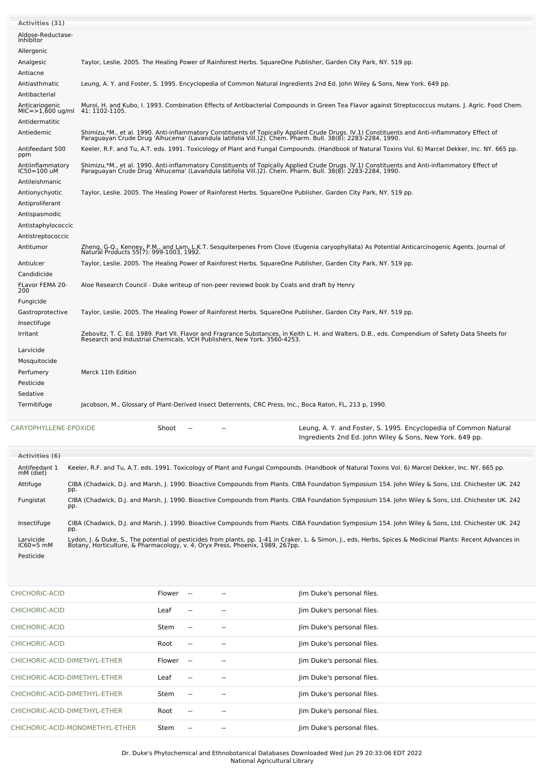| <b>Activities (31)</b>                 |                                                                                                                                                                                                                                   |
|----------------------------------------|-----------------------------------------------------------------------------------------------------------------------------------------------------------------------------------------------------------------------------------|
| Aldose-Reductase-<br>Inhibitor         |                                                                                                                                                                                                                                   |
| Allergenic                             |                                                                                                                                                                                                                                   |
| Analgesic                              | Taylor, Leslie. 2005. The Healing Power of Rainforest Herbs. SquareOne Publisher, Garden City Park, NY. 519 pp.                                                                                                                   |
| Antiacne                               |                                                                                                                                                                                                                                   |
| Antiasthmatic                          | Leung, A. Y. and Foster, S. 1995. Encyclopedia of Common Natural Ingredients 2nd Ed. John Wiley & Sons, New York. 649 pp.                                                                                                         |
| Antibacterial                          |                                                                                                                                                                                                                                   |
| Anticariogenic<br>$MIC = >1,600$ ug/ml | Muroi, H. and Kubo, I. 1993. Combination Effects of Antibacterial Compounds in Green Tea Flavor against Streptococcus mutans. J. Agric. Food Chem.<br>41: 1102-1105.                                                              |
| Antidermatitic                         |                                                                                                                                                                                                                                   |
| Antiedemic                             | Shimizu,*M., et al. 1990. Anti-inflammatory Constituents of Topically Applied Crude Drugs. IV.1) Constituents and Anti-inflammatory Effect of<br>Paraguayan Crude Drug 'Alhucema' (Lavandula latifolia Vill.)2). Chem. Pharm. Bul |
| Antifeedant 500<br>ppm                 | Keeler, R.F. and Tu, A.T. eds. 1991. Toxicology of Plant and Fungal Compounds. (Handbook of Natural Toxins Vol. 6) Marcel Dekker, Inc. NY. 665 pp.                                                                                |
| Antiinflammatory<br>IC50=100 uM        | Shimizu,*M., et al. 1990. Anti-inflammatory Constituents of Topically Applied Crude Drugs. IV.1) Constituents and Anti-inflammatory Effect of<br>Paraguayan Crude Drug 'Alhucema' (Lavandula latifolia Vill.)2). Chem. Pharm. Bul |
| Antileishmanic                         |                                                                                                                                                                                                                                   |
| Antionychyotic                         | Taylor, Leslie. 2005. The Healing Power of Rainforest Herbs. SquareOne Publisher, Garden City Park, NY. 519 pp.                                                                                                                   |
| Antiproliferant                        |                                                                                                                                                                                                                                   |
| Antispasmodic                          |                                                                                                                                                                                                                                   |
| Antistaphylococcic                     |                                                                                                                                                                                                                                   |
| Antistreptococcic                      |                                                                                                                                                                                                                                   |
| Antitumor                              | Zheng, G-Q., Kenney, P.M., and Lam, L.K.T. Sesquiterpenes From Clove (Eugenia caryophyllata) As Potential Anticarcinogenic Agents. Journal of<br>Natural Products 55(7): 999-1003, 1992.                                          |
| Antiulcer                              | Taylor, Leslie. 2005. The Healing Power of Rainforest Herbs. SquareOne Publisher, Garden City Park, NY. 519 pp.                                                                                                                   |
| Candidicide                            |                                                                                                                                                                                                                                   |
| FLavor FEMA 20-<br>200                 | Aloe Research Council - Duke writeup of non-peer reviewd book by Coats and draft by Henry                                                                                                                                         |
| Fungicide                              |                                                                                                                                                                                                                                   |
| Gastroprotective                       | Taylor, Leslie. 2005. The Healing Power of Rainforest Herbs. SquareOne Publisher, Garden City Park, NY. 519 pp.                                                                                                                   |
| Insectifuge                            |                                                                                                                                                                                                                                   |
| Irritant                               | Zebovitz, T. C. Ed. 1989. Part VII. Flavor and Fragrance Substances, in Keith L. H. and Walters, D.B., eds. Compendium of Safety Data Sheets for<br>Research and Industrial Chemicals. VCH Publishers, New York. 3560-4253.       |
| Larvicide                              |                                                                                                                                                                                                                                   |
| Mosquitocide                           |                                                                                                                                                                                                                                   |
| Perfumery                              | Merck 11th Edition                                                                                                                                                                                                                |
| Pesticide                              |                                                                                                                                                                                                                                   |
| Sedative                               |                                                                                                                                                                                                                                   |
| Termitifuge                            | Jacobson, M., Glossary of Plant-Derived Insect Deterrents, CRC Press, Inc., Boca Raton, FL, 213 p, 1990.                                                                                                                          |
| CARYOPHYLLENE-EPOXIDE                  | Shoot<br>Leung, A. Y. and Foster, S. 1995. Encyclopedia of Common Natural                                                                                                                                                         |

| Activities (6)             |                                                                                                                                                                                                                                  |
|----------------------------|----------------------------------------------------------------------------------------------------------------------------------------------------------------------------------------------------------------------------------|
| Antifeedant 1<br>mM (diet) | Keeler, R.F. and Tu, A.T. eds. 1991. Toxicology of Plant and Fungal Compounds. (Handbook of Natural Toxins Vol. 6) Marcel Dekker, Inc. NY. 665 pp.                                                                               |
| Attifuge                   | CIBA (Chadwick, D.J. and Marsh, J. 1990. Bioactive Compounds from Plants. CIBA Foundation Symposium 154. John Wiley & Sons, Ltd. Chichester UK. 242<br>pp.                                                                       |
| Fungistat                  | CIBA (Chadwick, D.J. and Marsh, J. 1990. Bioactive Compounds from Plants. CIBA Foundation Symposium 154. John Wiley & Sons, Ltd. Chichester UK. 242<br>pp.                                                                       |
| Insectifuge                | CIBA (Chadwick, D.J. and Marsh, J. 1990. Bioactive Compounds from Plants. CIBA Foundation Symposium 154. John Wiley & Sons, Ltd. Chichester UK. 242<br>pp.                                                                       |
| Larvicide<br>$IC60=5$ mM   | Lydon, J. & Duke, S., The potential of pesticides from plants, pp. 1-41 in Craker, L. & Simon, J., eds, Herbs, Spices & Medicinal Plants: Recent Advances in<br>Botany, Horticulture, & Pharmacology, v. 4, Oryx Press, Phoenix, |
| Pesticide                  |                                                                                                                                                                                                                                  |

Ingredients 2nd Ed. John Wiley & Sons, New York. 649 pp.

| CHICHORIC-ACID                  | Flower    | $\sim$                   | --                       | Jim Duke's personal files. |
|---------------------------------|-----------|--------------------------|--------------------------|----------------------------|
| CHICHORIC-ACID                  | Leaf      | $\sim$ $-$               | $- -$                    | Jim Duke's personal files. |
| CHICHORIC-ACID                  | Stem      | $\sim$ $\sim$            | --                       | Jim Duke's personal files. |
| CHICHORIC-ACID                  | Root      | $\sim$ $\sim$            | $\overline{\phantom{a}}$ | Jim Duke's personal files. |
| CHICHORIC-ACID-DIMETHYL-ETHER   | Flower -- |                          | --                       | Jim Duke's personal files. |
| CHICHORIC-ACID-DIMETHYL-ETHER   | Leaf      | $\sim$ $\sim$            | $- -$                    | Jim Duke's personal files. |
| CHICHORIC-ACID-DIMETHYL-ETHER   | Stem      | $\sim$ $\sim$            | --                       | Jim Duke's personal files. |
| CHICHORIC-ACID-DIMETHYL-ETHER   | Root      | $\sim$ $\sim$            | $\overline{\phantom{a}}$ | Jim Duke's personal files. |
| CHICHORIC-ACID-MONOMETHYL-ETHER | Stem      | $\overline{\phantom{a}}$ | --                       | Jim Duke's personal files. |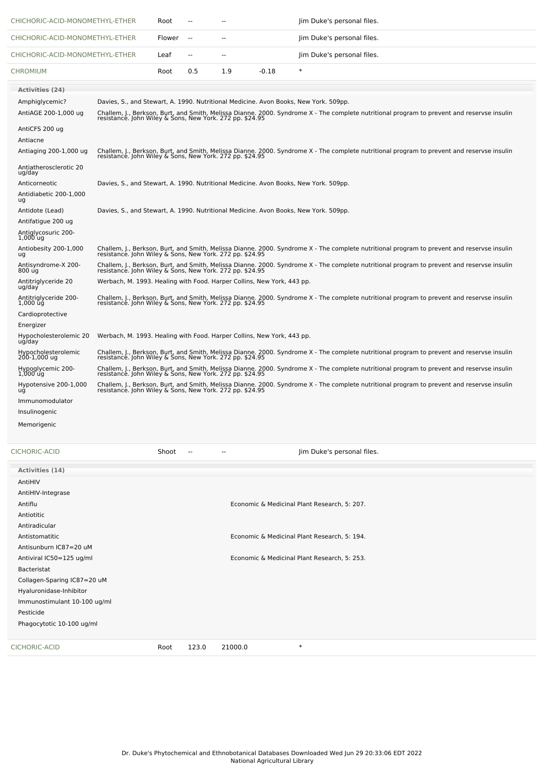| CHICHORIC-ACID-MONOMETHYL-ETHER                         | Root                                                                                 |                          |     |         | Jim Duke's personal files.                                                                                                                                                                             |
|---------------------------------------------------------|--------------------------------------------------------------------------------------|--------------------------|-----|---------|--------------------------------------------------------------------------------------------------------------------------------------------------------------------------------------------------------|
| CHICHORIC-ACID-MONOMETHYL-ETHER                         | Flower                                                                               | $\overline{\phantom{a}}$ |     |         | Jim Duke's personal files.                                                                                                                                                                             |
| CHICHORIC-ACID-MONOMETHYL-ETHER                         | Leaf                                                                                 | $\overline{\phantom{a}}$ | --  |         | Jim Duke's personal files.                                                                                                                                                                             |
| <b>CHROMIUM</b>                                         | Root                                                                                 | 0.5                      | 1.9 | $-0.18$ | $\ast$                                                                                                                                                                                                 |
| <b>Activities (24)</b>                                  |                                                                                      |                          |     |         |                                                                                                                                                                                                        |
| Amphiglycemic?                                          | Davies, S., and Stewart, A. 1990. Nutritional Medicine. Avon Books, New York. 509pp. |                          |     |         |                                                                                                                                                                                                        |
| AntiAGE 200-1,000 ug                                    |                                                                                      |                          |     |         | Challem, J., Berkson, Burt, and Smith, Melissa Dianne. 2000. Syndrome X - The complete nutritional program to prevent and reservse insulin<br>resistance. John Wiley & Sons, New York. 272 pp. \$24.95 |
| AntiCFS 200 ug                                          |                                                                                      |                          |     |         |                                                                                                                                                                                                        |
| Antiacne                                                |                                                                                      |                          |     |         |                                                                                                                                                                                                        |
| Antiaging 200-1,000 ug                                  |                                                                                      |                          |     |         | Challem, J., Berkson, Burt, and Smith, Melissa Dianne. 2000. Syndrome X - The complete nutritional program to prevent and reservse insulin<br>resistance. John Wiley & Sons, New York. 272 pp. \$24.95 |
| Antiatherosclerotic 20<br>ug/day                        |                                                                                      |                          |     |         |                                                                                                                                                                                                        |
| Anticorneotic                                           | Davies, S., and Stewart, A. 1990. Nutritional Medicine. Avon Books, New York. 509pp. |                          |     |         |                                                                                                                                                                                                        |
| Antidiabetic 200-1,000<br>ug                            |                                                                                      |                          |     |         |                                                                                                                                                                                                        |
| Antidote (Lead)                                         | Davies, S., and Stewart, A. 1990. Nutritional Medicine. Avon Books, New York. 509pp. |                          |     |         |                                                                                                                                                                                                        |
| Antifatigue 200 ug                                      |                                                                                      |                          |     |         |                                                                                                                                                                                                        |
| Antiglycosuric 200-<br>$1,000$ ug                       |                                                                                      |                          |     |         |                                                                                                                                                                                                        |
| Antiobesity 200-1,000<br>ug                             |                                                                                      |                          |     |         | Challem, J., Berkson, Burt, and Smith, Melissa Dianne. 2000. Syndrome X - The complete nutritional program to prevent and reservse insulin<br>resistance. John Wiley & Sons, New York. 272 pp. \$24.95 |
| Antisyndrome-X 200-<br>800 úg                           | resistance. John Wiley & Sons, New York. 272 pp. \$24.95                             |                          |     |         | Challem, J., Berkson, Burt, and Smith, Melissa Dianne. 2000. Syndrome X - The complete nutritional program to prevent and reservse insulin                                                             |
| Antitriglyceride 20<br>ug/day                           | Werbach, M. 1993. Healing with Food. Harper Collins, New York, 443 pp.               |                          |     |         |                                                                                                                                                                                                        |
| Antitriglyceride 200-<br>$1,000$ $\mathrm{u}\mathrm{g}$ |                                                                                      |                          |     |         | Challem, J., Berkson, Burt, and Smith, Melissa Dianne. 2000. Syndrome X - The complete nutritional program to prevent and reservse insulin<br>resistance. John Wiley & Sons, New York. 272 pp. \$24.95 |
| Cardioprotective                                        |                                                                                      |                          |     |         |                                                                                                                                                                                                        |
| Energizer                                               |                                                                                      |                          |     |         |                                                                                                                                                                                                        |
| Hypocholesterolemic 20<br>ug/day                        | Werbach, M. 1993. Healing with Food. Harper Collins, New York, 443 pp.               |                          |     |         |                                                                                                                                                                                                        |
| Hypocholesterolemic<br>200-1,000 ug                     |                                                                                      |                          |     |         | Challem, J., Berkson, Burt, and Smith, Melissa Dianne. 2000. Syndrome X - The complete nutritional program to prevent and reservse insulin<br>resistance. John Wiley & Sons, New York. 272 pp. \$24.95 |
| Hypoglycemic 200-<br>$1,000$ ug                         | resistance. John Wiley & Sons, New York. 272 pp. \$24.95                             |                          |     |         | Challem, J., Berkson, Burt, and Smith, Melissa Dianne. 2000. Syndrome X - The complete nutritional program to prevent and reservse insulin                                                             |
| Hypotensive 200-1,000<br>ug                             |                                                                                      |                          |     |         | Challem, J., Berkson, Burt, and Smith, Melissa Dianne. 2000. Syndrome X - The complete nutritional program to prevent and reservse insulin<br>resistance. John Wiley & Sons, New York. 272 pp. \$24.95 |
| Immunomodulator                                         |                                                                                      |                          |     |         |                                                                                                                                                                                                        |
| Insulinogenic                                           |                                                                                      |                          |     |         |                                                                                                                                                                                                        |
| Memorigenic                                             |                                                                                      |                          |     |         |                                                                                                                                                                                                        |
| CICHORIC-ACID                                           | Shoot                                                                                | $\sim$                   |     |         | Jim Duke's personal files.                                                                                                                                                                             |
| Activities (14)                                         |                                                                                      |                          |     |         |                                                                                                                                                                                                        |
| AntiHIV                                                 |                                                                                      |                          |     |         |                                                                                                                                                                                                        |

| CICHORIC-ACID                | Root | 123.0 | 21000.0 | $\ast$                                       |
|------------------------------|------|-------|---------|----------------------------------------------|
|                              |      |       |         |                                              |
| Phagocytotic 10-100 ug/ml    |      |       |         |                                              |
| Pesticide                    |      |       |         |                                              |
| Immunostimulant 10-100 ug/ml |      |       |         |                                              |
| Hyaluronidase-Inhibitor      |      |       |         |                                              |
| Collagen-Sparing IC87=20 uM  |      |       |         |                                              |
| Bacteristat                  |      |       |         |                                              |
| Antiviral IC50=125 ug/ml     |      |       |         | Economic & Medicinal Plant Research, 5: 253. |
| Antisunburn IC87=20 uM       |      |       |         |                                              |
| Antistomatitic               |      |       |         | Economic & Medicinal Plant Research, 5: 194. |
| Antiradicular                |      |       |         |                                              |
| Antiotitic                   |      |       |         |                                              |
| Antiflu                      |      |       |         | Economic & Medicinal Plant Research, 5: 207. |
| AntiHIV-Integrase            |      |       |         |                                              |
| AntiHIV                      |      |       |         |                                              |
|                              |      |       |         |                                              |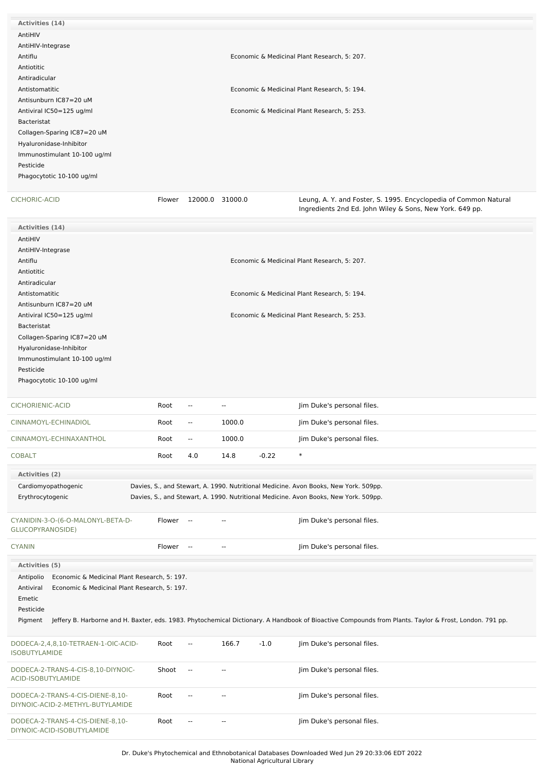| Activities (14)              |        |         |         |                                                                  |
|------------------------------|--------|---------|---------|------------------------------------------------------------------|
| AntiHIV                      |        |         |         |                                                                  |
| AntiHIV-Integrase            |        |         |         |                                                                  |
| Antiflu                      |        |         |         | Economic & Medicinal Plant Research, 5: 207.                     |
| Antiotitic                   |        |         |         |                                                                  |
| Antiradicular                |        |         |         |                                                                  |
| Antistomatitic               |        |         |         | Economic & Medicinal Plant Research, 5: 194.                     |
| Antisunburn IC87=20 uM       |        |         |         |                                                                  |
| Antiviral IC50=125 ug/ml     |        |         |         | Economic & Medicinal Plant Research, 5: 253.                     |
| Bacteristat                  |        |         |         |                                                                  |
| Collagen-Sparing IC87=20 uM  |        |         |         |                                                                  |
| Hyaluronidase-Inhibitor      |        |         |         |                                                                  |
| Immunostimulant 10-100 ug/ml |        |         |         |                                                                  |
| Pesticide                    |        |         |         |                                                                  |
| Phagocytotic 10-100 ug/ml    |        |         |         |                                                                  |
| CICHORIC-ACID                | Flower | 12000.0 | 31000.0 | Leung, A. Y. and Foster, S. 1995. Encyclopedia of Common Natural |

Ingredients 2nd Ed. John Wiley & Sons, New York. 649 pp.

| Activities (14)                                                      |                                              |                          |                          |         |                                                                                                                                                        |  |  |  |
|----------------------------------------------------------------------|----------------------------------------------|--------------------------|--------------------------|---------|--------------------------------------------------------------------------------------------------------------------------------------------------------|--|--|--|
| AntiHIV                                                              |                                              |                          |                          |         |                                                                                                                                                        |  |  |  |
| AntiHIV-Integrase                                                    |                                              |                          |                          |         |                                                                                                                                                        |  |  |  |
| Antiflu                                                              | Economic & Medicinal Plant Research, 5: 207. |                          |                          |         |                                                                                                                                                        |  |  |  |
| Antiotitic                                                           |                                              |                          |                          |         |                                                                                                                                                        |  |  |  |
| Antiradicular                                                        |                                              |                          |                          |         |                                                                                                                                                        |  |  |  |
| Antistomatitic                                                       | Economic & Medicinal Plant Research, 5: 194. |                          |                          |         |                                                                                                                                                        |  |  |  |
| Antisunburn IC87=20 uM                                               |                                              |                          |                          |         |                                                                                                                                                        |  |  |  |
| Antiviral IC50=125 ug/ml                                             | Economic & Medicinal Plant Research, 5: 253. |                          |                          |         |                                                                                                                                                        |  |  |  |
| <b>Bacteristat</b>                                                   |                                              |                          |                          |         |                                                                                                                                                        |  |  |  |
| Collagen-Sparing IC87=20 uM                                          |                                              |                          |                          |         |                                                                                                                                                        |  |  |  |
| Hyaluronidase-Inhibitor                                              |                                              |                          |                          |         |                                                                                                                                                        |  |  |  |
| Immunostimulant 10-100 ug/ml                                         |                                              |                          |                          |         |                                                                                                                                                        |  |  |  |
| Pesticide                                                            |                                              |                          |                          |         |                                                                                                                                                        |  |  |  |
| Phagocytotic 10-100 ug/ml                                            |                                              |                          |                          |         |                                                                                                                                                        |  |  |  |
|                                                                      |                                              |                          |                          |         |                                                                                                                                                        |  |  |  |
| CICHORIENIC-ACID                                                     | Root                                         | $\overline{\phantom{a}}$ | $\overline{\phantom{a}}$ |         | Jim Duke's personal files.                                                                                                                             |  |  |  |
| CINNAMOYL-ECHINADIOL                                                 | Root                                         | $\overline{\phantom{a}}$ | 1000.0                   |         | Jim Duke's personal files.                                                                                                                             |  |  |  |
| CINNAMOYL-ECHINAXANTHOL                                              | Root                                         | $\overline{\phantom{a}}$ | 1000.0                   |         | Jim Duke's personal files.                                                                                                                             |  |  |  |
| <b>COBALT</b>                                                        | Root                                         | 4.0                      | 14.8                     | $-0.22$ | $\ast$                                                                                                                                                 |  |  |  |
| Activities (2)                                                       |                                              |                          |                          |         |                                                                                                                                                        |  |  |  |
| Cardiomyopathogenic                                                  |                                              |                          |                          |         | Davies, S., and Stewart, A. 1990. Nutritional Medicine. Avon Books, New York. 509pp.                                                                   |  |  |  |
| Erythrocytogenic                                                     |                                              |                          |                          |         | Davies, S., and Stewart, A. 1990. Nutritional Medicine. Avon Books, New York. 509pp.                                                                   |  |  |  |
|                                                                      |                                              |                          |                          |         |                                                                                                                                                        |  |  |  |
| CYANIDIN-3-O-(6-O-MALONYL-BETA-D-<br>GLUCOPYRANOSIDE)                | Flower --                                    |                          | --                       |         | Jim Duke's personal files.                                                                                                                             |  |  |  |
| <b>CYANIN</b>                                                        | Flower --                                    |                          | $\overline{a}$           |         | Jim Duke's personal files.                                                                                                                             |  |  |  |
| Activities (5)                                                       |                                              |                          |                          |         |                                                                                                                                                        |  |  |  |
| Economic & Medicinal Plant Research, 5: 197.<br>Antipolio            |                                              |                          |                          |         |                                                                                                                                                        |  |  |  |
| Antiviral<br>Economic & Medicinal Plant Research, 5: 197.            |                                              |                          |                          |         |                                                                                                                                                        |  |  |  |
| Emetic                                                               |                                              |                          |                          |         |                                                                                                                                                        |  |  |  |
| Pesticide                                                            |                                              |                          |                          |         |                                                                                                                                                        |  |  |  |
| Pigment                                                              |                                              |                          |                          |         | Jeffery B. Harborne and H. Baxter, eds. 1983. Phytochemical Dictionary. A Handbook of Bioactive Compounds from Plants. Taylor & Frost, London. 791 pp. |  |  |  |
|                                                                      |                                              |                          |                          |         |                                                                                                                                                        |  |  |  |
| DODECA-2,4,8,10-TETRAEN-1-OIC-ACID-<br><b>ISOBUTYLAMIDE</b>          | Root                                         |                          | 166.7                    | $-1.0$  | Jim Duke's personal files.                                                                                                                             |  |  |  |
| DODECA-2-TRANS-4-CIS-8,10-DIYNOIC-<br>ACID-ISOBUTYLAMIDE             | Shoot                                        | $\overline{\phantom{a}}$ | --                       |         | Jim Duke's personal files.                                                                                                                             |  |  |  |
| DODECA-2-TRANS-4-CIS-DIENE-8,10-<br>DIYNOIC-ACID-2-METHYL-BUTYLAMIDE | Root                                         | $\overline{\phantom{a}}$ | --                       |         | Jim Duke's personal files.                                                                                                                             |  |  |  |
| DODECA-2-TRANS-4-CIS-DIENE-8,10-                                     | Root                                         | $\overline{\phantom{a}}$ | $\overline{\phantom{a}}$ |         | Jim Duke's personal files.                                                                                                                             |  |  |  |

DIYNOIC-ACID-ISOBUTYLAMIDE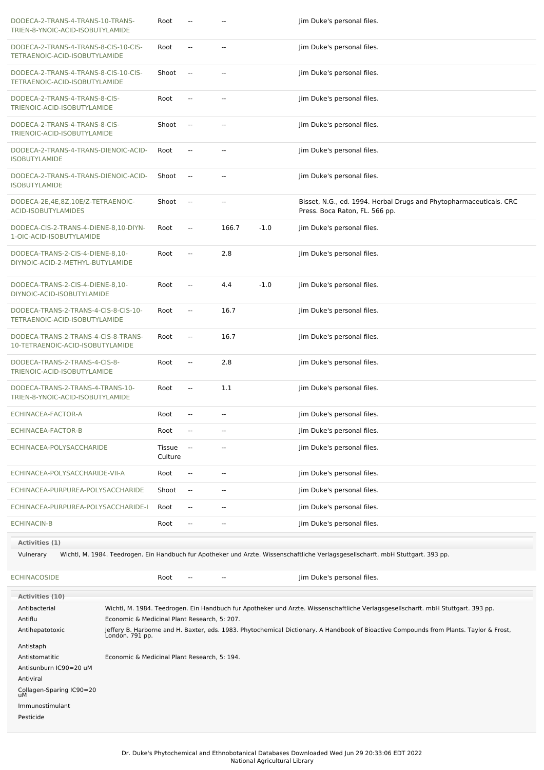| DODECA-2-TRANS-4-TRANS-10-TRANS-<br>TRIEN-8-YNOIC-ACID-ISOBUTYLAMIDE    |                                              | Root                     | $\overline{\phantom{a}}$ | $\overline{\phantom{a}}$ |        | Jim Duke's personal files.                                                                                                                                |
|-------------------------------------------------------------------------|----------------------------------------------|--------------------------|--------------------------|--------------------------|--------|-----------------------------------------------------------------------------------------------------------------------------------------------------------|
| DODECA-2-TRANS-4-TRANS-8-CIS-10-CIS-<br>TETRAENOIC-ACID-ISOBUTYLAMIDE   |                                              | Root                     | $\overline{\phantom{a}}$ | $\overline{a}$           |        | Jim Duke's personal files.                                                                                                                                |
| DODECA-2-TRANS-4-TRANS-8-CIS-10-CIS-<br>TETRAENOIC-ACID-ISOBUTYLAMIDE   |                                              | Shoot                    | $\sim$                   | $\overline{\phantom{a}}$ |        | Jim Duke's personal files.                                                                                                                                |
| DODECA-2-TRANS-4-TRANS-8-CIS-<br>TRIENOIC-ACID-ISOBUTYLAMIDE            |                                              | Root                     | $\overline{\phantom{a}}$ | $\overline{\phantom{a}}$ |        | Jim Duke's personal files.                                                                                                                                |
| DODECA-2-TRANS-4-TRANS-8-CIS-<br>TRIENOIC-ACID-ISOBUTYLAMIDE            |                                              | Shoot                    | $\overline{\phantom{a}}$ | $\sim$                   |        | Jim Duke's personal files.                                                                                                                                |
| DODECA-2-TRANS-4-TRANS-DIENOIC-ACID-<br><b>ISOBUTYLAMIDE</b>            |                                              | Root                     | $\overline{\phantom{a}}$ | $\overline{\phantom{a}}$ |        | Jim Duke's personal files.                                                                                                                                |
| DODECA-2-TRANS-4-TRANS-DIENOIC-ACID-<br><b>ISOBUTYLAMIDE</b>            |                                              | Shoot                    | $\mathbb{L}$             | $\overline{\phantom{a}}$ |        | Jim Duke's personal files.                                                                                                                                |
| DODECA-2E,4E,8Z,10E/Z-TETRAENOIC-<br>ACID-ISOBUTYLAMIDES                |                                              | Shoot                    | $\rightarrow$            | $\overline{\phantom{a}}$ |        | Bisset, N.G., ed. 1994. Herbal Drugs and Phytopharmaceuticals. CRC<br>Press. Boca Raton, FL. 566 pp.                                                      |
| DODECA-CIS-2-TRANS-4-DIENE-8,10-DIYN-<br>1-OIC-ACID-ISOBUTYLAMIDE       |                                              | Root                     | $\overline{\phantom{a}}$ | 166.7                    | $-1.0$ | Jim Duke's personal files.                                                                                                                                |
| DODECA-TRANS-2-CIS-4-DIENE-8,10-<br>DIYNOIC-ACID-2-METHYL-BUTYLAMIDE    |                                              | Root                     | $\overline{\phantom{a}}$ | 2.8                      |        | Jim Duke's personal files.                                                                                                                                |
| DODECA-TRANS-2-CIS-4-DIENE-8,10-<br>DIYNOIC-ACID-ISOBUTYLAMIDE          |                                              | Root                     | $\sim$                   | 4.4                      | $-1.0$ | Jim Duke's personal files.                                                                                                                                |
| DODECA-TRANS-2-TRANS-4-CIS-8-CIS-10-<br>TETRAENOIC-ACID-ISOBUTYLAMIDE   |                                              | Root                     | $\overline{\phantom{a}}$ | 16.7                     |        | Jim Duke's personal files.                                                                                                                                |
| DODECA-TRANS-2-TRANS-4-CIS-8-TRANS-<br>10-TETRAENOIC-ACID-ISOBUTYLAMIDE |                                              | Root                     | $\overline{\phantom{a}}$ | 16.7                     |        | Jim Duke's personal files.                                                                                                                                |
| DODECA-TRANS-2-TRANS-4-CIS-8-<br>TRIENOIC-ACID-ISOBUTYLAMIDE            |                                              | Root                     | $\overline{\phantom{a}}$ | 2.8                      |        | Jim Duke's personal files.                                                                                                                                |
| DODECA-TRANS-2-TRANS-4-TRANS-10-<br>TRIEN-8-YNOIC-ACID-ISOBUTYLAMIDE    |                                              | Root                     | 4                        | 1.1                      |        | Jim Duke's personal files.                                                                                                                                |
| ECHINACEA-FACTOR-A                                                      |                                              | Root                     | $\sim$                   | $\overline{\phantom{a}}$ |        | Jim Duke's personal files.                                                                                                                                |
| ECHINACEA-FACTOR-B                                                      |                                              | Root                     | $\overline{\phantom{a}}$ |                          |        | Jim Duke's personal files.                                                                                                                                |
| ECHINACEA-POLYSACCHARIDE                                                |                                              | <b>Tissue</b><br>Culture | $\sim$                   | $\overline{a}$           |        | Jim Duke's personal files.                                                                                                                                |
| ECHINACEA-POLYSACCHARIDE-VII-A                                          |                                              | Root                     | $\overline{\phantom{a}}$ | $\overline{\phantom{a}}$ |        | Jim Duke's personal files.                                                                                                                                |
| ECHINACEA-PURPUREA-POLYSACCHARIDE                                       |                                              | Shoot                    | $\sim$                   | $\overline{a}$           |        | Jim Duke's personal files.                                                                                                                                |
| ECHINACEA-PURPUREA-POLYSACCHARIDE-I                                     |                                              | Root                     | $\sim$ $\sim$            | $\overline{a}$           |        | Jim Duke's personal files.                                                                                                                                |
| <b>ECHINACIN-B</b>                                                      |                                              | Root                     | $\sim$                   | $\overline{a}$           |        | Jim Duke's personal files.                                                                                                                                |
| Activities (1)<br>Vulnerary                                             |                                              |                          |                          |                          |        | Wichtl, M. 1984. Teedrogen. Ein Handbuch fur Apotheker und Arzte. Wissenschaftliche Verlagsgesellscharft. mbH Stuttgart. 393 pp.                          |
| <b>ECHINACOSIDE</b>                                                     |                                              | Root                     |                          |                          |        | Jim Duke's personal files.                                                                                                                                |
| Activities (10)                                                         |                                              |                          |                          |                          |        |                                                                                                                                                           |
| Antibacterial                                                           |                                              |                          |                          |                          |        | Wichtl, M. 1984. Teedrogen. Ein Handbuch fur Apotheker und Arzte. Wissenschaftliche Verlagsgesellscharft. mbH Stuttgart. 393 pp.                          |
| Antiflu<br>Antihepatotoxic                                              | Economic & Medicinal Plant Research, 5: 207. |                          |                          |                          |        | Jeffery B. Harborne and H. Baxter, eds. 1983. Phytochemical Dictionary. A Handbook of Bioactive Compounds from Plants. Taylor & Frost,<br>London. 791 pp. |
| Antistaph                                                               |                                              |                          |                          |                          |        |                                                                                                                                                           |
| Antistomatitic<br>Antisunburn IC90=20 uM                                | Economic & Medicinal Plant Research, 5: 194. |                          |                          |                          |        |                                                                                                                                                           |
| Antiviral<br>Collagen-Sparing IC90=20<br>uМ                             |                                              |                          |                          |                          |        |                                                                                                                                                           |
| Immunostimulant<br>Pesticide                                            |                                              |                          |                          |                          |        |                                                                                                                                                           |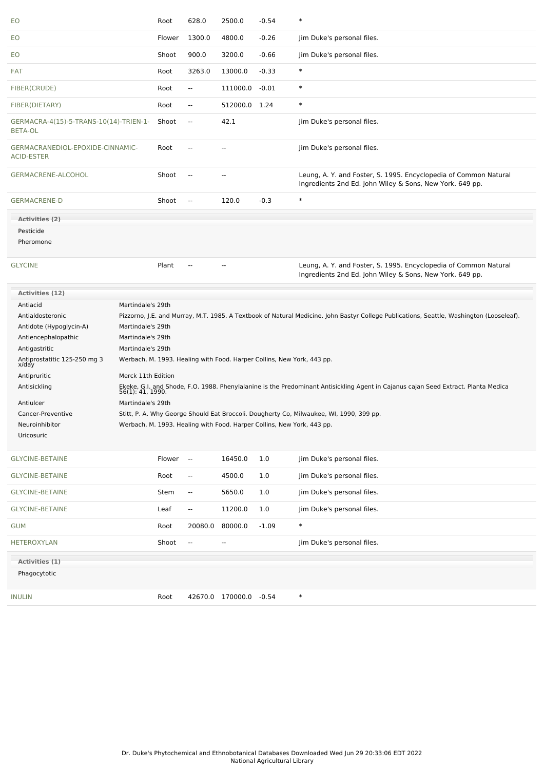| EO                                                       |                                                                                                                                          | Root   | 628.0                    | 2500.0                   | $-0.54$                                                                | $\ast$                                                                                                                                                 |
|----------------------------------------------------------|------------------------------------------------------------------------------------------------------------------------------------------|--------|--------------------------|--------------------------|------------------------------------------------------------------------|--------------------------------------------------------------------------------------------------------------------------------------------------------|
| EO                                                       |                                                                                                                                          | Flower | 1300.0                   | 4800.0                   | $-0.26$                                                                | Jim Duke's personal files.                                                                                                                             |
| EO                                                       |                                                                                                                                          | Shoot  | 900.0                    | 3200.0                   | $-0.66$                                                                | Jim Duke's personal files.                                                                                                                             |
| <b>FAT</b>                                               |                                                                                                                                          | Root   | 3263.0                   | 13000.0                  | $-0.33$                                                                | $\ast$                                                                                                                                                 |
| FIBER(CRUDE)                                             |                                                                                                                                          | Root   | $\overline{\phantom{a}}$ | 111000.0                 | -0.01                                                                  | $\ast$                                                                                                                                                 |
| FIBER(DIETARY)                                           |                                                                                                                                          | Root   | $\overline{\phantom{a}}$ | 512000.0 1.24            |                                                                        | $\ast$                                                                                                                                                 |
| GERMACRA-4(15)-5-TRANS-10(14)-TRIEN-1-<br><b>BETA-OL</b> |                                                                                                                                          | Shoot  | $\overline{\phantom{a}}$ | 42.1                     |                                                                        | Jim Duke's personal files.                                                                                                                             |
| GERMACRANEDIOL-EPOXIDE-CINNAMIC-<br><b>ACID-ESTER</b>    |                                                                                                                                          | Root   | $\overline{\phantom{a}}$ | --                       |                                                                        | Jim Duke's personal files.                                                                                                                             |
| GERMACRENE-ALCOHOL                                       |                                                                                                                                          | Shoot  | $\overline{\phantom{a}}$ | --                       |                                                                        | Leung, A. Y. and Foster, S. 1995. Encyclopedia of Common Natural<br>Ingredients 2nd Ed. John Wiley & Sons, New York. 649 pp.                           |
| <b>GERMACRENE-D</b>                                      |                                                                                                                                          | Shoot  | $\overline{\phantom{a}}$ | 120.0                    | $-0.3$                                                                 | $\ast$                                                                                                                                                 |
| <b>Activities (2)</b>                                    |                                                                                                                                          |        |                          |                          |                                                                        |                                                                                                                                                        |
| Pesticide                                                |                                                                                                                                          |        |                          |                          |                                                                        |                                                                                                                                                        |
| Pheromone                                                |                                                                                                                                          |        |                          |                          |                                                                        |                                                                                                                                                        |
| <b>GLYCINE</b>                                           |                                                                                                                                          | Plant  | $\overline{a}$           | $-$                      |                                                                        | Leung, A. Y. and Foster, S. 1995. Encyclopedia of Common Natural<br>Ingredients 2nd Ed. John Wiley & Sons, New York. 649 pp.                           |
| <b>Activities (12)</b>                                   |                                                                                                                                          |        |                          |                          |                                                                        |                                                                                                                                                        |
| Antiacid                                                 | Martindale's 29th                                                                                                                        |        |                          |                          |                                                                        |                                                                                                                                                        |
|                                                          | Pizzorno, J.E. and Murray, M.T. 1985. A Textbook of Natural Medicine. John Bastyr College Publications, Seattle, Washington (Looseleaf). |        |                          |                          |                                                                        |                                                                                                                                                        |
| Antialdosteronic                                         |                                                                                                                                          |        |                          |                          |                                                                        |                                                                                                                                                        |
| Antidote (Hypoglycin-A)                                  | Martindale's 29th                                                                                                                        |        |                          |                          |                                                                        |                                                                                                                                                        |
| Antiencephalopathic                                      | Martindale's 29th                                                                                                                        |        |                          |                          |                                                                        |                                                                                                                                                        |
| Antigastritic                                            | Martindale's 29th                                                                                                                        |        |                          |                          |                                                                        |                                                                                                                                                        |
| Antiprostatitic 125-250 mg 3<br>x/day                    |                                                                                                                                          |        |                          |                          | Werbach, M. 1993. Healing with Food. Harper Collins, New York, 443 pp. |                                                                                                                                                        |
| Antipruritic                                             | Merck 11th Edition                                                                                                                       |        |                          |                          |                                                                        |                                                                                                                                                        |
| Antisickling                                             |                                                                                                                                          |        |                          |                          |                                                                        |                                                                                                                                                        |
| Antiulcer                                                | Martindale's 29th                                                                                                                        |        |                          |                          |                                                                        | Ekeke, G.I. and Shode, F.O. 1988. Phenylalanine is the Predominant Antisickling Agent in Cajanus cajan Seed Extract. Planta Medica<br>56(1): 41, 1990. |
| Cancer-Preventive                                        |                                                                                                                                          |        |                          |                          |                                                                        | Stitt, P. A. Why George Should Eat Broccoli. Dougherty Co, Milwaukee, WI, 1990, 399 pp.                                                                |
| Neuroinhibitor<br>Uricosuric                             |                                                                                                                                          |        |                          |                          | Werbach, M. 1993. Healing with Food. Harper Collins, New York, 443 pp. |                                                                                                                                                        |
| <b>GLYCINE-BETAINE</b>                                   |                                                                                                                                          | Flower | $\rightarrow$            | 16450.0                  | 1.0                                                                    | Jim Duke's personal files.                                                                                                                             |
| <b>GLYCINE-BETAINE</b>                                   |                                                                                                                                          | Root   | --                       | 4500.0                   | 1.0                                                                    | Jim Duke's personal files.                                                                                                                             |
| <b>GLYCINE-BETAINE</b>                                   |                                                                                                                                          | Stem   | --                       | 5650.0                   | 1.0                                                                    | Jim Duke's personal files.                                                                                                                             |
| <b>GLYCINE-BETAINE</b>                                   |                                                                                                                                          | Leaf   | 4                        | 11200.0                  | 1.0                                                                    | Jim Duke's personal files.                                                                                                                             |
| <b>GUM</b>                                               |                                                                                                                                          | Root   | 20080.0                  | 80000.0                  | $-1.09$                                                                | $\ast$                                                                                                                                                 |
| <b>HETEROXYLAN</b>                                       |                                                                                                                                          | Shoot  | 4                        | $\overline{\phantom{a}}$ |                                                                        | Jim Duke's personal files.                                                                                                                             |
| Activities (1)                                           |                                                                                                                                          |        |                          |                          |                                                                        |                                                                                                                                                        |
| Phagocytotic                                             |                                                                                                                                          |        |                          |                          |                                                                        |                                                                                                                                                        |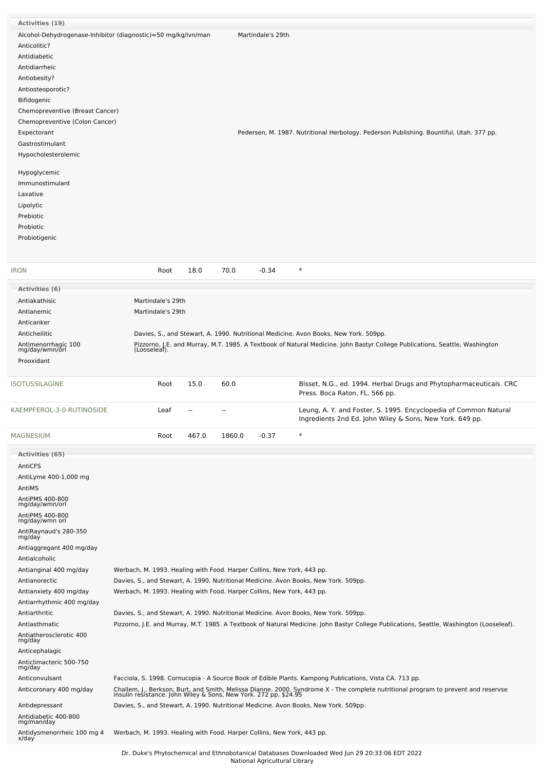| <b>Activities (19)</b>                                        |                                                                        |       |        |                   |                                                                                                                                                                                                        |
|---------------------------------------------------------------|------------------------------------------------------------------------|-------|--------|-------------------|--------------------------------------------------------------------------------------------------------------------------------------------------------------------------------------------------------|
| Alcohol-Dehydrogenase-Inhibitor (diagnostic)=50 mg/kg/ivn/man |                                                                        |       |        | Martindale's 29th |                                                                                                                                                                                                        |
| Anticolitic?                                                  |                                                                        |       |        |                   |                                                                                                                                                                                                        |
| Antidiabetic                                                  |                                                                        |       |        |                   |                                                                                                                                                                                                        |
| Antidiarrheic                                                 |                                                                        |       |        |                   |                                                                                                                                                                                                        |
| Antiobesity?                                                  |                                                                        |       |        |                   |                                                                                                                                                                                                        |
| Antiosteoporotic?                                             |                                                                        |       |        |                   |                                                                                                                                                                                                        |
| Bifidogenic                                                   |                                                                        |       |        |                   |                                                                                                                                                                                                        |
| Chemopreventive (Breast Cancer)                               |                                                                        |       |        |                   |                                                                                                                                                                                                        |
| Chemopreventive (Colon Cancer)                                |                                                                        |       |        |                   |                                                                                                                                                                                                        |
| Expectorant                                                   |                                                                        |       |        |                   | Pedersen, M. 1987. Nutritional Herbology. Pederson Publishing. Bountiful, Utah. 377 pp.                                                                                                                |
| Gastrostimulant                                               |                                                                        |       |        |                   |                                                                                                                                                                                                        |
|                                                               |                                                                        |       |        |                   |                                                                                                                                                                                                        |
| Hypocholesterolemic                                           |                                                                        |       |        |                   |                                                                                                                                                                                                        |
| Hypoglycemic                                                  |                                                                        |       |        |                   |                                                                                                                                                                                                        |
| Immunostimulant                                               |                                                                        |       |        |                   |                                                                                                                                                                                                        |
| Laxative                                                      |                                                                        |       |        |                   |                                                                                                                                                                                                        |
| Lipolytic                                                     |                                                                        |       |        |                   |                                                                                                                                                                                                        |
| Prebiotic                                                     |                                                                        |       |        |                   |                                                                                                                                                                                                        |
|                                                               |                                                                        |       |        |                   |                                                                                                                                                                                                        |
| Probiotic                                                     |                                                                        |       |        |                   |                                                                                                                                                                                                        |
| Probiotigenic                                                 |                                                                        |       |        |                   |                                                                                                                                                                                                        |
|                                                               |                                                                        |       |        |                   |                                                                                                                                                                                                        |
|                                                               |                                                                        |       |        |                   |                                                                                                                                                                                                        |
| <b>IRON</b>                                                   | Root                                                                   | 18.0  | 70.0   | $-0.34$           | $\ast$                                                                                                                                                                                                 |
| <b>Activities (6)</b>                                         |                                                                        |       |        |                   |                                                                                                                                                                                                        |
|                                                               |                                                                        |       |        |                   |                                                                                                                                                                                                        |
| Antiakathisic                                                 | Martindale's 29th                                                      |       |        |                   |                                                                                                                                                                                                        |
| Antianemic                                                    | Martindale's 29th                                                      |       |        |                   |                                                                                                                                                                                                        |
| Anticanker                                                    |                                                                        |       |        |                   |                                                                                                                                                                                                        |
| Anticheilitic                                                 |                                                                        |       |        |                   | Davies, S., and Stewart, A. 1990. Nutritional Medicine. Avon Books, New York. 509pp.                                                                                                                   |
| Antimenorrhagic 100<br>mg/day/wmn/orl                         |                                                                        |       |        |                   | Pizzorno, J.E. and Murray, M.T. 1985. A Textbook of Natural Medicine. John Bastyr College Publications, Seattle, Washington<br>(Looseleaf).                                                            |
| Prooxidant                                                    |                                                                        |       |        |                   |                                                                                                                                                                                                        |
|                                                               |                                                                        |       |        |                   |                                                                                                                                                                                                        |
|                                                               |                                                                        |       |        |                   |                                                                                                                                                                                                        |
| <b>SOTUSSILAGINE</b>                                          | Root                                                                   | 15.0  | 60.0   |                   | Bisset, N.G., ed. 1994. Herbal Drugs and Phytopharmaceuticals. CRC<br>Press. Boca Raton, FL. 566 pp.                                                                                                   |
|                                                               |                                                                        |       |        |                   |                                                                                                                                                                                                        |
| KAEMPFEROL-3-0-RUTINOSIDE                                     | Leaf                                                                   | --    |        |                   | Leung, A. Y. and Foster, S. 1995. Encyclopedia of Common Natural                                                                                                                                       |
|                                                               |                                                                        |       |        |                   | Ingredients 2nd Ed. John Wiley & Sons, New York. 649 pp.                                                                                                                                               |
| MAGNESIUM                                                     | Root                                                                   | 467.0 | 1860.0 | $-0.37$           | $\ast$                                                                                                                                                                                                 |
|                                                               |                                                                        |       |        |                   |                                                                                                                                                                                                        |
| Activities (65)                                               |                                                                        |       |        |                   |                                                                                                                                                                                                        |
| AntiCFS                                                       |                                                                        |       |        |                   |                                                                                                                                                                                                        |
| AntiLyme 400-1,000 mg                                         |                                                                        |       |        |                   |                                                                                                                                                                                                        |
| AntiMS                                                        |                                                                        |       |        |                   |                                                                                                                                                                                                        |
| AntiPMS 400-800                                               |                                                                        |       |        |                   |                                                                                                                                                                                                        |
| mg/day/wmn/orl                                                |                                                                        |       |        |                   |                                                                                                                                                                                                        |
| AntiPMS 400-800<br>mg/day/wmn orl                             |                                                                        |       |        |                   |                                                                                                                                                                                                        |
| AntiRaynaud's 280-350                                         |                                                                        |       |        |                   |                                                                                                                                                                                                        |
| mg/day                                                        |                                                                        |       |        |                   |                                                                                                                                                                                                        |
| Antiaggregant 400 mg/day                                      |                                                                        |       |        |                   |                                                                                                                                                                                                        |
| Antialcoholic                                                 |                                                                        |       |        |                   |                                                                                                                                                                                                        |
| Antianginal 400 mg/day                                        | Werbach, M. 1993. Healing with Food. Harper Collins, New York, 443 pp. |       |        |                   |                                                                                                                                                                                                        |
| Antianorectic                                                 |                                                                        |       |        |                   | Davies, S., and Stewart, A. 1990. Nutritional Medicine. Avon Books, New York. 509pp.                                                                                                                   |
| Antianxiety 400 mg/day                                        | Werbach, M. 1993. Healing with Food. Harper Collins, New York, 443 pp. |       |        |                   |                                                                                                                                                                                                        |
| Antiarrhythmic 400 mg/day                                     |                                                                        |       |        |                   |                                                                                                                                                                                                        |
| Antiarthritic                                                 |                                                                        |       |        |                   | Davies, S., and Stewart, A. 1990. Nutritional Medicine. Avon Books, New York. 509pp.                                                                                                                   |
| Antiasthmatic                                                 |                                                                        |       |        |                   | Pizzorno, J.E. and Murray, M.T. 1985. A Textbook of Natural Medicine. John Bastyr College Publications, Seattle, Washington (Looseleaf).                                                               |
| Antiatherosclerotic 400                                       |                                                                        |       |        |                   |                                                                                                                                                                                                        |
| mg/day                                                        |                                                                        |       |        |                   |                                                                                                                                                                                                        |
| Anticephalagic                                                |                                                                        |       |        |                   |                                                                                                                                                                                                        |
| Anticlimacteric 500-750<br>mg/day                             |                                                                        |       |        |                   |                                                                                                                                                                                                        |
| Anticonvulsant                                                |                                                                        |       |        |                   | Facciola, S. 1998. Cornucopia - A Source Book of Edible Plants. Kampong Publications, Vista CA. 713 pp.                                                                                                |
|                                                               |                                                                        |       |        |                   |                                                                                                                                                                                                        |
| Anticoronary 400 mg/day                                       |                                                                        |       |        |                   | Challem, J., Berkson, Burt, and Smith, Melissa Dianne. 2000. Syndrome X - The complete nutritional program to prevent and reservse<br>insulin resistance. John Wiley & Sons, New York. 272 pp. \$24.95 |
| Antidepressant                                                |                                                                        |       |        |                   | Davies, S., and Stewart, A. 1990. Nutritional Medicine. Avon Books, New York. 509pp.                                                                                                                   |
| Antidiabetic 400-800                                          |                                                                        |       |        |                   |                                                                                                                                                                                                        |
| mg/man/day                                                    |                                                                        |       |        |                   |                                                                                                                                                                                                        |
| Antidysmenorrheic 100 mg 4<br>x/day                           | Werbach, M. 1993. Healing with Food. Harper Collins, New York, 443 pp. |       |        |                   |                                                                                                                                                                                                        |
|                                                               |                                                                        |       |        |                   |                                                                                                                                                                                                        |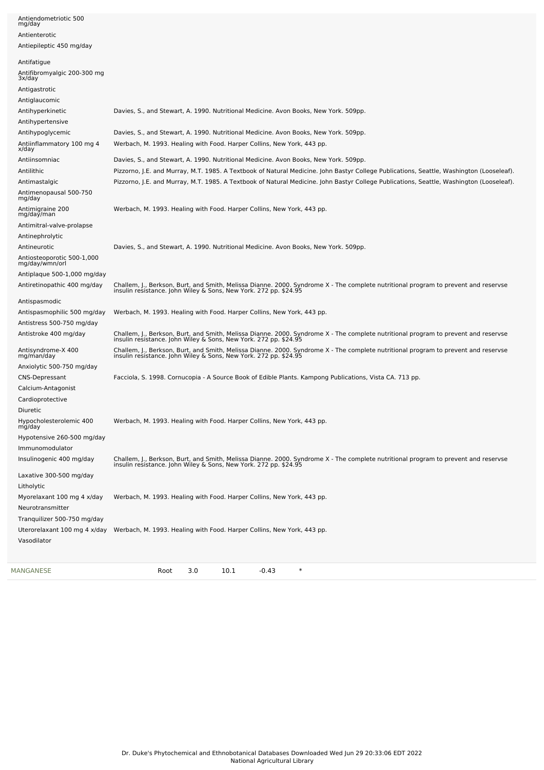| Antienterotic                                      |                                                                                                                                                                                                        |
|----------------------------------------------------|--------------------------------------------------------------------------------------------------------------------------------------------------------------------------------------------------------|
| Antiepileptic 450 mg/day                           |                                                                                                                                                                                                        |
| Antifatigue                                        |                                                                                                                                                                                                        |
| Antifibromyalgic 200-300 mg<br>3x/day              |                                                                                                                                                                                                        |
| Antigastrotic                                      |                                                                                                                                                                                                        |
| Antiglaucomic                                      |                                                                                                                                                                                                        |
| Antihyperkinetic                                   | Davies, S., and Stewart, A. 1990. Nutritional Medicine. Avon Books, New York. 509pp.                                                                                                                   |
| Antihypertensive                                   |                                                                                                                                                                                                        |
| Antihypoglycemic<br>Antiinflammatory 100 mg 4      | Davies, S., and Stewart, A. 1990. Nutritional Medicine. Avon Books, New York. 509pp.<br>Werbach, M. 1993. Healing with Food. Harper Collins, New York, 443 pp.                                         |
| x/day                                              |                                                                                                                                                                                                        |
| Antiinsomniac                                      | Davies, S., and Stewart, A. 1990. Nutritional Medicine. Avon Books, New York. 509pp.                                                                                                                   |
| Antilithic                                         | Pizzorno, J.E. and Murray, M.T. 1985. A Textbook of Natural Medicine. John Bastyr College Publications, Seattle, Washington (Looseleaf).                                                               |
| Antimastalgic                                      | Pizzorno, J.E. and Murray, M.T. 1985. A Textbook of Natural Medicine. John Bastyr College Publications, Seattle, Washington (Looseleaf).                                                               |
| Antimenopausal 500-750<br>mg/day                   |                                                                                                                                                                                                        |
| Antimigraine 200<br>mg/day/man                     | Werbach, M. 1993. Healing with Food. Harper Collins, New York, 443 pp.                                                                                                                                 |
| Antimitral-valve-prolapse                          |                                                                                                                                                                                                        |
| Antinephrolytic                                    |                                                                                                                                                                                                        |
| Antineurotic                                       | Davies, S., and Stewart, A. 1990. Nutritional Medicine. Avon Books, New York. 509pp.                                                                                                                   |
| Antiosteoporotic 500-1,000<br>mg/day/wmn/orl       |                                                                                                                                                                                                        |
| Antiplaque 500-1,000 mg/day                        |                                                                                                                                                                                                        |
| Antiretinopathic 400 mg/day                        | Challem, J., Berkson, Burt, and Smith, Melissa Dianne. 2000. Syndrome X - The complete nutritional program to prevent and reservse<br>insulin resistance. John Wiley & Sons, New York. 272 pp. \$24.95 |
| Antispasmodic                                      |                                                                                                                                                                                                        |
| Antispasmophilic 500 mg/day                        | Werbach, M. 1993. Healing with Food. Harper Collins, New York, 443 pp.                                                                                                                                 |
| Antistress 500-750 mg/day                          |                                                                                                                                                                                                        |
| Antistroke 400 mg/day                              | Challem, J., Berkson, Burt, and Smith, Melissa Dianne. 2000. Syndrome X - The complete nutritional program to prevent and reservse<br>insulin resistance. John Wiley & Sons, New York. 272 pp. \$24.95 |
| Antisyndrome-X 400<br>mg/man/day                   | Challem, J., Berkson, Burt, and Smith, Melissa Dianne. 2000. Syndrome X - The complete nutritional program to prevent and reservse<br>insulin resistance. John Wiley & Sons, New York. 272 pp. \$24.95 |
| Anxiolytic 500-750 mg/day<br><b>CNS-Depressant</b> | Facciola, S. 1998. Cornucopia - A Source Book of Edible Plants. Kampong Publications, Vista CA. 713 pp.                                                                                                |
| Calcium-Antagonist                                 |                                                                                                                                                                                                        |
| Cardioprotective                                   |                                                                                                                                                                                                        |
| <b>Diuretic</b>                                    |                                                                                                                                                                                                        |
| Hypocholesterolemic 400<br>mg/day                  | Werbach, M. 1993. Healing with Food. Harper Collins, New York, 443 pp.                                                                                                                                 |
| Hypotensive 260-500 mg/day                         |                                                                                                                                                                                                        |
| Immunomodulator                                    |                                                                                                                                                                                                        |
| Insulinogenic 400 mg/day                           | Challem, J., Berkson, Burt, and Smith, Melissa Dianne. 2000. Syndrome X - The complete nutritional program to prevent and reservse<br>insulin resistance. John Wiley & Sons, New York. 272 pp. \$24.95 |
| Laxative 300-500 mg/day                            |                                                                                                                                                                                                        |
| Litholytic                                         |                                                                                                                                                                                                        |
| Myorelaxant 100 mg 4 x/day<br>Neurotransmitter     | Werbach, M. 1993. Healing with Food. Harper Collins, New York, 443 pp.                                                                                                                                 |
| Tranquilizer 500-750 mg/day                        |                                                                                                                                                                                                        |
|                                                    | Uterorelaxant 100 mg 4 x/day Werbach, M. 1993. Healing with Food. Harper Collins, New York, 443 pp.                                                                                                    |
| Vasodilator                                        |                                                                                                                                                                                                        |
| MANGANESE                                          | $\ast$<br>3.0<br>10.1<br>$-0.43$<br>Root                                                                                                                                                               |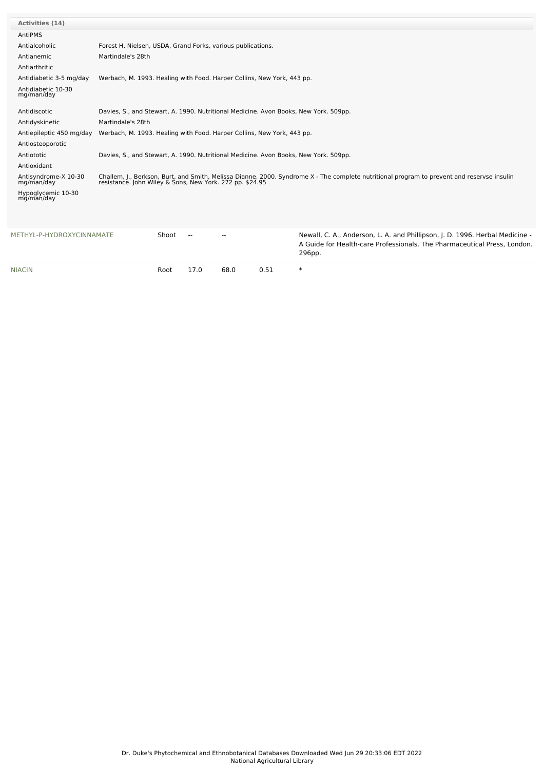| <b>Activities (14)</b>             |                                                                                                                                                                                                     |  |  |  |  |  |  |
|------------------------------------|-----------------------------------------------------------------------------------------------------------------------------------------------------------------------------------------------------|--|--|--|--|--|--|
| AntiPMS                            |                                                                                                                                                                                                     |  |  |  |  |  |  |
| Antialcoholic                      | Forest H. Nielsen, USDA, Grand Forks, various publications.                                                                                                                                         |  |  |  |  |  |  |
| Antianemic                         | Martindale's 28th                                                                                                                                                                                   |  |  |  |  |  |  |
| Antiarthritic                      |                                                                                                                                                                                                     |  |  |  |  |  |  |
| Antidiabetic 3-5 mg/day            | Werbach, M. 1993. Healing with Food. Harper Collins, New York, 443 pp.                                                                                                                              |  |  |  |  |  |  |
| Antidiabetic 10-30<br>mg/man/day   |                                                                                                                                                                                                     |  |  |  |  |  |  |
| Antidiscotic                       | Davies, S., and Stewart, A. 1990. Nutritional Medicine. Avon Books, New York. 509pp.                                                                                                                |  |  |  |  |  |  |
| Antidyskinetic                     | Martindale's 28th                                                                                                                                                                                   |  |  |  |  |  |  |
| Antiepileptic 450 mg/day           | Werbach, M. 1993. Healing with Food. Harper Collins, New York, 443 pp.                                                                                                                              |  |  |  |  |  |  |
| Antiosteoporotic                   |                                                                                                                                                                                                     |  |  |  |  |  |  |
| Antiototic                         | Davies, S., and Stewart, A. 1990. Nutritional Medicine. Avon Books, New York. 509pp.                                                                                                                |  |  |  |  |  |  |
| Antioxidant                        |                                                                                                                                                                                                     |  |  |  |  |  |  |
| Antisyndrome-X 10-30<br>mg/man/day | Challem, J., Berkson, Burt, and Smith, Melissa Dianne. 2000. Syndrome X - The complete nutritional program to prevent and reservse insulin resistance. John Wiley & Sons, New York. 272 pp. \$24.95 |  |  |  |  |  |  |
| Hypoglycemic 10-30<br>mg/man/day   |                                                                                                                                                                                                     |  |  |  |  |  |  |
|                                    |                                                                                                                                                                                                     |  |  |  |  |  |  |
| METHYL-P-HYDROXYCINNAMATE          | Newall, C. A., Anderson, L. A. and Phillipson, J. D. 1996. Herbal Medicine -<br>Shoot<br>--<br>A Guide for Health-care Professionals. The Pharmaceutical Press. London.<br>296pp.                   |  |  |  |  |  |  |

| NΙΔ<br>١N | Root | 7.U | 68.U<br>---- | -<br>. | <br>$\sim$ |
|-----------|------|-----|--------------|--------|------------|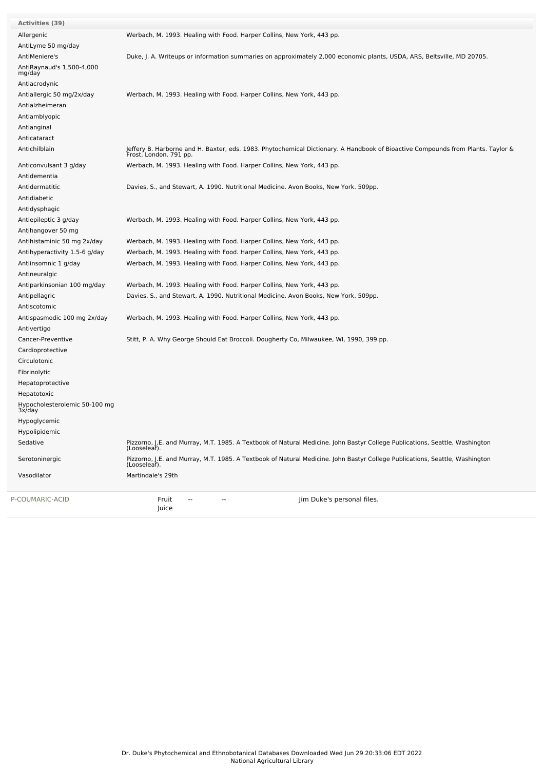| <b>Activities (39)</b>                     |                                                                                                                                                           |
|--------------------------------------------|-----------------------------------------------------------------------------------------------------------------------------------------------------------|
| Allergenic                                 | Werbach, M. 1993. Healing with Food. Harper Collins, New York, 443 pp.                                                                                    |
| AntiLyme 50 mg/day                         |                                                                                                                                                           |
| AntiMeniere's                              | Duke, J. A. Writeups or information summaries on approximately 2,000 economic plants, USDA, ARS, Beltsville, MD 20705.                                    |
| AntiRaynaud's 1,500-4,000<br>mg/day        |                                                                                                                                                           |
| Antiacrodynic                              |                                                                                                                                                           |
| Antiallergic 50 mg/2x/day                  | Werbach, M. 1993. Healing with Food. Harper Collins, New York, 443 pp.                                                                                    |
| Antialzheimeran                            |                                                                                                                                                           |
| Antiamblyopic                              |                                                                                                                                                           |
| Antianginal                                |                                                                                                                                                           |
| Anticataract                               |                                                                                                                                                           |
| Antichilblain                              | Jeffery B. Harborne and H. Baxter, eds. 1983. Phytochemical Dictionary. A Handbook of Bioactive Compounds from Plants. Taylor &<br>Frost, London. 791 pp. |
| Anticonvulsant 3 g/day                     | Werbach, M. 1993. Healing with Food. Harper Collins, New York, 443 pp.                                                                                    |
| Antidementia                               |                                                                                                                                                           |
| Antidermatitic                             | Davies, S., and Stewart, A. 1990. Nutritional Medicine. Avon Books, New York. 509pp.                                                                      |
| Antidiabetic                               |                                                                                                                                                           |
| Antidysphagic                              |                                                                                                                                                           |
| Antiepileptic 3 g/day                      | Werbach, M. 1993. Healing with Food. Harper Collins, New York, 443 pp.                                                                                    |
| Antihangover 50 mg                         |                                                                                                                                                           |
| Antihistaminic 50 mg 2x/day                | Werbach, M. 1993. Healing with Food. Harper Collins, New York, 443 pp.                                                                                    |
| Antihyperactivity 1.5-6 g/day              | Werbach, M. 1993. Healing with Food. Harper Collins, New York, 443 pp.                                                                                    |
| Antiinsomnic 1 g/day                       | Werbach, M. 1993. Healing with Food. Harper Collins, New York, 443 pp.                                                                                    |
| Antineuralgic                              |                                                                                                                                                           |
| Antiparkinsonian 100 mg/day                | Werbach, M. 1993. Healing with Food. Harper Collins, New York, 443 pp.                                                                                    |
| Antipellagric                              | Davies, S., and Stewart, A. 1990. Nutritional Medicine. Avon Books, New York. 509pp.                                                                      |
| Antiscotomic                               |                                                                                                                                                           |
| Antispasmodic 100 mg 2x/day<br>Antivertigo | Werbach, M. 1993. Healing with Food. Harper Collins, New York, 443 pp.                                                                                    |
| Cancer-Preventive                          | Stitt, P. A. Why George Should Eat Broccoli. Dougherty Co, Milwaukee, WI, 1990, 399 pp.                                                                   |
| Cardioprotective                           |                                                                                                                                                           |
| Circulotonic                               |                                                                                                                                                           |
| Fibrinolytic                               |                                                                                                                                                           |
| Hepatoprotective                           |                                                                                                                                                           |
| Hepatotoxic                                |                                                                                                                                                           |
| Hypocholesterolemic 50-100 mg<br>3x/day    |                                                                                                                                                           |
| Hypoglycemic                               |                                                                                                                                                           |
| Hypolipidemic                              |                                                                                                                                                           |
| Sedative                                   | Pizzorno, J.E. and Murray, M.T. 1985. A Textbook of Natural Medicine. John Bastyr College Publications, Seattle, Washington<br>(Looseleaf).               |
| Serotoninergic                             | Pizzorno, J.E. and Murray, M.T. 1985. A Textbook of Natural Medicine. John Bastyr College Publications, Seattle, Washington<br>(Looseleaf).               |
| Vasodilator                                | Martindale's 29th                                                                                                                                         |
| P-COUMARIC-ACID                            | Fruit<br>Jim Duke's personal files.<br>--<br>Juice                                                                                                        |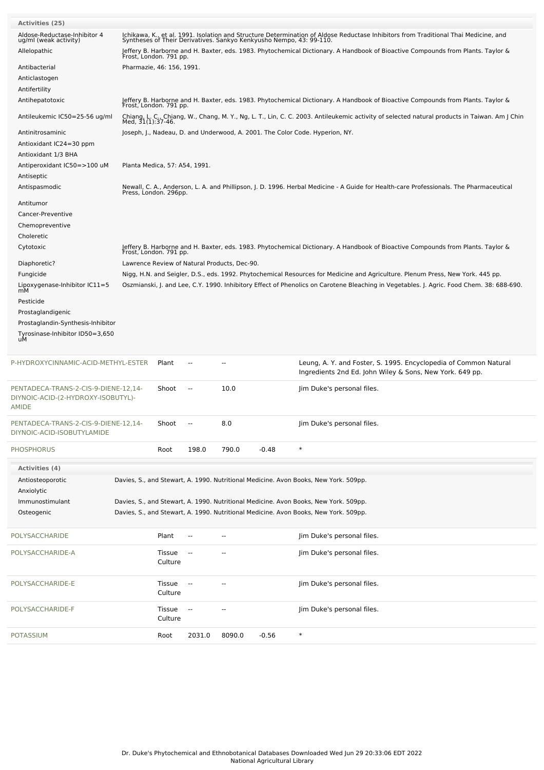| <b>Activities (25)</b>                                                              |                                                                                                                                                                                                                                                                                                                                               |                                              |                          |        |         |                                                                                                                                                                   |  |  |  |
|-------------------------------------------------------------------------------------|-----------------------------------------------------------------------------------------------------------------------------------------------------------------------------------------------------------------------------------------------------------------------------------------------------------------------------------------------|----------------------------------------------|--------------------------|--------|---------|-------------------------------------------------------------------------------------------------------------------------------------------------------------------|--|--|--|
| Aldose-Reductase-Inhibitor 4<br>ug/ml (weak activity)                               | Ichikawa, K., et al. 1991. Isolation and Structure Determination of Aldose Reductase Inhibitors from Traditional Thai Medicine, and<br>Syntheses of Their Derivatives. Sankyo Kenkyusho Nempo, 43: 99-110.<br>Jeffery B. Harborne and H. Baxter, eds. 1983. Phytochemical Dictionary. A Handbook of Bioactive Compounds from Plants. Taylor & |                                              |                          |        |         |                                                                                                                                                                   |  |  |  |
| Allelopathic                                                                        | Frost, London. 791 pp.                                                                                                                                                                                                                                                                                                                        |                                              |                          |        |         |                                                                                                                                                                   |  |  |  |
| Antibacterial                                                                       | Pharmazie, 46: 156, 1991.                                                                                                                                                                                                                                                                                                                     |                                              |                          |        |         |                                                                                                                                                                   |  |  |  |
| Anticlastogen<br>Antifertility                                                      |                                                                                                                                                                                                                                                                                                                                               |                                              |                          |        |         |                                                                                                                                                                   |  |  |  |
| Antihepatotoxic                                                                     | Jeffery B. Harborne and H. Baxter, eds. 1983. Phytochemical Dictionary. A Handbook of Bioactive Compounds from Plants. Taylor &<br>Frost, London. 791 pp.                                                                                                                                                                                     |                                              |                          |        |         |                                                                                                                                                                   |  |  |  |
| Antileukemic IC50=25-56 ug/ml                                                       |                                                                                                                                                                                                                                                                                                                                               |                                              |                          |        |         | Chiang, L. C., Chiang, W., Chang, M. Y., Ng, L. T., Lin, C. C. 2003. Antileukemic activity of selected natural products in Taiwan. Am J Chin<br>Med, 31(1):37-46. |  |  |  |
| Antinitrosaminic<br>Antioxidant IC24=30 ppm                                         | Joseph, J., Nadeau, D. and Underwood, A. 2001. The Color Code. Hyperion, NY.                                                                                                                                                                                                                                                                  |                                              |                          |        |         |                                                                                                                                                                   |  |  |  |
| Antioxidant 1/3 BHA                                                                 |                                                                                                                                                                                                                                                                                                                                               |                                              |                          |        |         |                                                                                                                                                                   |  |  |  |
| Antiperoxidant IC50=>100 uM                                                         | Planta Medica, 57: A54, 1991.                                                                                                                                                                                                                                                                                                                 |                                              |                          |        |         |                                                                                                                                                                   |  |  |  |
| Antiseptic<br>Antispasmodic                                                         |                                                                                                                                                                                                                                                                                                                                               |                                              |                          |        |         | Newall, C. A., Anderson, L. A. and Phillipson, J. D. 1996. Herbal Medicine - A Guide for Health-care Professionals. The Pharmaceutical                            |  |  |  |
|                                                                                     | Press, London. 296pp.                                                                                                                                                                                                                                                                                                                         |                                              |                          |        |         |                                                                                                                                                                   |  |  |  |
| Antitumor<br>Cancer-Preventive                                                      |                                                                                                                                                                                                                                                                                                                                               |                                              |                          |        |         |                                                                                                                                                                   |  |  |  |
| Chemopreventive                                                                     |                                                                                                                                                                                                                                                                                                                                               |                                              |                          |        |         |                                                                                                                                                                   |  |  |  |
| Choleretic                                                                          |                                                                                                                                                                                                                                                                                                                                               |                                              |                          |        |         |                                                                                                                                                                   |  |  |  |
| Cytotoxic                                                                           | Frost, London. 791 pp.                                                                                                                                                                                                                                                                                                                        |                                              |                          |        |         | Jeffery B. Harborne and H. Baxter, eds. 1983. Phytochemical Dictionary. A Handbook of Bioactive Compounds from Plants. Taylor &                                   |  |  |  |
| Diaphoretic?                                                                        |                                                                                                                                                                                                                                                                                                                                               | Lawrence Review of Natural Products, Dec-90. |                          |        |         |                                                                                                                                                                   |  |  |  |
| Fungicide                                                                           |                                                                                                                                                                                                                                                                                                                                               |                                              |                          |        |         | Nigg, H.N. and Seigler, D.S., eds. 1992. Phytochemical Resources for Medicine and Agriculture. Plenum Press, New York. 445 pp.                                    |  |  |  |
| Lipoxygenase-Inhibitor IC11=5<br>mМ                                                 |                                                                                                                                                                                                                                                                                                                                               |                                              |                          |        |         | Oszmianski, J. and Lee, C.Y. 1990. Inhibitory Effect of Phenolics on Carotene Bleaching in Vegetables. J. Agric. Food Chem. 38: 688-690.                          |  |  |  |
| Pesticide                                                                           |                                                                                                                                                                                                                                                                                                                                               |                                              |                          |        |         |                                                                                                                                                                   |  |  |  |
| Prostaglandigenic                                                                   |                                                                                                                                                                                                                                                                                                                                               |                                              |                          |        |         |                                                                                                                                                                   |  |  |  |
| Prostaglandin-Synthesis-Inhibitor                                                   |                                                                                                                                                                                                                                                                                                                                               |                                              |                          |        |         |                                                                                                                                                                   |  |  |  |
| Tyrosinase-Inhibitor ID50=3,650<br>uМ                                               |                                                                                                                                                                                                                                                                                                                                               |                                              |                          |        |         |                                                                                                                                                                   |  |  |  |
|                                                                                     |                                                                                                                                                                                                                                                                                                                                               |                                              |                          |        |         |                                                                                                                                                                   |  |  |  |
| P-HYDROXYCINNAMIC-ACID-METHYL-ESTER                                                 |                                                                                                                                                                                                                                                                                                                                               | Plant                                        | $\overline{a}$           |        |         | Leung, A. Y. and Foster, S. 1995. Encyclopedia of Common Natural<br>Ingredients 2nd Ed. John Wiley & Sons, New York. 649 pp.                                      |  |  |  |
| PENTADECA-TRANS-2-CIS-9-DIENE-12,14-<br>DIYNOIC-ACID-(2-HYDROXY-ISOBUTYL)-<br>AMIDE |                                                                                                                                                                                                                                                                                                                                               | Shoot                                        | $\overline{\phantom{a}}$ | 10.0   |         | Jim Duke's personal files.                                                                                                                                        |  |  |  |
| PENTADECA-TRANS-2-CIS-9-DIENE-12,14-<br>DIYNOIC-ACID-ISOBUTYLAMIDE                  |                                                                                                                                                                                                                                                                                                                                               | Shoot                                        | $\overline{\phantom{a}}$ | 8.0    |         | Jim Duke's personal files.                                                                                                                                        |  |  |  |
| <b>PHOSPHORUS</b>                                                                   |                                                                                                                                                                                                                                                                                                                                               | Root                                         | 198.0                    | 790.0  | $-0.48$ | $\ast$                                                                                                                                                            |  |  |  |
| <b>Activities (4)</b>                                                               |                                                                                                                                                                                                                                                                                                                                               |                                              |                          |        |         |                                                                                                                                                                   |  |  |  |
| Antiosteoporotic                                                                    |                                                                                                                                                                                                                                                                                                                                               |                                              |                          |        |         | Davies, S., and Stewart, A. 1990. Nutritional Medicine. Avon Books, New York. 509pp.                                                                              |  |  |  |
| Anxiolytic                                                                          |                                                                                                                                                                                                                                                                                                                                               |                                              |                          |        |         |                                                                                                                                                                   |  |  |  |
| Immunostimulant                                                                     |                                                                                                                                                                                                                                                                                                                                               |                                              |                          |        |         | Davies, S., and Stewart, A. 1990. Nutritional Medicine. Avon Books, New York. 509pp.                                                                              |  |  |  |
| Osteogenic                                                                          |                                                                                                                                                                                                                                                                                                                                               |                                              |                          |        |         | Davies, S., and Stewart, A. 1990. Nutritional Medicine. Avon Books, New York. 509pp.                                                                              |  |  |  |
|                                                                                     |                                                                                                                                                                                                                                                                                                                                               |                                              |                          |        |         |                                                                                                                                                                   |  |  |  |
| POLYSACCHARIDE                                                                      |                                                                                                                                                                                                                                                                                                                                               | Plant                                        | $\sim$                   |        |         | Jim Duke's personal files.                                                                                                                                        |  |  |  |
| POLYSACCHARIDE-A                                                                    |                                                                                                                                                                                                                                                                                                                                               | Tissue<br>Culture                            | $\sim$                   |        |         | Jim Duke's personal files.                                                                                                                                        |  |  |  |
| POLYSACCHARIDE-E                                                                    |                                                                                                                                                                                                                                                                                                                                               | Tissue<br>Culture                            | $\sim$                   |        |         | Jim Duke's personal files.                                                                                                                                        |  |  |  |
| POLYSACCHARIDE-F                                                                    |                                                                                                                                                                                                                                                                                                                                               | Tissue<br>Culture                            | $\overline{\phantom{a}}$ |        |         | Jim Duke's personal files.                                                                                                                                        |  |  |  |
| POTASSIUM                                                                           |                                                                                                                                                                                                                                                                                                                                               | Root                                         | 2031.0                   | 8090.0 | $-0.56$ | $\ast$                                                                                                                                                            |  |  |  |
|                                                                                     |                                                                                                                                                                                                                                                                                                                                               |                                              |                          |        |         |                                                                                                                                                                   |  |  |  |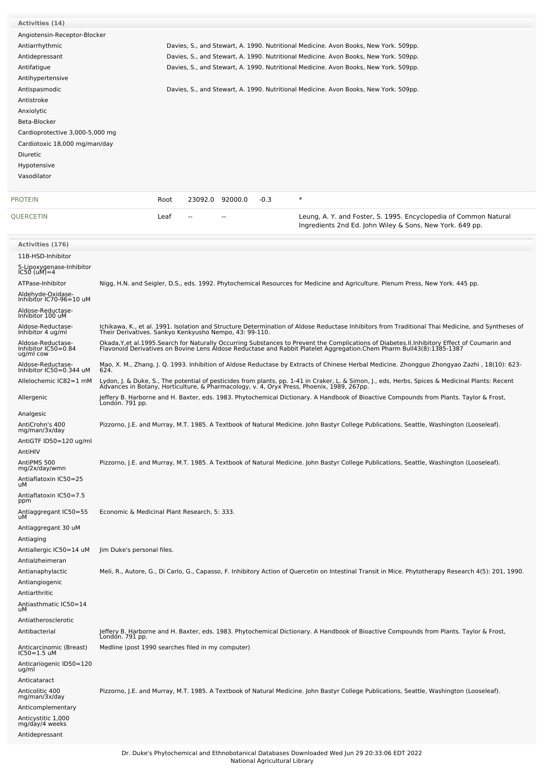| <b>Activities (14)</b>                                      |                                                                                                                                                                                                                                   |  |  |  |  |  |  |
|-------------------------------------------------------------|-----------------------------------------------------------------------------------------------------------------------------------------------------------------------------------------------------------------------------------|--|--|--|--|--|--|
| Angiotensin-Receptor-Blocker                                |                                                                                                                                                                                                                                   |  |  |  |  |  |  |
| Antiarrhythmic                                              | Davies, S., and Stewart, A. 1990. Nutritional Medicine. Avon Books, New York. 509pp.                                                                                                                                              |  |  |  |  |  |  |
| Antidepressant                                              | Davies, S., and Stewart, A. 1990. Nutritional Medicine. Avon Books, New York. 509pp.                                                                                                                                              |  |  |  |  |  |  |
| Antifatigue                                                 | Davies, S., and Stewart, A. 1990. Nutritional Medicine. Avon Books, New York. 509pp.                                                                                                                                              |  |  |  |  |  |  |
| Antihypertensive                                            |                                                                                                                                                                                                                                   |  |  |  |  |  |  |
| Antispasmodic<br>Antistroke                                 | Davies, S., and Stewart, A. 1990. Nutritional Medicine. Avon Books, New York. 509pp.                                                                                                                                              |  |  |  |  |  |  |
| Anxiolytic                                                  |                                                                                                                                                                                                                                   |  |  |  |  |  |  |
| Beta-Blocker                                                |                                                                                                                                                                                                                                   |  |  |  |  |  |  |
| Cardioprotective 3,000-5,000 mg                             |                                                                                                                                                                                                                                   |  |  |  |  |  |  |
| Cardiotoxic 18,000 mg/man/day                               |                                                                                                                                                                                                                                   |  |  |  |  |  |  |
| Diuretic                                                    |                                                                                                                                                                                                                                   |  |  |  |  |  |  |
| Hypotensive                                                 |                                                                                                                                                                                                                                   |  |  |  |  |  |  |
| Vasodilator                                                 |                                                                                                                                                                                                                                   |  |  |  |  |  |  |
|                                                             | $\ast$                                                                                                                                                                                                                            |  |  |  |  |  |  |
| <b>PROTEIN</b><br>QUERCETIN                                 | 23092.0 92000.0<br>$-0.3$<br>Root<br>Leung, A. Y. and Foster, S. 1995. Encyclopedia of Common Natural<br>Leaf                                                                                                                     |  |  |  |  |  |  |
|                                                             | Ingredients 2nd Ed. John Wiley & Sons, New York. 649 pp.                                                                                                                                                                          |  |  |  |  |  |  |
| <b>Activities (176)</b>                                     |                                                                                                                                                                                                                                   |  |  |  |  |  |  |
| 11B-HSD-Inhibitor                                           |                                                                                                                                                                                                                                   |  |  |  |  |  |  |
| 5-Lipoxygenase-Inhibitor<br>IC50 (uM)=4<br>ATPase-Inhibitor | Nigg, H.N. and Seigler, D.S., eds. 1992. Phytochemical Resources for Medicine and Agriculture. Plenum Press, New York. 445 pp.                                                                                                    |  |  |  |  |  |  |
| Aldehyde-Oxidase-<br>Inhibitor IC70-96=10 uM                |                                                                                                                                                                                                                                   |  |  |  |  |  |  |
| Aldose-Reductase-                                           |                                                                                                                                                                                                                                   |  |  |  |  |  |  |
| Inhibitor 100 uM<br>Aldose-Reductase-                       | Ichikawa, K., et al. 1991. Isolation and Structure Determination of Aldose Reductase Inhibitors from Traditional Thai Medicine, and Syntheses of                                                                                  |  |  |  |  |  |  |
| Inhibitor 4 ug/ml<br>Aldose-Reductase-                      | Their Derivatives. Sankyo Kenkyusho Nempo, 43: 99-110.                                                                                                                                                                            |  |  |  |  |  |  |
| Inhibitor IC50=0.84<br>ug/ml cow                            | Okada, Y, et al. 1995. Search for Naturally Occurring Substances to Prevent the Complications of Diabetes. II. Inhibitory Effect of Coumarin and<br>Flavonoid Derivatives on Bovine Lens Aldose Reductase and Rabbit Platelet Agg |  |  |  |  |  |  |
| Aldose-Reductase-<br>Inhibitor IC50=0.344 uM                | Mao, X. M., Zhang, J. Q. 1993. Inhibition of Aldose Reductase by Extracts of Chinese Herbal Medicine. Zhongguo Zhongyao Zazhi, 18(10): 623-<br>624.                                                                               |  |  |  |  |  |  |
| Allelochemic IC82=1 mM                                      | Lydon, J. & Duke, S., The potential of pesticides from plants, pp. 1-41 in Craker, L. & Simon, J., eds, Herbs, Spices & Medicinal Plants: Recent<br>Advances in Botany, Horticulture, & Pharmacology, v. 4, Oryx Press, Phoenix,  |  |  |  |  |  |  |
| Allergenic                                                  | Jeffery B. Harborne and H. Baxter, eds. 1983. Phytochemical Dictionary. A Handbook of Bioactive Compounds from Plants. Taylor & Frost,<br>London. 791 pp.                                                                         |  |  |  |  |  |  |
| Analgesic<br>AntiCrohn's 400                                | Pizzorno, J.E. and Murray, M.T. 1985. A Textbook of Natural Medicine. John Bastyr College Publications, Seattle, Washington (Looseleaf).                                                                                          |  |  |  |  |  |  |
| mg/man/3x/day                                               |                                                                                                                                                                                                                                   |  |  |  |  |  |  |
| AntiGTF ID50=120 ug/ml<br>AntiHIV                           |                                                                                                                                                                                                                                   |  |  |  |  |  |  |
| AntiPMS 500<br>mg/2x/day/wmn                                | Pizzorno, J.E. and Murray, M.T. 1985. A Textbook of Natural Medicine. John Bastyr College Publications, Seattle, Washington (Looseleaf).                                                                                          |  |  |  |  |  |  |
| Antiaflatoxin IC50=25<br>uМ                                 |                                                                                                                                                                                                                                   |  |  |  |  |  |  |
| Antiaflatoxin IC50=7.5<br>ppm                               |                                                                                                                                                                                                                                   |  |  |  |  |  |  |
| Antiaggregant IC50=55<br>uМ                                 | Economic & Medicinal Plant Research, 5: 333.                                                                                                                                                                                      |  |  |  |  |  |  |
| Antiaggregant 30 uM                                         |                                                                                                                                                                                                                                   |  |  |  |  |  |  |
| Antiaging<br>Antiallergic IC50=14 uM                        | Jim Duke's personal files.                                                                                                                                                                                                        |  |  |  |  |  |  |
| Antialzheimeran                                             |                                                                                                                                                                                                                                   |  |  |  |  |  |  |
| Antianaphylactic                                            | Meli, R., Autore, G., Di Carlo, G., Capasso, F. Inhibitory Action of Quercetin on Intestinal Transit in Mice. Phytotherapy Research 4(5): 201, 1990.                                                                              |  |  |  |  |  |  |
| Antiangiogenic                                              |                                                                                                                                                                                                                                   |  |  |  |  |  |  |
| Antiarthritic                                               |                                                                                                                                                                                                                                   |  |  |  |  |  |  |
| Antiasthmatic IC50=14<br>uМ                                 |                                                                                                                                                                                                                                   |  |  |  |  |  |  |
| Antiatherosclerotic                                         |                                                                                                                                                                                                                                   |  |  |  |  |  |  |
| Antibacterial                                               | Jeffery B. Harborne and H. Baxter, eds. 1983. Phytochemical Dictionary. A Handbook of Bioactive Compounds from Plants. Taylor & Frost,<br>Londón. 791 pp.                                                                         |  |  |  |  |  |  |
| Anticarcinomic (Breast)                                     | Medline (post 1990 searches filed in my computer)                                                                                                                                                                                 |  |  |  |  |  |  |
| IC50=1.5 uM<br>Anticariogenic ID50=120                      |                                                                                                                                                                                                                                   |  |  |  |  |  |  |
| ug/ml                                                       |                                                                                                                                                                                                                                   |  |  |  |  |  |  |
| Anticataract                                                |                                                                                                                                                                                                                                   |  |  |  |  |  |  |
| Anticolitic 400<br>mg/man/3x/day                            | Pizzorno, J.E. and Murray, M.T. 1985. A Textbook of Natural Medicine. John Bastyr College Publications, Seattle, Washington (Looseleaf).                                                                                          |  |  |  |  |  |  |
| Anticomplementary                                           |                                                                                                                                                                                                                                   |  |  |  |  |  |  |
| Anticystitic 1,000<br>mg/day/4 weeks                        |                                                                                                                                                                                                                                   |  |  |  |  |  |  |
| Antidepressant                                              |                                                                                                                                                                                                                                   |  |  |  |  |  |  |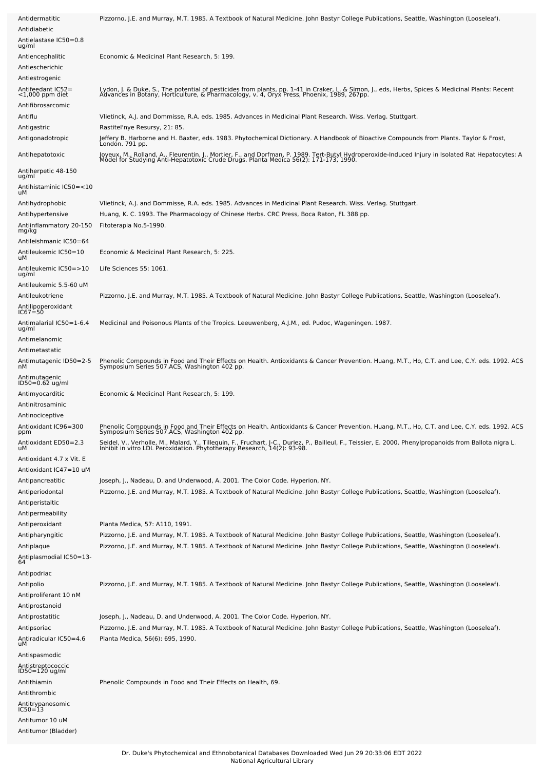| Antidermatitic                      | Pizzorno, J.E. and Murray, M.T. 1985. A Textbook of Natural Medicine. John Bastyr College Publications, Seattle, Washington (Looseleaf).                                                                                          |
|-------------------------------------|-----------------------------------------------------------------------------------------------------------------------------------------------------------------------------------------------------------------------------------|
| Antidiabetic                        |                                                                                                                                                                                                                                   |
| Antielastase IC50=0.8               |                                                                                                                                                                                                                                   |
| ug/ml                               |                                                                                                                                                                                                                                   |
| Antiencephalitic                    | Economic & Medicinal Plant Research, 5: 199.                                                                                                                                                                                      |
| Antiescherichic                     |                                                                                                                                                                                                                                   |
| Antiestrogenic                      |                                                                                                                                                                                                                                   |
| Antifeedant IC52=                   |                                                                                                                                                                                                                                   |
| $<$ 1,000 ppm diet                  | Lydon, J. & Duke, S., The potential of pesticides from plants, pp. 1-41 in Craker, L. & Simon, J., eds, Herbs, Spices & Medicinal Plants: Recent<br>Advances in Botany, Horticulture, & Pharmacology, v. 4, Oryx Press, Phoenix,  |
| Antifibrosarcomic                   |                                                                                                                                                                                                                                   |
| Antiflu                             | Vlietinck, A.J. and Dommisse, R.A. eds. 1985. Advances in Medicinal Plant Research. Wiss. Verlag. Stuttgart.                                                                                                                      |
| Antigastric                         | Rastitel'nye Resursy, 21: 85.                                                                                                                                                                                                     |
| Antigonadotropic                    |                                                                                                                                                                                                                                   |
|                                     | Jeffery B. Harborne and H. Baxter, eds. 1983. Phytochemical Dictionary. A Handbook of Bioactive Compounds from Plants. Taylor & Frost,<br>London. 791 pp.                                                                         |
| Antihepatotoxic                     | Joyeux, M., Rolland, A., Fleurentin, J., Mortier, F., and Dorfman, P. 1989. Tert-Butyl Hydroperoxide-Induced Injury in Isolated Rat Hepatocytes: A<br>Model for Studying Anti-Hepatotoxic Crude Drugs. Planta Medica 56(2): 171-1 |
| Antiherpetic 48-150<br>ug/ml        |                                                                                                                                                                                                                                   |
| Antihistaminic IC50=<10             |                                                                                                                                                                                                                                   |
| uМ                                  |                                                                                                                                                                                                                                   |
| Antihydrophobic                     | Vlietinck, A.J. and Dommisse, R.A. eds. 1985. Advances in Medicinal Plant Research. Wiss. Verlag. Stuttgart.                                                                                                                      |
| Antihypertensive                    | Huang, K. C. 1993. The Pharmacology of Chinese Herbs. CRC Press, Boca Raton, FL 388 pp.                                                                                                                                           |
| Antiinflammatory 20-150<br>mg/kg    | Fitoterapia No.5-1990.                                                                                                                                                                                                            |
| Antileishmanic IC50=64              |                                                                                                                                                                                                                                   |
|                                     |                                                                                                                                                                                                                                   |
| Antileukemic IC50=10<br>uМ          | Economic & Medicinal Plant Research, 5: 225.                                                                                                                                                                                      |
| Antileukemic IC50=>10               | Life Sciences 55: 1061.                                                                                                                                                                                                           |
| ug/ml                               |                                                                                                                                                                                                                                   |
| Antileukemic 5.5-60 uM              |                                                                                                                                                                                                                                   |
| Antileukotriene                     | Pizzorno, J.E. and Murray, M.T. 1985. A Textbook of Natural Medicine. John Bastyr College Publications, Seattle, Washington (Looseleaf).                                                                                          |
| Antilipoperoxidant<br>IC67=50       |                                                                                                                                                                                                                                   |
| Antimalarial IC50=1-6.4             | Medicinal and Poisonous Plants of the Tropics. Leeuwenberg, A.J.M., ed. Pudoc, Wageningen. 1987.                                                                                                                                  |
| ug/ml                               |                                                                                                                                                                                                                                   |
| Antimelanomic                       |                                                                                                                                                                                                                                   |
| Antimetastatic                      |                                                                                                                                                                                                                                   |
| Antimutagenic ID50=2-5<br>nМ        | Phenolic Compounds in Food and Their Effects on Health. Antioxidants & Cancer Prevention. Huang, M.T., Ho, C.T. and Lee, C.Y. eds. 1992. ACS<br>Symposium Series 507.ACS, Washington 402 pp.                                      |
| Antimutagenic                       |                                                                                                                                                                                                                                   |
| ID50=0.62 ug/ml                     |                                                                                                                                                                                                                                   |
| Antimyocarditic                     | Economic & Medicinal Plant Research, 5: 199.                                                                                                                                                                                      |
| Antinitrosaminic                    |                                                                                                                                                                                                                                   |
| Antinociceptive                     |                                                                                                                                                                                                                                   |
| Antioxidant IC96=300                | Phenolic Compounds in Food and Their Effects on Health. Antioxidants & Cancer Prevention. Huang, M.T., Ho, C.T. and Lee, C.Y. eds. 1992. ACS Symposium Series 507.ACS, Washington 402 pp.                                         |
| ppm                                 |                                                                                                                                                                                                                                   |
| Antioxidant ED50=2.3<br>uМ          | Seidel, V., Verholle, M., Malard, Y., Tillequin, F., Fruchart, J-C., Duriez, P., Bailleul, F., Teissier, E. 2000. Phenylpropanoids from Ballota nigra L.<br>Inhibit in vitro LDL Peroxidation. Phytotherapy Research, 14(2): 93-9 |
| Antioxidant 4.7 x Vit. E            |                                                                                                                                                                                                                                   |
| Antioxidant IC47=10 uM              |                                                                                                                                                                                                                                   |
| Antipancreatitic                    | Joseph, J., Nadeau, D. and Underwood, A. 2001. The Color Code. Hyperion, NY.                                                                                                                                                      |
|                                     | Pizzorno, J.E. and Murray, M.T. 1985. A Textbook of Natural Medicine. John Bastyr College Publications, Seattle, Washington (Looseleaf).                                                                                          |
| Antiperiodontal                     |                                                                                                                                                                                                                                   |
| Antiperistaltic                     |                                                                                                                                                                                                                                   |
| Antipermeability                    |                                                                                                                                                                                                                                   |
| Antiperoxidant                      | Planta Medica, 57: A110, 1991.                                                                                                                                                                                                    |
| Antipharyngitic                     | Pizzorno, J.E. and Murray, M.T. 1985. A Textbook of Natural Medicine. John Bastyr College Publications, Seattle, Washington (Looseleaf).                                                                                          |
| Antiplaque                          | Pizzorno, J.E. and Murray, M.T. 1985. A Textbook of Natural Medicine. John Bastyr College Publications, Seattle, Washington (Looseleaf).                                                                                          |
| Antiplasmodial IC50=13-             |                                                                                                                                                                                                                                   |
| 64                                  |                                                                                                                                                                                                                                   |
| Antipodriac                         |                                                                                                                                                                                                                                   |
| Antipolio                           | Pizzorno, J.E. and Murray, M.T. 1985. A Textbook of Natural Medicine. John Bastyr College Publications, Seattle, Washington (Looseleaf).                                                                                          |
| Antiproliferant 10 nM               |                                                                                                                                                                                                                                   |
| Antiprostanoid                      |                                                                                                                                                                                                                                   |
| Antiprostatitic                     | Joseph, J., Nadeau, D. and Underwood, A. 2001. The Color Code. Hyperion, NY.                                                                                                                                                      |
| Antipsoriac                         | Pizzorno, J.E. and Murray, M.T. 1985. A Textbook of Natural Medicine. John Bastyr College Publications, Seattle, Washington (Looseleaf).                                                                                          |
| Antiradicular IC50=4.6              | Planta Medica, 56(6): 695, 1990.                                                                                                                                                                                                  |
| uМ                                  |                                                                                                                                                                                                                                   |
| Antispasmodic                       |                                                                                                                                                                                                                                   |
| Antistreptococcic<br>ID50=120 ug/ml |                                                                                                                                                                                                                                   |
| Antithiamin                         | Phenolic Compounds in Food and Their Effects on Health, 69.                                                                                                                                                                       |
| Antithrombic                        |                                                                                                                                                                                                                                   |
|                                     |                                                                                                                                                                                                                                   |
| Antitrypanosomic<br>IC50=13         |                                                                                                                                                                                                                                   |
| Antitumor 10 uM                     |                                                                                                                                                                                                                                   |
| Antitumor (Bladder)                 |                                                                                                                                                                                                                                   |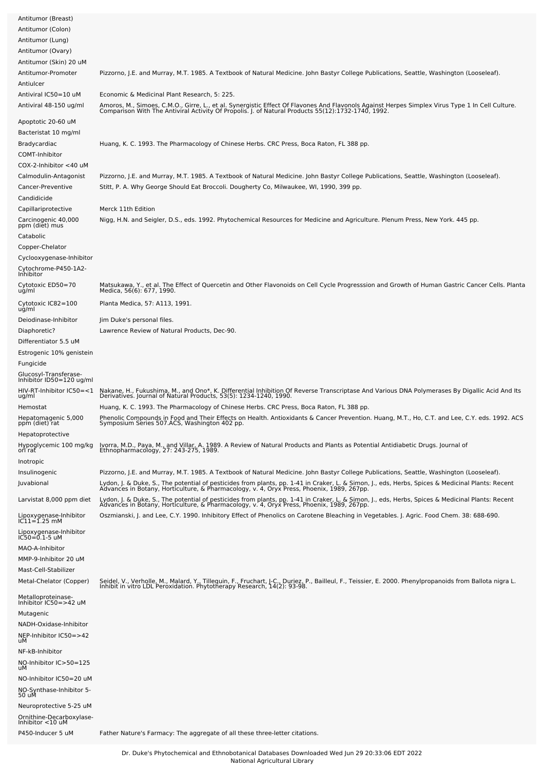| Antitumor (Breast)                                            |                                                                                                                                                                                                                                     |
|---------------------------------------------------------------|-------------------------------------------------------------------------------------------------------------------------------------------------------------------------------------------------------------------------------------|
| Antitumor (Colon)                                             |                                                                                                                                                                                                                                     |
| Antitumor (Lung)                                              |                                                                                                                                                                                                                                     |
| Antitumor (Ovary)                                             |                                                                                                                                                                                                                                     |
| Antitumor (Skin) 20 uM                                        |                                                                                                                                                                                                                                     |
| Antitumor-Promoter                                            | Pizzorno, J.E. and Murray, M.T. 1985. A Textbook of Natural Medicine. John Bastyr College Publications, Seattle, Washington (Looseleaf).                                                                                            |
| Antiulcer                                                     |                                                                                                                                                                                                                                     |
| Antiviral IC50=10 uM                                          | Economic & Medicinal Plant Research, 5: 225.                                                                                                                                                                                        |
| Antiviral 48-150 ug/ml                                        | Amoros, M., Simoes, C.M.O., Girre, L., et al. Synergistic Effect Of Flavones And Flavonols Against Herpes Simplex Virus Type 1 In Cell Culture.<br>Comparison With The Antiviral Activity Of Propolis. J. of Natural Products 55(   |
| Apoptotic 20-60 uM                                            |                                                                                                                                                                                                                                     |
| Bacteristat 10 mg/ml                                          |                                                                                                                                                                                                                                     |
| Bradycardiac                                                  | Huang, K. C. 1993. The Pharmacology of Chinese Herbs. CRC Press, Boca Raton, FL 388 pp.                                                                                                                                             |
| COMT-Inhibitor                                                |                                                                                                                                                                                                                                     |
| COX-2-Inhibitor <40 uM                                        |                                                                                                                                                                                                                                     |
| Calmodulin-Antagonist                                         | Pizzorno, J.E. and Murray, M.T. 1985. A Textbook of Natural Medicine. John Bastyr College Publications, Seattle, Washington (Looseleaf).                                                                                            |
| Cancer-Preventive                                             | Stitt, P. A. Why George Should Eat Broccoli. Dougherty Co, Milwaukee, WI, 1990, 399 pp.                                                                                                                                             |
| Candidicide                                                   |                                                                                                                                                                                                                                     |
| Capillariprotective                                           | Merck 11th Edition                                                                                                                                                                                                                  |
| Carcinogenic 40,000<br>ppm (diet) mus                         | Nigg, H.N. and Seigler, D.S., eds. 1992. Phytochemical Resources for Medicine and Agriculture. Plenum Press, New York. 445 pp.                                                                                                      |
| Catabolic                                                     |                                                                                                                                                                                                                                     |
| Copper-Chelator                                               |                                                                                                                                                                                                                                     |
| Cyclooxygenase-Inhibitor<br>Cytochrome-P450-1A2-<br>Inhibitor |                                                                                                                                                                                                                                     |
| Cytotoxic ED50=70<br>ug/ml                                    | Matsukawa, Y., et al. The Effect of Quercetin and Other Flavonoids on Cell Cycle Progresssion and Growth of Human Gastric Cancer Cells. Planta<br>Medica, 56(6): 677, 1990.                                                         |
| Cytotoxic IC82=100<br>ug/ml                                   | Planta Medica, 57: A113, 1991.                                                                                                                                                                                                      |
| Deiodinase-Inhibitor                                          | Jim Duke's personal files.                                                                                                                                                                                                          |
| Diaphoretic?                                                  | Lawrence Review of Natural Products, Dec-90.                                                                                                                                                                                        |
| Differentiator 5.5 uM                                         |                                                                                                                                                                                                                                     |
| Estrogenic 10% genistein                                      |                                                                                                                                                                                                                                     |
| Fungicide                                                     |                                                                                                                                                                                                                                     |
| Glucosyl-Transferase-<br>Inhibitor ID50=120 ug/ml             |                                                                                                                                                                                                                                     |
| HIV-RT-Inhibitor IC50=<1                                      | Nakane, H., Fukushima, M., and Ono*, K. Differential Inhibition Of Reverse Transcriptase And Various DNA Polymerases By Digallic Acid And Its                                                                                       |
| ug/ml                                                         | Derivatives. Journal of Natural Products, 53(5): 1234-1240, 1990.                                                                                                                                                                   |
| Hemostat                                                      | Huang, K. C. 1993. The Pharmacology of Chinese Herbs. CRC Press, Boca Raton, FL 388 pp.                                                                                                                                             |
| Hepatomagenic 5,000<br>ppm (diet) rat                         | Phenolic Compounds in Food and Their Effects on Health. Antioxidants & Cancer Prevention. Huang, M.T., Ho, C.T. and Lee, C.Y. eds. 1992. ACS<br>Symposium Series 507.ACS, Washington 402 pp.                                        |
| Hepatoprotective                                              |                                                                                                                                                                                                                                     |
| Hypoglycemic 100 mg/kg<br>orl rat                             | Ivorra, M.D., Paya, M., and Villar, A. 1989. A Review of Natural Products and Plants as Potential Antidiabetic Drugs. Journal of<br>Ethnopharmacology, 27: 243-275, 1989.                                                           |
| Inotropic                                                     |                                                                                                                                                                                                                                     |
| Insulinogenic                                                 | Pizzorno, J.E. and Murray, M.T. 1985. A Textbook of Natural Medicine. John Bastyr College Publications, Seattle, Washington (Looseleaf).                                                                                            |
| Juvabional                                                    |                                                                                                                                                                                                                                     |
|                                                               | Lydon, J. & Duke, S., The potential of pesticides from plants, pp. 1-41 in Craker, L. & Simon, J., eds, Herbs, Spices & Medicinal Plants: Recent<br>Advances in Botany, Horticulture, & Pharmacology, v. 4, Oryx Press, Phoenix,    |
| Larvistat 8,000 ppm diet                                      | Lydon, J. & Duke, S., The potential of pesticides from plants, pp. 1-41 in Craker, L. & Simon, J., eds, Herbs, Spices & Medicinal Plants: Recent<br>Advances in Botany, Horticulture, & Pharmacology, v. 4, Oryx Press, Phoenix,    |
| Lipoxygenase-Inhibitor<br>IC11=1.25 mM                        | Oszmianski, J. and Lee, C.Y. 1990. Inhibitory Effect of Phenolics on Carotene Bleaching in Vegetables. J. Agric. Food Chem. 38: 688-690.                                                                                            |
| Lipoxygenase-Inhibitor<br>$IC50 = 0.1 - 5$ uM                 |                                                                                                                                                                                                                                     |
|                                                               |                                                                                                                                                                                                                                     |
| MAO-A-Inhibitor                                               |                                                                                                                                                                                                                                     |
| MMP-9-Inhibitor 20 uM                                         |                                                                                                                                                                                                                                     |
| Mast-Cell-Stabilizer<br>Metal-Chelator (Copper)               |                                                                                                                                                                                                                                     |
|                                                               | Seidel, V., Verholle, M., Malard, Y., Tillequin, F., Fruchart, J-C., Duriez, P., Bailleul, F., Teissier, E. 2000. Phenylpropanoids from Ballota nigra L.<br>Inhibit in vitro LDL Peroxidation. Phytotherapy Research, 14(2): 93-98. |
| Metalloproteinase-<br>Inhibitor IC50=>42 uM                   |                                                                                                                                                                                                                                     |
| Mutagenic                                                     |                                                                                                                                                                                                                                     |
| NADH-Oxidase-Inhibitor                                        |                                                                                                                                                                                                                                     |
| NEP-Inhibitor IC50=>42                                        |                                                                                                                                                                                                                                     |
| uМ                                                            |                                                                                                                                                                                                                                     |
| NF-kB-Inhibitor                                               |                                                                                                                                                                                                                                     |
| NO-Inhibitor IC>50=125<br>uМ                                  |                                                                                                                                                                                                                                     |
| NO-Inhibitor IC50=20 uM                                       |                                                                                                                                                                                                                                     |
| NO-Synthase-Inhibitor 5-                                      |                                                                                                                                                                                                                                     |
| 50 uM                                                         |                                                                                                                                                                                                                                     |
| Neuroprotective 5-25 uM                                       |                                                                                                                                                                                                                                     |
| Ornithine-Decarboxylase-<br>Inhibitor <10 uM                  |                                                                                                                                                                                                                                     |
| P450-Inducer 5 uM                                             | Father Nature's Farmacy: The aggregate of all these three-letter citations.                                                                                                                                                         |

Dr. Duke's Phytochemical and Ethnobotanical Databases Downloaded Wed Jun 29 20:33:06 EDT 2022 National Agricultural Library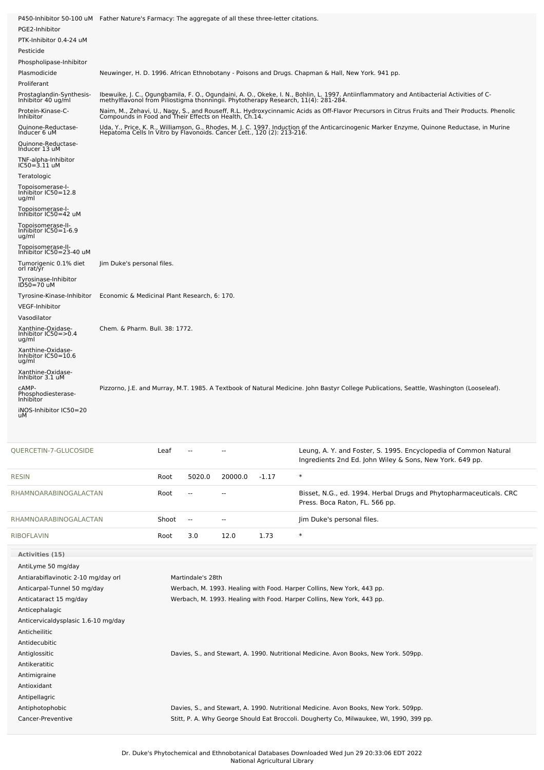|                                                    | P450-Inhibitor 50-100 uM Father Nature's Farmacy: The aggregate of all these three-letter citations.                                                                                                                            |
|----------------------------------------------------|---------------------------------------------------------------------------------------------------------------------------------------------------------------------------------------------------------------------------------|
| PGE2-Inhibitor                                     |                                                                                                                                                                                                                                 |
| PTK-Inhibitor 0.4-24 uM                            |                                                                                                                                                                                                                                 |
| Pesticide                                          |                                                                                                                                                                                                                                 |
| Phospholipase-Inhibitor                            |                                                                                                                                                                                                                                 |
| Plasmodicide                                       | Neuwinger, H. D. 1996. African Ethnobotany - Poisons and Drugs. Chapman & Hall, New York. 941 pp.                                                                                                                               |
| Proliferant                                        |                                                                                                                                                                                                                                 |
| Prostaglandin-Synthesis-<br>Inhibitor 40 ug/ml     | Ibewuike, J. C., Ogungbamila, F. O., Ogundaini, A. O., Okeke, I. N., Bohlin, L. 1997. Antiinflammatory and Antibacterial Activities of C-<br>methylflavonol from Piliostigma thonningii. Phytotherapy Research, 11(4): 281-284. |
| Protein-Kinase-C-<br>Inhibitor                     | Naim, M., Zehavi, U., Nagy, S., and Rouseff, R.L. Hydroxycinnamic Acids as Off-Flavor Precursors in Citrus Fruits and Their Products. Phenolic<br>Compounds in Food and Their Effects on Health, Ch.14.                         |
| Quinone-Reductase-<br>Inducer 6 uM                 | Uda, Y., Price, K. R., Williamson, G., Rhodes, M. J. C. 1997. Induction of the Anticarcinogenic Marker Enzyme, Quinone Reductase, in Murine<br>Hepatoma Cells In Vitro by Flavonoids. Cancer Lett., 120 (2): 213-216.           |
| Quinone-Reductase-<br>Inducer 13 uM                |                                                                                                                                                                                                                                 |
| TNF-alpha-Inhibitor<br>$IC50 = 3.11$ uM            |                                                                                                                                                                                                                                 |
| Teratologic                                        |                                                                                                                                                                                                                                 |
| Topoisomerase-I-<br>Inhibitor IC50=12.8<br>ug/ml   |                                                                                                                                                                                                                                 |
| Topoisomerase-I-<br>Inhibitor IC50=42 uM           |                                                                                                                                                                                                                                 |
| Topoisomerase-II-<br>Inhibitor IC50=1-6.9<br>ug/ml |                                                                                                                                                                                                                                 |
| Topoisomerase-II-<br>Inhibitor IC50=23-40 uM       |                                                                                                                                                                                                                                 |
| Tumorigenic 0.1% diet<br>orl rat/yr                | Jim Duke's personal files.                                                                                                                                                                                                      |
| Tyrosinase-Inhibitor<br>ID50=70 uM                 |                                                                                                                                                                                                                                 |
| Tyrosine-Kinase-Inhibitor                          | Economic & Medicinal Plant Research, 6: 170.                                                                                                                                                                                    |
| <b>VEGF-Inhibitor</b>                              |                                                                                                                                                                                                                                 |
| Vasodilator                                        |                                                                                                                                                                                                                                 |
| Xanthine-Oxidase-<br>Inhibitor IC50=>0.4<br>ug/ml  | Chem. & Pharm. Bull. 38: 1772.                                                                                                                                                                                                  |
| Xanthine-Oxidase-<br>Inhibitor IC50=10.6<br>ug/ml  |                                                                                                                                                                                                                                 |
| Xanthine-Oxidase-<br>Inhibitor 3.1 uM              |                                                                                                                                                                                                                                 |
| CAMP-<br>Phosphodiesterase-<br>Inhibitor           | Pizzorno, J.E. and Murray, M.T. 1985. A Textbook of Natural Medicine. John Bastyr College Publications, Seattle, Washington (Looseleaf).                                                                                        |
| iNOS-Inhibitor IC50=20<br>uМ                       |                                                                                                                                                                                                                                 |

| QUERCETIN-7-GLUCOSIDE  | Leaf  | --            | --      |         | Leung, A. Y. and Foster, S. 1995. Encyclopedia of Common Natural<br>Ingredients 2nd Ed. John Wiley & Sons, New York. 649 pp. |
|------------------------|-------|---------------|---------|---------|------------------------------------------------------------------------------------------------------------------------------|
| <b>RESIN</b>           | Root  | 5020.0        | 20000.0 | $-1.17$ | $\ast$                                                                                                                       |
| RHAMNOARABINOGALACTAN  | Root  | $\sim$ $\sim$ | --      |         | Bisset, N.G., ed. 1994. Herbal Drugs and Phytopharmaceuticals. CRC<br>Press. Boca Raton, FL. 566 pp.                         |
| RHAMNOARABINOGALACTAN  | Shoot | $\sim$        | --      |         | Jim Duke's personal files.                                                                                                   |
| <b>RIBOFLAVIN</b>      | Root  | 3.0           | 12.0    | 1.73    | $\ast$                                                                                                                       |
| <b>Activities (15)</b> |       |               |         |         |                                                                                                                              |
| Antiluma E0 malkau     |       |               |         |         |                                                                                                                              |

| AntiLyme 50 mg/day                  |                                                                                         |
|-------------------------------------|-----------------------------------------------------------------------------------------|
| Antiarabiflavinotic 2-10 mg/day orl | Martindale's 28th                                                                       |
| Anticarpal-Tunnel 50 mg/day         | Werbach, M. 1993. Healing with Food. Harper Collins, New York, 443 pp.                  |
| Anticataract 15 mg/day              | Werbach, M. 1993. Healing with Food. Harper Collins, New York, 443 pp.                  |
| Anticephalagic                      |                                                                                         |
| Anticervicaldysplasic 1.6-10 mg/day |                                                                                         |
| Anticheilitic                       |                                                                                         |
| Antidecubitic                       |                                                                                         |
| Antiglossitic                       | Davies, S., and Stewart, A. 1990. Nutritional Medicine. Avon Books, New York. 509pp.    |
| Antikeratitic                       |                                                                                         |
| Antimigraine                        |                                                                                         |
| Antioxidant                         |                                                                                         |
| Antipellagric                       |                                                                                         |
| Antiphotophobic                     | Davies, S., and Stewart, A. 1990. Nutritional Medicine. Avon Books, New York. 509pp.    |
| Cancer-Preventive                   | Stitt, P. A. Why George Should Eat Broccoli. Dougherty Co, Milwaukee, WI, 1990, 399 pp. |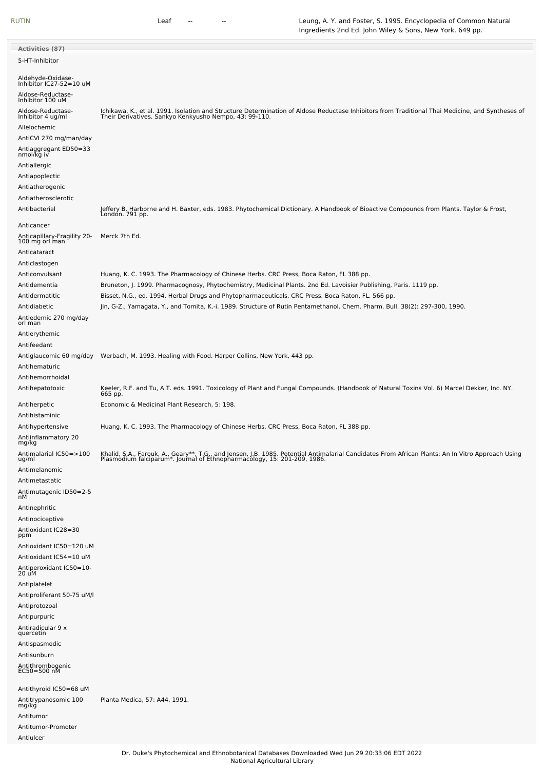| Activities (87)                                   |                                                                                                                                                                                                                               |
|---------------------------------------------------|-------------------------------------------------------------------------------------------------------------------------------------------------------------------------------------------------------------------------------|
| 5-HT-Inhibitor                                    |                                                                                                                                                                                                                               |
| Aldehyde-Oxidase-<br>Inhibitor IC27-52=10 uM      |                                                                                                                                                                                                                               |
| Aldose-Reductase-<br>Inhibitor 100 uM             |                                                                                                                                                                                                                               |
| Aldose-Reductase-<br>Inhibitor 4 ug/ml            | Ichikawa, K., et al. 1991. Isolation and Structure Determination of Aldose Reductase Inhibitors from Traditional Thai Medicine, and Syntheses of<br>Their Derivatives. Sankyo Kenkyusho Nempo, 43: 99-110.                    |
| Allelochemic                                      |                                                                                                                                                                                                                               |
| AntiCVI 270 mg/man/day                            |                                                                                                                                                                                                                               |
| Antiaggregant ED50=33<br>nmol/kg iv               |                                                                                                                                                                                                                               |
| Antiallergic                                      |                                                                                                                                                                                                                               |
| Antiapoplectic<br>Antiatherogenic                 |                                                                                                                                                                                                                               |
| Antiatherosclerotic                               |                                                                                                                                                                                                                               |
| Antibacterial                                     | Jeffery B. Harborne and H. Baxter, eds. 1983. Phytochemical Dictionary. A Handbook of Bioactive Compounds from Plants. Taylor & Frost,                                                                                        |
|                                                   | London. 791 pp.                                                                                                                                                                                                               |
| Anticancer                                        | Merck 7th Ed.                                                                                                                                                                                                                 |
| Anticapillary-Fragility 20-<br>100 mg orl man     |                                                                                                                                                                                                                               |
| Anticataract                                      |                                                                                                                                                                                                                               |
| Anticlastogen                                     |                                                                                                                                                                                                                               |
| Anticonvulsant<br>Antidementia                    | Huang, K. C. 1993. The Pharmacology of Chinese Herbs. CRC Press, Boca Raton, FL 388 pp.<br>Bruneton, J. 1999. Pharmacognosy, Phytochemistry, Medicinal Plants. 2nd Ed. Lavoisier Publishing, Paris. 1119 pp.                  |
| Antidermatitic                                    | Bisset, N.G., ed. 1994. Herbal Drugs and Phytopharmaceuticals. CRC Press. Boca Raton, FL. 566 pp.                                                                                                                             |
| Antidiabetic                                      | Jin, G-Z., Yamagata, Y., and Tomita, K.-i. 1989. Structure of Rutin Pentamethanol. Chem. Pharm. Bull. 38(2): 297-300, 1990.                                                                                                   |
| Antiedemic 270 mg/day<br>orl man                  |                                                                                                                                                                                                                               |
| Antierythemic                                     |                                                                                                                                                                                                                               |
| Antifeedant                                       |                                                                                                                                                                                                                               |
| Antiglaucomic 60 mg/day<br>Antihematuric          | Werbach, M. 1993. Healing with Food. Harper Collins, New York, 443 pp.                                                                                                                                                        |
| Antihemorrhoidal                                  |                                                                                                                                                                                                                               |
| Antihepatotoxic                                   | Keeler, R.F. and Tu, A.T. eds. 1991. Toxicology of Plant and Fungal Compounds. (Handbook of Natural Toxins Vol. 6) Marcel Dekker, Inc. NY.<br>665 pp.                                                                         |
| Antiherpetic                                      | Economic & Medicinal Plant Research, 5: 198.                                                                                                                                                                                  |
| Antihistaminic                                    |                                                                                                                                                                                                                               |
| Antihypertensive<br>Antiinflammatory 20<br>mg/kg  | Huang, K. C. 1993. The Pharmacology of Chinese Herbs. CRC Press, Boca Raton, FL 388 pp.                                                                                                                                       |
| Antimalarial IC50=>100<br>ug/ml                   | Khalid, S.A., Farouk, A., Geary**, T.G., and Jensen, J.B. 1985. Potential Antimalarial Candidates From African Plants: An In Vitro Approach Using<br>Plasmodium falciparum*. Journal of Ethnopharmacology, 15: 201-209, 1986. |
| Antimelanomic<br>Antimetastatic                   |                                                                                                                                                                                                                               |
| Antimutagenic ID50=2-5                            |                                                                                                                                                                                                                               |
| nМ                                                |                                                                                                                                                                                                                               |
| Antinephritic<br>Antinociceptive                  |                                                                                                                                                                                                                               |
| Antioxidant IC28=30                               |                                                                                                                                                                                                                               |
| ppm                                               |                                                                                                                                                                                                                               |
| Antioxidant IC50=120 uM<br>Antioxidant IC54=10 uM |                                                                                                                                                                                                                               |
| Antiperoxidant IC50=10-<br>20 uM                  |                                                                                                                                                                                                                               |
| Antiplatelet                                      |                                                                                                                                                                                                                               |
| Antiproliferant 50-75 uM/l                        |                                                                                                                                                                                                                               |
| Antiprotozoal                                     |                                                                                                                                                                                                                               |
| Antipurpuric                                      |                                                                                                                                                                                                                               |
| Antiradicular 9 x<br>quercetin                    |                                                                                                                                                                                                                               |
| Antispasmodic                                     |                                                                                                                                                                                                                               |
| Antisunburn                                       |                                                                                                                                                                                                                               |
| Antithrombogenic<br>$EC50 = 500 nM$               |                                                                                                                                                                                                                               |
| Antithyroid IC50=68 uM                            |                                                                                                                                                                                                                               |
| Antitrypanosomic 100<br>mg/kg                     | Planta Medica, 57: A44, 1991.                                                                                                                                                                                                 |
| Antitumor                                         |                                                                                                                                                                                                                               |
| Antitumor-Promoter                                |                                                                                                                                                                                                                               |
| Antiulcer                                         |                                                                                                                                                                                                                               |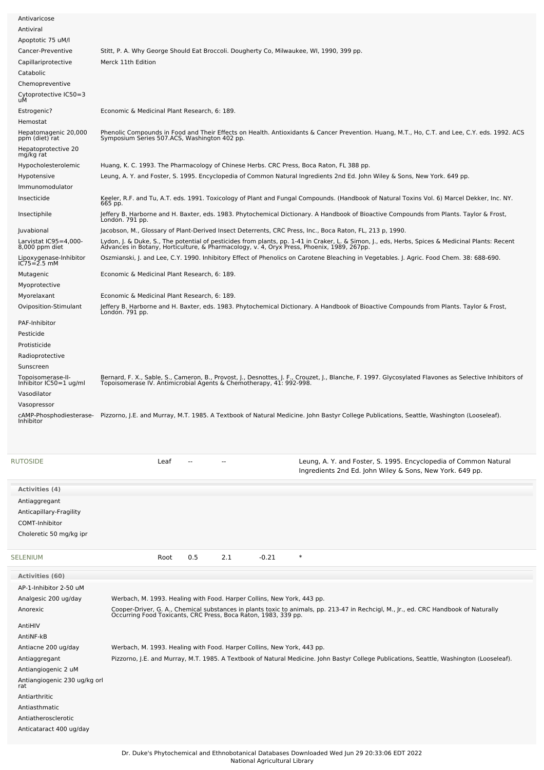| Inhibitor<br><b>RUTOSIDE</b><br>Activities (4)<br>Antiaggregant                                                           | Leaf                                                                                                                                     | Bernard, F. X., Sable, S., Cameron, B., Provost, J., Desnottes, J. F., Crouzet, J., Blanche, F. 1997. Glycosylated Flavones as Selective Inhibitors of<br>Topoisomerase IV. Antimicrobial Agents & Chemotherapy, 41: 992-998.<br>.MP-Phosphodiesterase- Pizzorno, J.E. and Murray, M.T. 1985. A Textbook of Natural Medicine. John Bastyr College Publications, Seattle, Washington (Looseleaf).<br>Leung, A. Y. and Foster, S. 1995. Encyclopedia of Common Natural<br>Ingredients 2nd Ed. John Wiley & Sons, New York. 649 pp. |  |  |  |  |  |
|---------------------------------------------------------------------------------------------------------------------------|------------------------------------------------------------------------------------------------------------------------------------------|----------------------------------------------------------------------------------------------------------------------------------------------------------------------------------------------------------------------------------------------------------------------------------------------------------------------------------------------------------------------------------------------------------------------------------------------------------------------------------------------------------------------------------|--|--|--|--|--|
|                                                                                                                           |                                                                                                                                          |                                                                                                                                                                                                                                                                                                                                                                                                                                                                                                                                  |  |  |  |  |  |
|                                                                                                                           |                                                                                                                                          |                                                                                                                                                                                                                                                                                                                                                                                                                                                                                                                                  |  |  |  |  |  |
| Vasopressor                                                                                                               |                                                                                                                                          |                                                                                                                                                                                                                                                                                                                                                                                                                                                                                                                                  |  |  |  |  |  |
| Vasodilator                                                                                                               |                                                                                                                                          |                                                                                                                                                                                                                                                                                                                                                                                                                                                                                                                                  |  |  |  |  |  |
| PAF-Inhibitor<br>Pesticide<br>Protisticide<br>Radioprotective<br>Sunscreen<br>Topoisomerase-II-<br>Inhibitor IC50=1 ug/ml |                                                                                                                                          |                                                                                                                                                                                                                                                                                                                                                                                                                                                                                                                                  |  |  |  |  |  |
| Myoprotective<br>Myorelaxant<br>Oviposition-Stimulant                                                                     | Economic & Medicinal Plant Research, 6: 189.                                                                                             | Jeffery B. Harborne and H. Baxter, eds. 1983. Phytochemical Dictionary. A Handbook of Bioactive Compounds from Plants. Taylor & Frost,<br>London. 791 pp.                                                                                                                                                                                                                                                                                                                                                                        |  |  |  |  |  |
| Mutagenic                                                                                                                 | Economic & Medicinal Plant Research, 6: 189.                                                                                             |                                                                                                                                                                                                                                                                                                                                                                                                                                                                                                                                  |  |  |  |  |  |
| Lipoxygenase-Inhibitor<br>IC75=2.5 mM                                                                                     | Oszmianski, J. and Lee, C.Y. 1990. Inhibitory Effect of Phenolics on Carotene Bleaching in Vegetables. J. Agric. Food Chem. 38: 688-690. |                                                                                                                                                                                                                                                                                                                                                                                                                                                                                                                                  |  |  |  |  |  |
| Larvistat IC95=4,000-<br>8,000 ppm diet                                                                                   |                                                                                                                                          | Lydon, J. & Duke, S., The potential of pesticides from plants, pp. 1-41 in Craker, L. & Simon, J., eds, Herbs, Spices & Medicinal Plants: Recent<br>Advances in Botany, Horticulture, & Pharmacology, v. 4, Oryx Press, Phoenix,                                                                                                                                                                                                                                                                                                 |  |  |  |  |  |
| Juvabional                                                                                                                | Jacobson, M., Glossary of Plant-Derived Insect Deterrents, CRC Press, Inc., Boca Raton, FL, 213 p, 1990.                                 |                                                                                                                                                                                                                                                                                                                                                                                                                                                                                                                                  |  |  |  |  |  |
| Insectiphile                                                                                                              |                                                                                                                                          | Jeffery B. Harborne and H. Baxter, eds. 1983. Phytochemical Dictionary. A Handbook of Bioactive Compounds from Plants. Taylor & Frost,<br>London. 791 pp.                                                                                                                                                                                                                                                                                                                                                                        |  |  |  |  |  |
| Immunomodulator<br>Insecticide<br>665 pp.                                                                                 |                                                                                                                                          | Keeler, R.F. and Tu, A.T. eds. 1991. Toxicology of Plant and Fungal Compounds. (Handbook of Natural Toxins Vol. 6) Marcel Dekker, Inc. NY.                                                                                                                                                                                                                                                                                                                                                                                       |  |  |  |  |  |
| Hypotensive                                                                                                               |                                                                                                                                          | Leung, A. Y. and Foster, S. 1995. Encyclopedia of Common Natural Ingredients 2nd Ed. John Wiley & Sons, New York. 649 pp.                                                                                                                                                                                                                                                                                                                                                                                                        |  |  |  |  |  |
| Hypocholesterolemic                                                                                                       | Huang, K. C. 1993. The Pharmacology of Chinese Herbs. CRC Press, Boca Raton, FL 388 pp.                                                  |                                                                                                                                                                                                                                                                                                                                                                                                                                                                                                                                  |  |  |  |  |  |
| Hepatoprotective 20<br>mg/kg rat                                                                                          |                                                                                                                                          |                                                                                                                                                                                                                                                                                                                                                                                                                                                                                                                                  |  |  |  |  |  |
| Hemostat<br>Hepatomagenic 20,000<br>ppm (diet) rat                                                                        |                                                                                                                                          | Phenolic Compounds in Food and Their Effects on Health. Antioxidants & Cancer Prevention. Huang, M.T., Ho, C.T. and Lee, C.Y. eds. 1992. ACS<br>Symposium Series 507.ACS, Washington 402 pp.                                                                                                                                                                                                                                                                                                                                     |  |  |  |  |  |
| Estrogenic?                                                                                                               | Economic & Medicinal Plant Research, 6: 189.                                                                                             |                                                                                                                                                                                                                                                                                                                                                                                                                                                                                                                                  |  |  |  |  |  |
| Catabolic<br>Chemopreventive<br>Cytoprotective IC50=3                                                                     |                                                                                                                                          |                                                                                                                                                                                                                                                                                                                                                                                                                                                                                                                                  |  |  |  |  |  |
| Capillariprotective                                                                                                       | Merck 11th Edition                                                                                                                       |                                                                                                                                                                                                                                                                                                                                                                                                                                                                                                                                  |  |  |  |  |  |
| Cancer-Preventive                                                                                                         | Stitt, P. A. Why George Should Eat Broccoli. Dougherty Co, Milwaukee, WI, 1990, 399 pp.                                                  |                                                                                                                                                                                                                                                                                                                                                                                                                                                                                                                                  |  |  |  |  |  |
| Apoptotic 75 uM/l                                                                                                         |                                                                                                                                          |                                                                                                                                                                                                                                                                                                                                                                                                                                                                                                                                  |  |  |  |  |  |
| Antivaricose<br>Antiviral                                                                                                 |                                                                                                                                          |                                                                                                                                                                                                                                                                                                                                                                                                                                                                                                                                  |  |  |  |  |  |

| SELENIUM                            |                                                                        | Root | 0.5 | 2.1 | $-0.21$ | $\ast$                                                                                                                                   |
|-------------------------------------|------------------------------------------------------------------------|------|-----|-----|---------|------------------------------------------------------------------------------------------------------------------------------------------|
| <b>Activities (60)</b>              |                                                                        |      |     |     |         |                                                                                                                                          |
| AP-1-Inhibitor 2-50 uM              |                                                                        |      |     |     |         |                                                                                                                                          |
| Analgesic 200 ug/day                | Werbach, M. 1993. Healing with Food. Harper Collins, New York, 443 pp. |      |     |     |         |                                                                                                                                          |
| Anorexic                            | Occurring Food Toxicants, CRC Press, Boca Raton, 1983, 339 pp.         |      |     |     |         | Cooper-Driver, G. A., Chemical substances in plants toxic to animals, pp. 213-47 in Rechcigl, M., Jr., ed. CRC Handbook of Naturally     |
| AntiHIV                             |                                                                        |      |     |     |         |                                                                                                                                          |
| AntiNF-kB                           |                                                                        |      |     |     |         |                                                                                                                                          |
| Antiacne 200 ug/day                 | Werbach, M. 1993. Healing with Food. Harper Collins, New York, 443 pp. |      |     |     |         |                                                                                                                                          |
| Antiaggregant                       |                                                                        |      |     |     |         | Pizzorno, J.E. and Murray, M.T. 1985. A Textbook of Natural Medicine. John Bastyr College Publications, Seattle, Washington (Looseleaf). |
| Antiangiogenic 2 uM                 |                                                                        |      |     |     |         |                                                                                                                                          |
| Antiangiogenic 230 ug/kg orl<br>rat |                                                                        |      |     |     |         |                                                                                                                                          |
| Antiarthritic                       |                                                                        |      |     |     |         |                                                                                                                                          |
| Antiasthmatic                       |                                                                        |      |     |     |         |                                                                                                                                          |
| Antiatherosclerotic                 |                                                                        |      |     |     |         |                                                                                                                                          |
| Anticataract 400 ug/day             |                                                                        |      |     |     |         |                                                                                                                                          |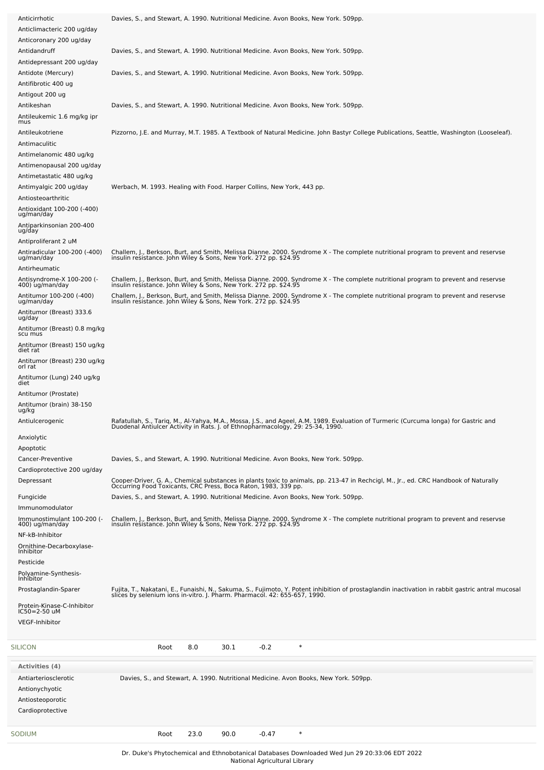| Anticirrhotic                                    | Davies, S., and Stewart, A. 1990. Nutritional Medicine. Avon Books, New York. 509pp.                                                                                                                   |
|--------------------------------------------------|--------------------------------------------------------------------------------------------------------------------------------------------------------------------------------------------------------|
| Anticlimacteric 200 ug/day                       |                                                                                                                                                                                                        |
| Anticoronary 200 ug/day                          |                                                                                                                                                                                                        |
| Antidandruff                                     | Davies, S., and Stewart, A. 1990. Nutritional Medicine. Avon Books, New York. 509pp.                                                                                                                   |
| Antidepressant 200 ug/day<br>Antidote (Mercury)  | Davies, S., and Stewart, A. 1990. Nutritional Medicine. Avon Books, New York. 509pp.                                                                                                                   |
| Antifibrotic 400 ug                              |                                                                                                                                                                                                        |
| Antigout 200 ug                                  |                                                                                                                                                                                                        |
| Antikeshan                                       | Davies, S., and Stewart, A. 1990. Nutritional Medicine. Avon Books, New York. 509pp.                                                                                                                   |
| Antileukemic 1.6 mg/kg ipr<br>mus                |                                                                                                                                                                                                        |
| Antileukotriene                                  | Pizzorno, J.E. and Murray, M.T. 1985. A Textbook of Natural Medicine. John Bastyr College Publications, Seattle, Washington (Looseleaf).                                                               |
| Antimaculitic                                    |                                                                                                                                                                                                        |
| Antimelanomic 480 ug/kg                          |                                                                                                                                                                                                        |
| Antimenopausal 200 ug/day                        |                                                                                                                                                                                                        |
| Antimetastatic 480 ug/kg                         |                                                                                                                                                                                                        |
| Antimyalgic 200 ug/day<br>Antiosteoarthritic     | Werbach, M. 1993. Healing with Food. Harper Collins, New York, 443 pp.                                                                                                                                 |
| Antioxidant 100-200 (-400)                       |                                                                                                                                                                                                        |
| ug/man/day                                       |                                                                                                                                                                                                        |
| Antiparkinsonian 200-400<br>ug/day               |                                                                                                                                                                                                        |
| Antiproliferant 2 uM                             |                                                                                                                                                                                                        |
| Antiradicular 100-200 (-400)<br>ug/man/day       | Challem, J., Berkson, Burt, and Smith, Melissa Dianne. 2000. Syndrome X - The complete nutritional program to prevent and reservse<br>insulin resistance. John Wiley & Sons, New York. 272 pp. \$24.95 |
| Antirheumatic                                    |                                                                                                                                                                                                        |
| -) Antisyndrome-X 100-200                        | Challem, J., Berkson, Burt, and Smith, Melissa Dianne. 2000. Syndrome X - The complete nutritional program to prevent and reservse<br>insulin resistance. John Wiley & Sons, New York. 272 pp. \$24.95 |
| 400) ug/man/day<br>Antitumor 100-200 (-400)      |                                                                                                                                                                                                        |
| ug/man/day                                       | Challem, J., Berkson, Burt, and Smith, Melissa Dianne. 2000. Syndrome X - The complete nutritional program to prevent and reservse<br>insulin resistance. John Wiley & Sons, New York. 272 pp. \$24.95 |
| Antitumor (Breast) 333.6<br>ug/day               |                                                                                                                                                                                                        |
| Antitumor (Breast) 0.8 mg/kg                     |                                                                                                                                                                                                        |
| scu mus<br>Antitumor (Breast) 150 ug/kg          |                                                                                                                                                                                                        |
| diet rat                                         |                                                                                                                                                                                                        |
| Antitumor (Breast) 230 ug/kg<br>orl rat          |                                                                                                                                                                                                        |
| Antitumor (Lung) 240 ug/kg<br>diet               |                                                                                                                                                                                                        |
| Antitumor (Prostate)                             |                                                                                                                                                                                                        |
| Antitumor (brain) 38-150                         |                                                                                                                                                                                                        |
| ug/kg<br>Antiulcerogenic                         | Rafatullah, S., Tariq, M., Al-Yahya, M.A., Mossa, J.S., and Ageel, A.M. 1989. Evaluation of Turmeric (Curcuma longa) for Gastric and                                                                   |
|                                                  | Duodenal Antiulcer Activity in Rats. J. of Ethnopharmacology, 29: 25-34, 1990.                                                                                                                         |
| Anxiolytic                                       |                                                                                                                                                                                                        |
| Apoptotic                                        |                                                                                                                                                                                                        |
| Cancer-Preventive<br>Cardioprotective 200 ug/day | Davies, S., and Stewart, A. 1990. Nutritional Medicine. Avon Books, New York. 509pp.                                                                                                                   |
| Depressant                                       |                                                                                                                                                                                                        |
|                                                  | Cooper-Driver, G. A., Chemical substances in plants toxic to animals, pp. 213-47 in Rechcigl, M., Jr., ed. CRC Handbook of Naturally<br>Occurring Food Toxicants, CRC Press, Boca Raton, 1983, 339 pp. |
| Fungicide<br>Immunomodulator                     | Davies, S., and Stewart, A. 1990. Nutritional Medicine. Avon Books, New York. 509pp.                                                                                                                   |
| Immunostimulant 100-200 (-                       |                                                                                                                                                                                                        |
| 400) ug/man/day                                  | Challem, J., Berkson, Burt, and Smith, Melissa Dianne. 2000. Syndrome X - The complete nutritional program to prevent and reservse<br>insulin resistance. John Wiley & Sons, New York. 272 pp. \$24.95 |
| NF-kB-Inhibitor                                  |                                                                                                                                                                                                        |
| Ornithine-Decarboxylase-<br>Inhibitor            |                                                                                                                                                                                                        |
| Pesticide                                        |                                                                                                                                                                                                        |
| Polyamine-Synthesis-<br>Inhibitor                |                                                                                                                                                                                                        |
| Prostaglandin-Sparer                             | Fujita, T., Nakatani, E., Funaishi, N., Sakuma, S., Fujimoto, Y. Potent inhibition of prostaglandin inactivation in rabbit gastric antral mucosal                                                      |
|                                                  | slices by selenium ions in-vitro. J. Pharm. Pharmacol. 42: 655-657, 1990.                                                                                                                              |
| Protein-Kinase-C-Inhibitor<br>IC50=2-50 uM       |                                                                                                                                                                                                        |
| <b>VEGF-Inhibitor</b>                            |                                                                                                                                                                                                        |
|                                                  |                                                                                                                                                                                                        |
| SILICON                                          | $-0.2$<br>$\ast$<br>Root<br>8.0<br>30.1                                                                                                                                                                |
| <b>Activities (4)</b>                            |                                                                                                                                                                                                        |
| Antiarteriosclerotic                             | Davies, S., and Stewart, A. 1990. Nutritional Medicine. Avon Books, New York. 509pp.                                                                                                                   |
| Antionychyotic                                   |                                                                                                                                                                                                        |
| Antiosteoporotic<br>Cardioprotective             |                                                                                                                                                                                                        |
|                                                  |                                                                                                                                                                                                        |
| SODIUM                                           | $\ast$<br>23.0<br>90.0<br>$-0.47$<br>Root                                                                                                                                                              |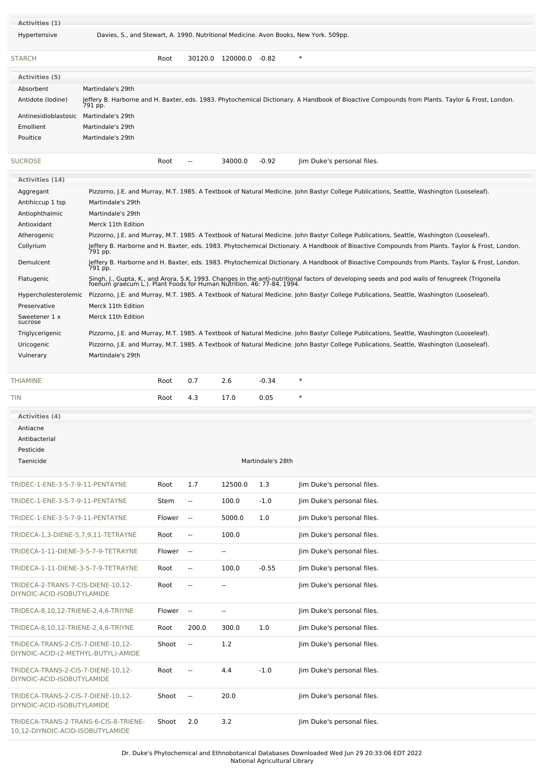| Activities (1)                                                            |                                                                                      |        |                          |                          |                   |                                                                                                                                                                                                                                |
|---------------------------------------------------------------------------|--------------------------------------------------------------------------------------|--------|--------------------------|--------------------------|-------------------|--------------------------------------------------------------------------------------------------------------------------------------------------------------------------------------------------------------------------------|
| Hypertensive                                                              | Davies, S., and Stewart, A. 1990. Nutritional Medicine. Avon Books, New York. 509pp. |        |                          |                          |                   |                                                                                                                                                                                                                                |
| <b>STARCH</b>                                                             |                                                                                      | Root   |                          | 30120.0 120000.0 -0.82   |                   | $\ast$                                                                                                                                                                                                                         |
| Activities (5)                                                            |                                                                                      |        |                          |                          |                   |                                                                                                                                                                                                                                |
| Absorbent                                                                 | Martindale's 29th                                                                    |        |                          |                          |                   |                                                                                                                                                                                                                                |
| Antidote (Iodine)                                                         |                                                                                      |        |                          |                          |                   | Jeffery B. Harborne and H. Baxter, eds. 1983. Phytochemical Dictionary. A Handbook of Bioactive Compounds from Plants. Taylor & Frost, London.<br>791 pp.                                                                      |
| Antinesidioblastosic                                                      | Martindale's 29th                                                                    |        |                          |                          |                   |                                                                                                                                                                                                                                |
| Emollient                                                                 | Martindale's 29th                                                                    |        |                          |                          |                   |                                                                                                                                                                                                                                |
| Poultice                                                                  | Martindale's 29th                                                                    |        |                          |                          |                   |                                                                                                                                                                                                                                |
| <b>SUCROSE</b>                                                            |                                                                                      | Root   | $\overline{\phantom{a}}$ | 34000.0                  | $-0.92$           | Jim Duke's personal files.                                                                                                                                                                                                     |
| Activities (14)                                                           |                                                                                      |        |                          |                          |                   |                                                                                                                                                                                                                                |
| Aggregant                                                                 |                                                                                      |        |                          |                          |                   | Pizzorno, J.E. and Murray, M.T. 1985. A Textbook of Natural Medicine. John Bastyr College Publications, Seattle, Washington (Looseleaf).                                                                                       |
| Antihiccup 1 tsp                                                          | Martindale's 29th                                                                    |        |                          |                          |                   |                                                                                                                                                                                                                                |
| Antiophthalmic                                                            | Martindale's 29th                                                                    |        |                          |                          |                   |                                                                                                                                                                                                                                |
| Antioxidant                                                               | Merck 11th Edition                                                                   |        |                          |                          |                   |                                                                                                                                                                                                                                |
| Atherogenic                                                               |                                                                                      |        |                          |                          |                   | Pizzorno, J.E. and Murray, M.T. 1985. A Textbook of Natural Medicine. John Bastyr College Publications, Seattle, Washington (Looseleaf).                                                                                       |
| Collyrium                                                                 | 791 pp.                                                                              |        |                          |                          |                   | Jeffery B. Harborne and H. Baxter, eds. 1983. Phytochemical Dictionary. A Handbook of Bioactive Compounds from Plants. Taylor & Frost, London.                                                                                 |
| Demulcent                                                                 | 791 pp.                                                                              |        |                          |                          |                   | Jeffery B. Harborne and H. Baxter, eds. 1983. Phytochemical Dictionary. A Handbook of Bioactive Compounds from Plants. Taylor & Frost, London.                                                                                 |
| Flatugenic                                                                |                                                                                      |        |                          |                          |                   | Singh, J., Gupta, K., and Arora, S.K. 1993. Changes in the anti-nutritional factors of developing seeds and pod walls of fenugreek (Trigonella foenun at alle alle and postere and pod walls of fenugreek (Trigonella foenun A |
| Hypercholesterolemic                                                      |                                                                                      |        |                          |                          |                   | Pizzorno, J.E. and Murray, M.T. 1985. A Textbook of Natural Medicine. John Bastyr College Publications, Seattle, Washington (Looseleaf).                                                                                       |
| Preservative                                                              | Merck 11th Edition                                                                   |        |                          |                          |                   |                                                                                                                                                                                                                                |
| Sweetener 1 x<br>sucrose                                                  | Merck 11th Edition                                                                   |        |                          |                          |                   |                                                                                                                                                                                                                                |
| Triglycerigenic                                                           |                                                                                      |        |                          |                          |                   | Pizzorno, J.E. and Murray, M.T. 1985. A Textbook of Natural Medicine. John Bastyr College Publications, Seattle, Washington (Looseleaf).                                                                                       |
| Uricogenic                                                                |                                                                                      |        |                          |                          |                   | Pizzorno, J.E. and Murray, M.T. 1985. A Textbook of Natural Medicine. John Bastyr College Publications, Seattle, Washington (Looseleaf).                                                                                       |
| Vulnerary                                                                 | Martindale's 29th                                                                    |        |                          |                          |                   |                                                                                                                                                                                                                                |
|                                                                           |                                                                                      |        |                          |                          |                   |                                                                                                                                                                                                                                |
| <b>THIAMINE</b>                                                           |                                                                                      | Root   | 0.7                      | 2.6                      | $-0.34$           | $\ast$                                                                                                                                                                                                                         |
| <b>TIN</b>                                                                |                                                                                      | Root   | 4.3                      | 17.0                     | 0.05              | $\ast$                                                                                                                                                                                                                         |
| Activities (4)                                                            |                                                                                      |        |                          |                          |                   |                                                                                                                                                                                                                                |
| Antiacne                                                                  |                                                                                      |        |                          |                          |                   |                                                                                                                                                                                                                                |
| Antibacterial                                                             |                                                                                      |        |                          |                          |                   |                                                                                                                                                                                                                                |
| Pesticide                                                                 |                                                                                      |        |                          |                          |                   |                                                                                                                                                                                                                                |
| Taenicide                                                                 |                                                                                      |        |                          |                          | Martindale's 28th |                                                                                                                                                                                                                                |
| TRIDEC-1-ENE-3-5-7-9-11-PENTAYNE                                          |                                                                                      | Root   | 1.7                      | 12500.0                  | 1.3               | Jim Duke's personal files.                                                                                                                                                                                                     |
| TRIDEC-1-ENE-3-5-7-9-11-PENTAYNE                                          |                                                                                      | Stem   | $\overline{\phantom{a}}$ | 100.0                    | $-1.0$            | Jim Duke's personal files.                                                                                                                                                                                                     |
| TRIDEC-1-ENE-3-5-7-9-11-PENTAYNE                                          |                                                                                      | Flower | $\sim$                   | 5000.0                   | 1.0               | Jim Duke's personal files.                                                                                                                                                                                                     |
| TRIDECA-1,3-DIENE-5,7,9,11-TETRAYNE                                       |                                                                                      | Root   | $\overline{\phantom{a}}$ | 100.0                    |                   | Jim Duke's personal files.                                                                                                                                                                                                     |
| TRIDECA-1-11-DIENE-3-5-7-9-TETRAYNE                                       |                                                                                      | Flower | $\sim$                   | $\overline{\phantom{a}}$ |                   | Jim Duke's personal files.                                                                                                                                                                                                     |
| TRIDECA-1-11-DIENE-3-5-7-9-TETRAYNE                                       |                                                                                      | Root   | $\overline{\phantom{a}}$ | 100.0                    | $-0.55$           | Jim Duke's personal files.                                                                                                                                                                                                     |
| TRIDECA-2-TRANS-7-CIS-DIENE-10,12-<br>DIYNOIC-ACID-ISOBUTYLAMIDE          |                                                                                      | Root   | $\overline{\phantom{a}}$ | $\overline{\phantom{a}}$ |                   | Jim Duke's personal files.                                                                                                                                                                                                     |
| TRIDECA-8,10,12-TRIENE-2,4,6-TRIYNE                                       |                                                                                      | Flower | $\sim$                   | $\overline{\phantom{a}}$ |                   | Jim Duke's personal files.                                                                                                                                                                                                     |
| TRIDECA-8,10,12-TRIENE-2,4,6-TRIYNE                                       |                                                                                      | Root   | 200.0                    | 300.0                    | 1.0               | Jim Duke's personal files.                                                                                                                                                                                                     |
| TRIDECA-TRANS-2-CIS-7-DIENE-10,12-<br>DIYNOIC-ACID-(2-METHYL-BUTYL)-AMIDE |                                                                                      | Shoot  | $\overline{\phantom{a}}$ | 1.2                      |                   | Jim Duke's personal files.                                                                                                                                                                                                     |
| TRIDECA-TRANS-2-CIS-7-DIENE-10,12-<br>DIYNOIC-ACID-ISOBUTYLAMIDE          |                                                                                      | Root   | $\overline{\phantom{a}}$ | 4.4                      | $-1.0$            | Jim Duke's personal files.                                                                                                                                                                                                     |
| TRIDECA-TRANS-2-CIS-7-DIENE-10,12-<br>DIYNOIC-ACID-ISOBUTYLAMIDE          |                                                                                      | Shoot  | $\overline{\phantom{a}}$ | 20.0                     |                   | Jim Duke's personal files.                                                                                                                                                                                                     |
| TRIDECA-TRANS-2-TRANS-6-CIS-8-TRIENE-<br>10,12-DIYNOIC-ACID-ISOBUTYLAMIDE |                                                                                      | Shoot  | 2.0                      | 3.2                      |                   | Jim Duke's personal files.                                                                                                                                                                                                     |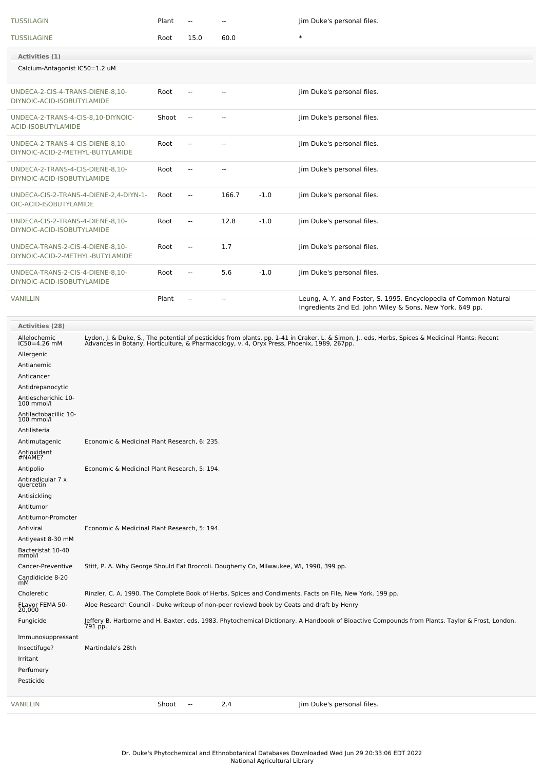| <b>TUSSILAGIN</b>                                                                                                                                                                                                                                                                                        | Plant | $\overline{\phantom{a}}$ | $\sim$                   |        | Jim Duke's personal files.                                                                                                   |
|----------------------------------------------------------------------------------------------------------------------------------------------------------------------------------------------------------------------------------------------------------------------------------------------------------|-------|--------------------------|--------------------------|--------|------------------------------------------------------------------------------------------------------------------------------|
| <b>TUSSILAGINE</b>                                                                                                                                                                                                                                                                                       | Root  | 15.0                     | 60.0                     |        | $\ast$                                                                                                                       |
| Activities (1)                                                                                                                                                                                                                                                                                           |       |                          |                          |        |                                                                                                                              |
| Calcium-Antagonist IC50=1.2 uM                                                                                                                                                                                                                                                                           |       |                          |                          |        |                                                                                                                              |
| UNDECA-2-CIS-4-TRANS-DIENE-8.10-<br>DIYNOIC-ACID-ISOBUTYLAMIDE                                                                                                                                                                                                                                           | Root  | $\sim$                   | --                       |        | Jim Duke's personal files.                                                                                                   |
| UNDECA-2-TRANS-4-CIS-8,10-DIYNOIC-<br>ACID-ISOBUTYLAMIDE                                                                                                                                                                                                                                                 | Shoot | $\sim$                   | $\sim$ $\sim$            |        | Jim Duke's personal files.                                                                                                   |
| UNDECA-2-TRANS-4-CIS-DIENE-8,10-<br>DIYNOIC-ACID-2-METHYL-BUTYLAMIDE                                                                                                                                                                                                                                     | Root  | $\sim$                   | $\sim$                   |        | Jim Duke's personal files.                                                                                                   |
| UNDECA-2-TRANS-4-CIS-DIENE-8,10-<br>DIYNOIC-ACID-ISOBUTYLAMIDE                                                                                                                                                                                                                                           | Root  | $\overline{\phantom{a}}$ | $\overline{\phantom{a}}$ |        | Jim Duke's personal files.                                                                                                   |
| UNDECA-CIS-2-TRANS-4-DIENE-2,4-DIYN-1-<br>OIC-ACID-ISOBUTYLAMIDE                                                                                                                                                                                                                                         | Root  | $\overline{\phantom{a}}$ | 166.7                    | $-1.0$ | Jim Duke's personal files.                                                                                                   |
| UNDECA-CIS-2-TRANS-4-DIENE-8,10-<br>DIYNOIC-ACID-ISOBUTYLAMIDE                                                                                                                                                                                                                                           | Root  | $\overline{\phantom{a}}$ | 12.8                     | $-1.0$ | Jim Duke's personal files.                                                                                                   |
| UNDECA-TRANS-2-CIS-4-DIENE-8,10-<br>DIYNOIC-ACID-2-METHYL-BUTYLAMIDE                                                                                                                                                                                                                                     | Root  | $\mathbf{u}$             | 1.7                      |        | Jim Duke's personal files.                                                                                                   |
| UNDECA-TRANS-2-CIS-4-DIENE-8,10-<br>DIYNOIC-ACID-ISOBUTYLAMIDE                                                                                                                                                                                                                                           | Root  | $\sim$                   | 5.6                      | $-1.0$ | Jim Duke's personal files.                                                                                                   |
| <b>VANILLIN</b>                                                                                                                                                                                                                                                                                          | Plant | $\mathbf{u}$             | $\sim$ $-$               |        | Leung, A. Y. and Foster, S. 1995. Encyclopedia of Common Natural<br>Ingredients 2nd Ed. John Wiley & Sons, New York. 649 pp. |
| $A = A_1 A_2 A_3 A_4 A_5 A_6 A_7 A_8 A_9 A_1 A_2 A_3 A_4 A_5 A_7 A_8 A_8 A_9 A_1 A_2 A_3 A_4 A_5 A_7 A_8 A_9 A_1 A_2 A_3 A_4 A_5 A_7 A_8 A_9 A_1 A_2 A_3 A_4 A_5 A_7 A_8 A_9 A_1 A_2 A_3 A_4 A_5 A_7 A_7 A_8 A_9 A_1 A_2 A_2 A_3 A_4 A_5 A_7 A_7 A_8 A_8 A_1 A_2 A_3 A_4 A_5 A_7 A_7 A_8 A_8 A_9 A_1 A_$ |       |                          |                          |        |                                                                                                                              |

| <b>Activities (28)</b>              |                                                                                                                                                                                                                                  |
|-------------------------------------|----------------------------------------------------------------------------------------------------------------------------------------------------------------------------------------------------------------------------------|
| Allelochemic<br>IC50=4.26 mM        | Lydon, J. & Duke, S., The potential of pesticides from plants, pp. 1-41 in Craker, L. & Simon, J., eds, Herbs, Spices & Medicinal Plants: Recent<br>Advances in Botany, Horticulture, & Pharmacology, v. 4, Oryx Press, Phoenix, |
| Allergenic                          |                                                                                                                                                                                                                                  |
| Antianemic                          |                                                                                                                                                                                                                                  |
| Anticancer                          |                                                                                                                                                                                                                                  |
| Antidrepanocytic                    |                                                                                                                                                                                                                                  |
| Antiescherichic 10-<br>100 mmol/l   |                                                                                                                                                                                                                                  |
| Antilactobacillic 10-<br>100 mmol/l |                                                                                                                                                                                                                                  |
| Antilisteria                        |                                                                                                                                                                                                                                  |
| Antimutagenic                       | Economic & Medicinal Plant Research, 6: 235.                                                                                                                                                                                     |
| Antioxidant<br>#NAME?               |                                                                                                                                                                                                                                  |
| Antipolio                           | Economic & Medicinal Plant Research, 5: 194.                                                                                                                                                                                     |
| Antiradicular 7 x<br>quercetin      |                                                                                                                                                                                                                                  |
| Antisickling                        |                                                                                                                                                                                                                                  |
| Antitumor                           |                                                                                                                                                                                                                                  |
| Antitumor-Promoter                  |                                                                                                                                                                                                                                  |
| Antiviral                           | Economic & Medicinal Plant Research, 5: 194.                                                                                                                                                                                     |
| Antiyeast 8-30 mM                   |                                                                                                                                                                                                                                  |
| Bacteristat 10-40<br>mmol/l         |                                                                                                                                                                                                                                  |
| Cancer-Preventive                   | Stitt, P. A. Why George Should Eat Broccoli. Dougherty Co, Milwaukee, WI, 1990, 399 pp.                                                                                                                                          |
| Candidicide 8-20<br>mM              |                                                                                                                                                                                                                                  |
| Choleretic                          | Rinzler, C. A. 1990. The Complete Book of Herbs, Spices and Condiments. Facts on File, New York. 199 pp.                                                                                                                         |
| FLavor FEMA 50-<br>20,000           | Aloe Research Council - Duke writeup of non-peer reviewd book by Coats and draft by Henry                                                                                                                                        |
| Fungicide                           | Jeffery B. Harborne and H. Baxter, eds. 1983. Phytochemical Dictionary. A Handbook of Bioactive Compounds from Plants. Taylor & Frost, London.<br>791 pp.                                                                        |
| Immunosuppressant                   |                                                                                                                                                                                                                                  |
| Insectifuge?                        | Martindale's 28th                                                                                                                                                                                                                |
| Irritant                            |                                                                                                                                                                                                                                  |
| Perfumery                           |                                                                                                                                                                                                                                  |
| Pesticide                           |                                                                                                                                                                                                                                  |
| VANILLIN                            | 2.4<br>Shoot<br>Jim Duke's personal files.<br>$\overline{\phantom{a}}$                                                                                                                                                           |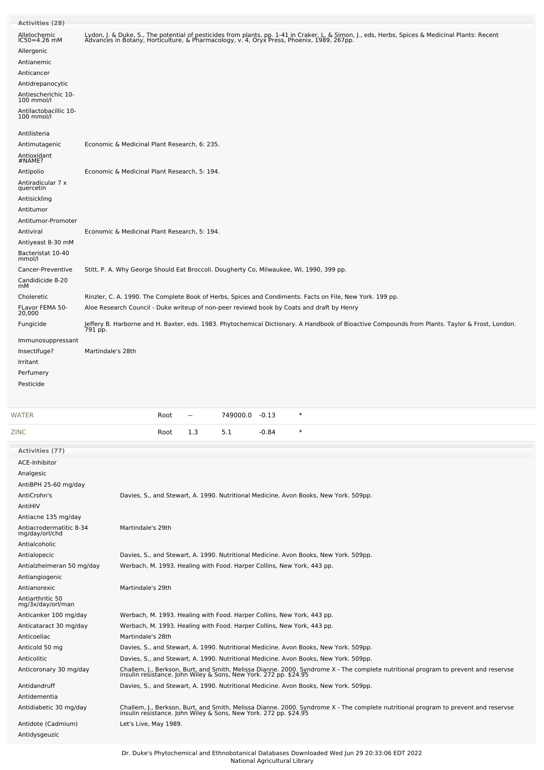| <b>Activities (28)</b>                                       |                                                                                                                                                                                                                                  |
|--------------------------------------------------------------|----------------------------------------------------------------------------------------------------------------------------------------------------------------------------------------------------------------------------------|
| Allelochemic<br>$IC50 = 4.26$ mM<br>Allergenic<br>Antianemic | Lydon, J. & Duke, S., The potential of pesticides from plants, pp. 1-41 in Craker, L. & Simon, J., eds, Herbs, Spices & Medicinal Plants: Recent<br>Advances in Botany, Horticulture, & Pharmacology, v. 4, Oryx Press, Phoenix, |
| Anticancer                                                   |                                                                                                                                                                                                                                  |
| Antidrepanocytic                                             |                                                                                                                                                                                                                                  |
| Antiescherichic 10-<br>100 mmol/l                            |                                                                                                                                                                                                                                  |
| Antilactobacillic 10-                                        |                                                                                                                                                                                                                                  |
| 100 mmol/l                                                   |                                                                                                                                                                                                                                  |
| Antilisteria                                                 |                                                                                                                                                                                                                                  |
| Antimutagenic                                                | Economic & Medicinal Plant Research, 6: 235.                                                                                                                                                                                     |
| Antioxidant<br>#NAME?                                        |                                                                                                                                                                                                                                  |
| Antipolio                                                    | Economic & Medicinal Plant Research, 5: 194.                                                                                                                                                                                     |
| Antiradicular 7 x<br>quercetin                               |                                                                                                                                                                                                                                  |
| Antisickling                                                 |                                                                                                                                                                                                                                  |
| Antitumor                                                    |                                                                                                                                                                                                                                  |
| Antitumor-Promoter                                           |                                                                                                                                                                                                                                  |
| Antiviral<br>Antiyeast 8-30 mM                               | Economic & Medicinal Plant Research, 5: 194.                                                                                                                                                                                     |
| Bacteristat 10-40                                            |                                                                                                                                                                                                                                  |
| mmol/l<br>Cancer-Preventive                                  | Stitt, P. A. Why George Should Eat Broccoli. Dougherty Co, Milwaukee, WI, 1990, 399 pp.                                                                                                                                          |
| Candidicide 8-20                                             |                                                                                                                                                                                                                                  |
| mM                                                           |                                                                                                                                                                                                                                  |
| Choleretic<br>FLavor FEMA 50-                                | Rinzler, C. A. 1990. The Complete Book of Herbs, Spices and Condiments. Facts on File, New York. 199 pp.<br>Aloe Research Council - Duke writeup of non-peer reviewd book by Coats and draft by Henry                            |
| 20,000                                                       |                                                                                                                                                                                                                                  |
| Fungicide                                                    | Jeffery B. Harborne and H. Baxter, eds. 1983. Phytochemical Dictionary. A Handbook of Bioactive Compounds from Plants. Taylor & Frost, London.<br>791 pp.                                                                        |
| Immunosuppressant                                            |                                                                                                                                                                                                                                  |
| Insectifuge?<br>Irritant                                     | Martindale's 28th                                                                                                                                                                                                                |
| Perfumery                                                    |                                                                                                                                                                                                                                  |
|                                                              |                                                                                                                                                                                                                                  |
| Pesticide                                                    |                                                                                                                                                                                                                                  |
|                                                              |                                                                                                                                                                                                                                  |
|                                                              | $\ast$<br>749000.0 -0.13<br>Root<br>$\overline{a}$                                                                                                                                                                               |
| WATER<br>ZINC                                                | 5.1<br>$\ast$<br>Root<br>1.3<br>$-0.84$                                                                                                                                                                                          |
| <b>Activities (77)</b>                                       |                                                                                                                                                                                                                                  |
| ACE-Inhibitor                                                |                                                                                                                                                                                                                                  |
| Analgesic                                                    |                                                                                                                                                                                                                                  |
| AntiBPH 25-60 mg/day                                         |                                                                                                                                                                                                                                  |
| AntiCrohn's<br>AntiHIV                                       | Davies, S., and Stewart, A. 1990. Nutritional Medicine. Avon Books, New York. 509pp.                                                                                                                                             |
| Antiacne 135 mg/day                                          |                                                                                                                                                                                                                                  |
| Antiacrodermatitic 8-34<br>mg/day/orl/chd                    | Martindale's 29th                                                                                                                                                                                                                |
| Antialcoholic                                                |                                                                                                                                                                                                                                  |
| Antialopecic                                                 | Davies, S., and Stewart, A. 1990. Nutritional Medicine. Avon Books, New York. 509pp.                                                                                                                                             |
| Antialzheimeran 50 mg/day                                    | Werbach, M. 1993. Healing with Food. Harper Collins, New York, 443 pp.                                                                                                                                                           |
| Antiangiogenic                                               |                                                                                                                                                                                                                                  |
| Antianorexic<br>Antiarthritic 50                             | Martindale's 29th                                                                                                                                                                                                                |
| mg/3x/day/orl/man                                            |                                                                                                                                                                                                                                  |
| Anticanker 100 mg/day<br>Anticataract 30 mg/day              | Werbach, M. 1993. Healing with Food. Harper Collins, New York, 443 pp.<br>Werbach, M. 1993. Healing with Food. Harper Collins, New York, 443 pp.                                                                                 |
| Anticoeliac                                                  | Martindale's 28th                                                                                                                                                                                                                |
| Anticold 50 mg                                               | Davies, S., and Stewart, A. 1990. Nutritional Medicine. Avon Books, New York. 509pp.                                                                                                                                             |
| Anticolitic                                                  | Davies, S., and Stewart, A. 1990. Nutritional Medicine. Avon Books, New York. 509pp.                                                                                                                                             |
| Anticoronary 30 mg/day                                       | Challem, J., Berkson, Burt, and Smith, Melissa Dianne. 2000. Syndrome X - The complete nutritional program to prevent and reservse<br>insulin resistance. John Wiley & Sons, New York. 272 pp. \$24.95                           |
| Antidandruff                                                 | Davies, S., and Stewart, A. 1990. Nutritional Medicine. Avon Books, New York. 509pp.                                                                                                                                             |
| Antidementia                                                 |                                                                                                                                                                                                                                  |
| Antidiabetic 30 mg/day                                       | Challem, J., Berkson, Burt, and Smith, Melissa Dianne. 2000. Syndrome X - The complete nutritional program to prevent and reservse<br>insulin resistance. John Wiley & Sons, New York. 272 pp. \$24.95                           |
| Antidote (Cadmium)<br>Antidysgeuzic                          | Let's Live, May 1989.                                                                                                                                                                                                            |